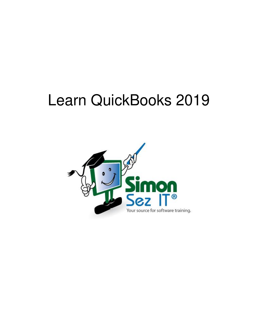# Learn QuickBooks 2019

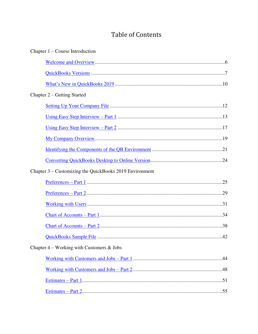# **Table of Contents**

| Chapter $1$ – Course Introduction                       |  |
|---------------------------------------------------------|--|
|                                                         |  |
|                                                         |  |
|                                                         |  |
| Chapter 2 – Getting Started                             |  |
|                                                         |  |
|                                                         |  |
|                                                         |  |
|                                                         |  |
|                                                         |  |
|                                                         |  |
| Chapter 3 – Customizing the QuickBooks 2019 Environment |  |
|                                                         |  |
|                                                         |  |
|                                                         |  |
|                                                         |  |
|                                                         |  |
|                                                         |  |
| Chapter $4$ – Working with Customers & Jobs             |  |
|                                                         |  |
|                                                         |  |
|                                                         |  |
|                                                         |  |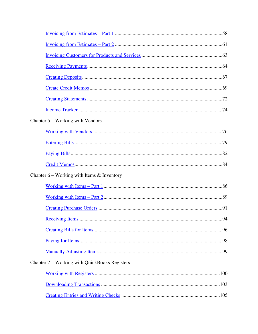| Chapter $5 -$ Working with Vendors              |  |
|-------------------------------------------------|--|
|                                                 |  |
|                                                 |  |
|                                                 |  |
|                                                 |  |
| Chapter $6$ – Working with Items $\&$ Inventory |  |
|                                                 |  |
|                                                 |  |
|                                                 |  |
|                                                 |  |
|                                                 |  |
|                                                 |  |
|                                                 |  |
| Chapter 7 – Working with QuickBooks Registers   |  |
|                                                 |  |
|                                                 |  |
|                                                 |  |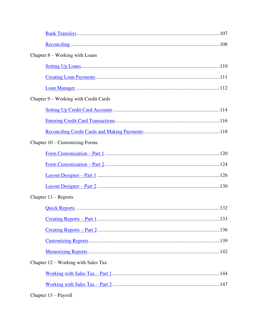| Chapter $8$ – Working with Loans      |  |  |  |
|---------------------------------------|--|--|--|
|                                       |  |  |  |
|                                       |  |  |  |
|                                       |  |  |  |
| Chapter 9 – Working with Credit Cards |  |  |  |
|                                       |  |  |  |
|                                       |  |  |  |
|                                       |  |  |  |
| Chapter $10 -$ Customizing Forms      |  |  |  |
|                                       |  |  |  |
|                                       |  |  |  |
|                                       |  |  |  |
|                                       |  |  |  |
| Chapter $11 -$ Reports                |  |  |  |
|                                       |  |  |  |
|                                       |  |  |  |
|                                       |  |  |  |
|                                       |  |  |  |
|                                       |  |  |  |
| Chapter $12$ – Working with Sales Tax |  |  |  |
|                                       |  |  |  |
|                                       |  |  |  |
|                                       |  |  |  |

Chapter 13 – Payroll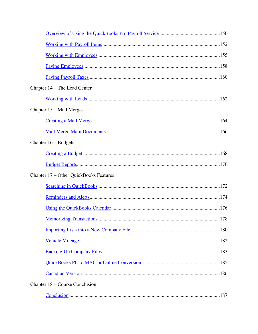| Chapter 14 – The Lead Center           |  |  |  |
|----------------------------------------|--|--|--|
|                                        |  |  |  |
| Chapter 15 – Mail Merges               |  |  |  |
|                                        |  |  |  |
|                                        |  |  |  |
| Chapter $16 - Budapest$                |  |  |  |
|                                        |  |  |  |
|                                        |  |  |  |
| Chapter 17 – Other QuickBooks Features |  |  |  |
|                                        |  |  |  |
|                                        |  |  |  |
|                                        |  |  |  |
|                                        |  |  |  |
|                                        |  |  |  |
|                                        |  |  |  |
|                                        |  |  |  |
|                                        |  |  |  |
|                                        |  |  |  |
| Chapter 18 – Course Conclusion         |  |  |  |
|                                        |  |  |  |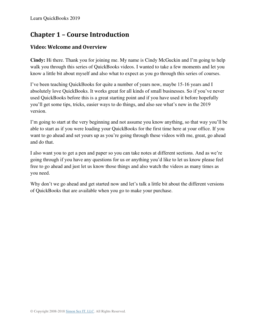# **Chapter 1 – Course Introduction**

#### <span id="page-5-0"></span>**Video: Welcome and Overview**

**Cindy:** Hi there. Thank you for joining me. My name is Cindy McGuckin and I'm going to help walk you through this series of QuickBooks videos. I wanted to take a few moments and let you know a little bit about myself and also what to expect as you go through this series of courses.

I've been teaching QuickBooks for quite a number of years now, maybe 15-16 years and I absolutely love QuickBooks. It works great for all kinds of small businesses. So if you've never used QuickBooks before this is a great starting point and if you have used it before hopefully you'll get some tips, tricks, easier ways to do things, and also see what's new in the 2019 version.

I'm going to start at the very beginning and not assume you know anything, so that way you'll be able to start as if you were loading your QuickBooks for the first time here at your office. If you want to go ahead and set yours up as you're going through these videos with me, great, go ahead and do that.

I also want you to get a pen and paper so you can take notes at different sections. And as we're going through if you have any questions for us or anything you'd like to let us know please feel free to go ahead and just let us know those things and also watch the videos as many times as you need.

Why don't we go ahead and get started now and let's talk a little bit about the different versions of QuickBooks that are available when you go to make your purchase.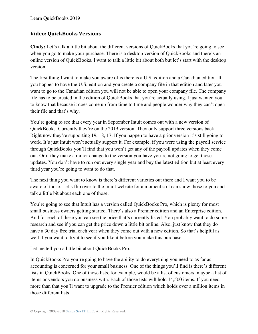Learn QuickBooks 2019

#### <span id="page-6-0"></span>**Video: QuickBooks Versions**

**Cindy:** Let's talk a little bit about the different versions of QuickBooks that you're going to see when you go to make your purchase. There is a desktop version of QuickBooks and there's an online version of QuickBooks. I want to talk a little bit about both but let's start with the desktop version.

The first thing I want to make you aware of is there is a U.S. edition and a Canadian edition. If you happen to have the U.S. edition and you create a company file in that edition and later you want to go to the Canadian edition you will not be able to open your company file. The company file has to be created in the edition of QuickBooks that you're actually using. I just wanted you to know that because it does come up from time to time and people wonder why they can't open their file and that's why.

You're going to see that every year in September Intuit comes out with a new version of QuickBooks. Currently they're on the 2019 version. They only support three versions back. Right now they're supporting 19, 18, 17. If you happen to have a prior version it's still going to work. It's just Intuit won't actually support it. For example, if you were using the payroll service through QuickBooks you'll find that you won't get any of the payroll updates when they come out. Or if they make a minor change to the version you have you're not going to get those updates. You don't have to run out every single year and buy the latest edition but at least every third year you're going to want to do that.

The next thing you want to know is there's different varieties out there and I want you to be aware of those. Let's flip over to the Intuit website for a moment so I can show those to you and talk a little bit about each one of those.

You're going to see that Intuit has a version called QuickBooks Pro, which is plenty for most small business owners getting started. There's also a Premier edition and an Enterprise edition. And for each of these you can see the price that's currently listed. You probably want to do some research and see if you can get the price down a little bit online. Also, just know that they do have a 30 day free trial each year when they come out with a new edition. So that's helpful as well if you want to try it to see if you like it before you make this purchase.

Let me tell you a little bit about QuickBooks Pro.

In QuickBooks Pro you're going to have the ability to do everything you need to as far as accounting is concerned for your small business. One of the things you'll find is there's different lists in QuickBooks. One of those lists, for example, would be a list of customers, maybe a list of items or vendors you do business with. Each of those lists will hold 14,500 items. If you need more than that you'll want to upgrade to the Premier edition which holds over a million items in those different lists.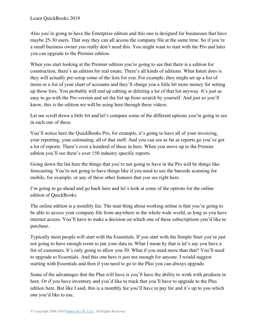Also you're going to have the Enterprise edition and this one is designed for businesses that have maybe 25-30 users. That way they can all access the company file at the same time. So if you're a small business owner you really don't need this. You might want to start with the Pro and later you can upgrade to the Premier edition.

When you start looking at the Premier edition you're going to see that there is a edition for construction, there's an edition for real estate. There's all kinds of editions. What Intuit does is they will actually pre-setup some of the lists for you. For example, they might set up a list of items or a list of your chart of accounts and they'll charge you a little bit more money for setting up those lists. You probably will end up editing or deleting a lot of that list anyway. It's just as easy to go with the Pro version and set the list up from scratch by yourself. And just so you'll know, this is the edition we will be using here through these videos.

Let me scroll down a little bit and let's compare some of the different options you're going to see in each one of these.

You'll notice here the QuickBooks Pro, for example, it's going to have all of your invoicing, your reporting, your estimating, all of that stuff. And you can see as far as reports go you've got a lot of reports. There's over a hundred of these in here. When you move up to the Premier edition you'll see there's over 150 industry specific reports.

Going down the list here the things that you're not going to have in the Pro will be things like forecasting. You're not going to have things like if you need to use the barcode scanning for mobile, for example, or any of these other features that you see right here.

I'm going to go ahead and go back here and let's look at some of the options for the online edition of QuickBooks.

The online edition is a monthly fee. The neat thing about working online is that you're going to be able to access your company file from anywhere in the whole wide world, as long as you have internet access. You'll have to make a decision on which one of these subscriptions you'd like to purchase.

Typically most people will start with the Essentials. If you start with the Simple Start you're just not going to have enough room to put your data in. What I mean by that is let's say you have a list of customers. It's only going to allow you 50. What if you need more than that? You'll need to upgrade to Essentials. And this one here is just not enough for anyone. I would suggest starting with Essentials and then if you need to go to the Plus you can always upgrade.

Some of the advantages that the Plus will have is you'll have the ability to work with products in here. Or if you have inventory and you'd like to track that you'll have to upgrade to the Plus edition here. But like I said, this is a monthly fee you'll have to pay for and it's up to you which one you'd like to use.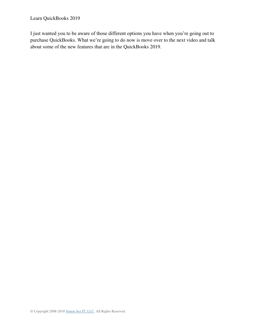I just wanted you to be aware of those different options you have when you're going out to purchase QuickBooks. What we're going to do now is move over to the next video and talk about some of the new features that are in the QuickBooks 2019.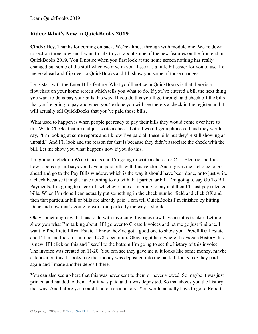#### <span id="page-9-0"></span>**Video: What's New in QuickBooks 2019**

**Cindy:** Hey. Thanks for coming on back. We're almost through with module one. We're down to section three now and I want to talk to you about some of the new features on the frontend in QuickBooks 2019. You'll notice when you first look at the home screen nothing has really changed but some of the stuff when we dive in you'll see it's a little bit easier for you to use. Let me go ahead and flip over to QuickBooks and I'll show you some of those changes.

Let's start with the Enter Bills feature. What you'll notice in QuickBooks is that there is a flowchart on your home screen which tells you what to do. If you've entered a bill the next thing you want to do is pay your bills this way. If you do this you'll go through and check off the bills that you're going to pay and when you're done you will see there's a check in the register and it will actually tell QuickBooks that you've paid those bills.

What used to happen is when people get ready to pay their bills they would come over here to this Write Checks feature and just write a check. Later I would get a phone call and they would say, "I'm looking at some reports and I know I've paid all these bills but they're still showing as unpaid." And I'll look and the reason for that is because they didn't associate the check with the bill. Let me show you what happens now if you do this.

I'm going to click on Write Checks and I'm going to write a check for C.U. Electric and look how it pops up and says you have unpaid bills with this vendor. And it gives me a choice to go ahead and go to the Pay Bills window, which is the way it should have been done, or to just write a check because it might have nothing to do with that particular bill. I'm going to say Go To Bill Payments, I'm going to check off whichever ones I'm going to pay and then I'll just pay selected bills. When I'm done I can actually put something in the check number field and click OK and then that particular bill or bills are already paid. I can tell QuickBooks I'm finished by hitting Done and now that's going to work out perfectly the way it should.

Okay something new that has to do with invoicing. Invoices now have a status tracker. Let me show you what I'm talking about. If I go over to Create Invoices and let me go just find one. I want to find Pretell Real Estate. I know they've got a good one to show you. Pretell Real Estate and I'll in and look for number 1078, open it up. Okay, right here where it says See History this is new. If I click on this and I scroll to the bottom I'm going to see the history of this invoice. The invoice was created on 11/20. You can see they gave me a, it looks like some money, maybe a deposit on this. It looks like that money was deposited into the bank. It looks like they paid again and I made another deposit there.

You can also see up here that this was never sent to them or never viewed. So maybe it was just printed and handed to them. But it was paid and it was deposited. So that shows you the history that way. And before you could kind of see a history. You would actually have to go to Reports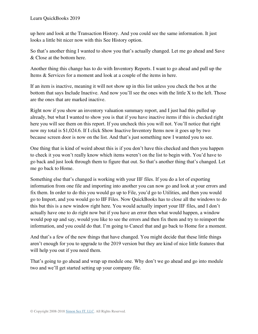up here and look at the Transaction History. And you could see the same information. It just looks a little bit nicer now with this See History option.

So that's another thing I wanted to show you that's actually changed. Let me go ahead and Save & Close at the bottom here.

Another thing this change has to do with Inventory Reports. I want to go ahead and pull up the Items & Services for a moment and look at a couple of the items in here.

If an item is inactive, meaning it will not show up in this list unless you check the box at the bottom that says Include Inactive. And now you'll see the ones with the little X to the left. Those are the ones that are marked inactive.

Right now if you show an inventory valuation summary report, and I just had this pulled up already, but what I wanted to show you is that if you have inactive items if this is checked right here you will see them on this report. If you uncheck this you will not. You'll notice that right now my total is \$1,024.6. If I click Show Inactive Inventory Items now it goes up by two because screen door is now on the list. And that's just something new I wanted you to see.

One thing that is kind of weird about this is if you don't have this checked and then you happen to check it you won't really know which items weren't on the list to begin with. You'd have to go back and just look through them to figure that out. So that's another thing that's changed. Let me go back to Home.

Something else that's changed is working with your IIF files. If you do a lot of exporting information from one file and importing into another you can now go and look at your errors and fix them. In order to do this you would go up to File, you'd go to Utilities, and then you would go to Import, and you would go to IIF Files. Now QuickBooks has to close all the windows to do this but this is a new window right here. You would actually import your IIF files, and I don't actually have one to do right now but if you have an error then what would happen, a window would pop up and say, would you like to see the errors and then fix them and try to reimport the information, and you could do that. I'm going to Cancel that and go back to Home for a moment.

And that's a few of the new things that have changed. You might decide that these little things aren't enough for you to upgrade to the 2019 version but they are kind of nice little features that will help you out if you need them.

That's going to go ahead and wrap up module one. Why don't we go ahead and go into module two and we'll get started setting up your company file.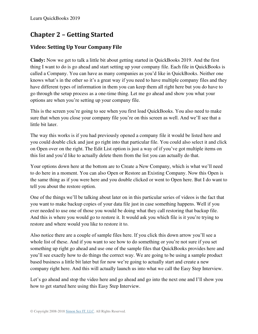## **Chapter 2 – Getting Started**

## <span id="page-11-0"></span>**Video: Setting Up Your Company File**

**Cindy:** Now we get to talk a little bit about getting started in QuickBooks 2019. And the first thing I want to do is go ahead and start setting up your company file. Each file in QuickBooks is called a Company. You can have as many companies as you'd like in QuickBooks. Neither one knows what's in the other so it's a great way if you need to have multiple company files and they have different types of information in them you can keep them all right here but you do have to go through the setup process as a one-time thing. Let me go ahead and show you what your options are when you're setting up your company file.

This is the screen you're going to see when you first load QuickBooks. You also need to make sure that when you close your company file you're on this screen as well. And we'll see that a little bit later.

The way this works is if you had previously opened a company file it would be listed here and you could double click and just go right into that particular file. You could also select it and click on Open over on the right. The Edit List option is just a way of if you've got multiple items on this list and you'd like to actually delete them from the list you can actually do that.

Your options down here at the bottom are to Create a New Company, which is what we'll need to do here in a moment. You can also Open or Restore an Existing Company. Now this Open is the same thing as if you were here and you double clicked or went to Open here. But I do want to tell you about the restore option.

One of the things we'll be talking about later on in this particular series of videos is the fact that you want to make backup copies of your data file just in case something happens. Well if you ever needed to use one of those you would be doing what they call restoring that backup file. And this is where you would go to restore it. It would ask you which file is it you're trying to restore and where would you like to restore it to.

Also notice there are a couple of sample files here. If you click this down arrow you'll see a whole list of these. And if you want to see how to do something or you're not sure if you set something up right go ahead and use one of the sample files that QuickBooks provides here and you'll see exactly how to do things the correct way. We are going to be using a sample product based business a little bit later but for now we're going to actually start and create a new company right here. And this will actually launch us into what we call the Easy Step Interview.

Let's go ahead and stop the video here and go ahead and go into the next one and I'll show you how to get started here using this Easy Step Interview.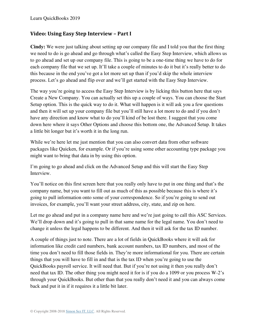#### <span id="page-12-0"></span>**Video: Using Easy Step Interview – Part I**

**Cindy:** We were just talking about setting up our company file and I told you that the first thing we need to do is go ahead and go through what's called the Easy Step Interview, which allows us to go ahead and set up our company file. This is going to be a one-time thing we have to do for each company file that we set up. It'll take a couple of minutes to do it but it's really better to do this because in the end you've got a lot more set up than if you'd skip the whole interview process. Let's go ahead and flip over and we'll get started with the Easy Step Interview.

The way you're going to access the Easy Step Interview is by licking this button here that says Create a New Company. You can actually set this up a couple of ways. You can choose the Start Setup option. This is the quick way to do it. What will happen is it will ask you a few questions and then it will set up your company file but you'll still have a lot more to do and if you don't have any direction and know what to do you'll kind of be lost there. I suggest that you come down here where it says Other Options and choose this bottom one, the Advanced Setup. It takes a little bit longer but it's worth it in the long run.

While we're here let me just mention that you can also convert data from other software packages like Quicken, for example. Or if you're using some other accounting type package you might want to bring that data in by using this option.

I'm going to go ahead and click on the Advanced Setup and this will start the Easy Step Interview.

You'll notice on this first screen here that you really only have to put in one thing and that's the company name, but you want to fill out as much of this as possible because this is where it's going to pull information onto some of your correspondence. So if you're going to send out invoices, for example, you'll want your street address, city, state, and zip on here.

Let me go ahead and put in a company name here and we're just going to call this ASC Services. We'll drop down and it's going to pull in that same name for the legal name. You don't need to change it unless the legal happens to be different. And then it will ask for the tax ID number.

A couple of things just to note. There are a lot of fields in QuickBooks where it will ask for information like credit card numbers, bank account numbers, tax ID numbers, and most of the time you don't need to fill those fields in. They're more informational for you. There are certain things that you will have to fill in and that is the tax ID when you're going to use the QuickBooks payroll service. It will need that. But if you're not using it then you really don't need that tax ID. The other thing you might need it for is if you do a 1099 or you process W-2's through your QuickBooks. But other than that you really don't need it and you can always come back and put it in if it requires it a little bit later.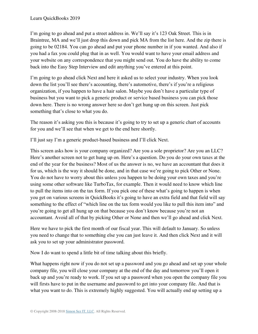I'm going to go ahead and put a street address in. We'll say it's 123 Oak Street. This is in Braintree, MA and we'll just drop this down and pick MA from the list here. And the zip there is going to be 02184. You can go ahead and put your phone number in if you wanted. And also if you had a fax you could plug that in as well. You would want to have your email address and your website on any correspondence that you might send out. You do have the ability to come back into the Easy Step Interview and edit anything you've entered at this point.

I'm going to go ahead click Next and here it asked us to select your industry. When you look down the list you'll see there's accounting, there's automotive, there's if you're a religious organization, if you happen to have a hair salon. Maybe you don't have a particular type of business but you want to pick a generic product or service based business you can pick those down here. There is no wrong answer here so don't get hung up on this screen. Just pick something that's close to what you do.

The reason it's asking you this is because it's going to try to set up a generic chart of accounts for you and we'll see that when we get to the end here shortly.

I'll just say I'm a generic product-based business and I'll click Next.

This screen asks how is your company organized? Are you a sole proprietor? Are you an LLC? Here's another screen not to get hung up on. Here's a question. Do you do your own taxes at the end of the year for the business? Most of us the answer is no, we have an accountant that does it for us, which is the way it should be done, and in that case we're going to pick Other or None. You do not have to worry about this unless you happen to be doing your own taxes and you're using some other software like TurboTax, for example. Then it would need to know which line to pull the items into on the tax form. If you pick one of these what's going to happen is when you get on various screens in QuickBooks it's going to have an extra field and that field will say something to the effect of "which line on the tax form would you like to pull this item into" and you're going to get all hung up on that because you don't know because you're not an accountant. Avoid all of that by picking Other or None and then we'll go ahead and click Next.

Here we have to pick the first month of our fiscal year. This will default to January. So unless you need to change that to something else you can just leave it. And then click Next and it will ask you to set up your administrator password.

Now I do want to spend a little bit of time talking about this briefly.

What happens right now if you do not set up a password and you go ahead and set up your whole company file, you will close your company at the end of the day and tomorrow you'll open it back up and you're ready to work. If you set up a password when you open the company file you will firsts have to put in the username and password to get into your company file. And that is what you want to do. This is extremely highly suggested. You will actually end up setting up a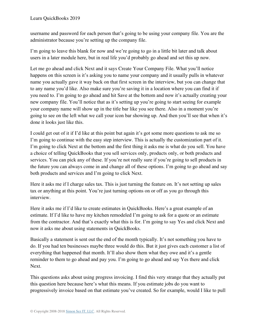username and password for each person that's going to be using your company file. You are the administrator because you're setting up the company file.

I'm going to leave this blank for now and we're going to go in a little bit later and talk about users in a later module here, but in real life you'd probably go ahead and set this up now.

Let me go ahead and click Next and it says Create Your Company File. What you'll notice happens on this screen is it's asking you to name your company and it usually pulls in whatever name you actually gave it way back on that first screen in the interview, but you can change that to any name you'd like. Also make sure you're saving it in a location where you can find it if you need to. I'm going to go ahead and hit Save at the bottom and now it's actually creating your new company file. You'll notice that as it's setting up you're going to start seeing for example your company name will show up in the title bar like you see there. Also in a moment you're going to see on the left what we call your icon bar showing up. And then you'll see that when it's done it looks just like this.

I could get out of it if I'd like at this point but again it's got some more questions to ask me so I'm going to continue with the easy step interview. This is actually the customization part of it. I'm going to click Next at the bottom and the first thing it asks me is what do you sell. You have a choice of telling QuickBooks that you sell services only, products only, or both products and services. You can pick any of these. If you're not really sure if you're going to sell products in the future you can always come in and change all of these options. I'm going to go ahead and say both products and services and I'm going to click Next.

Here it asks me if I charge sales tax. This is just turning the feature on. It's not setting up sales tax or anything at this point. You're just turning options on or off as you go through this interview.

Here it asks me if I'd like to create estimates in QuickBooks. Here's a great example of an estimate. If I'd like to have my kitchen remodeled I'm going to ask for a quote or an estimate from the contractor. And that's exactly what this is for. I'm going to say Yes and click Next and now it asks me about using statements in QuickBooks.

Basically a statement is sent out the end of the month typically. It's not something you have to do. If you had ten businesses maybe three would do this. But it just gives each customer a list of everything that happened that month. It'll also show them what they owe and it's a gentle reminder to them to go ahead and pay you. I'm going to go ahead and say Yes there and click Next.

This questions asks about using progress invoicing. I find this very strange that they actually put this question here because here's what this means. If you estimate jobs do you want to progressively invoice based on that estimate you've created. So for example, would I like to pull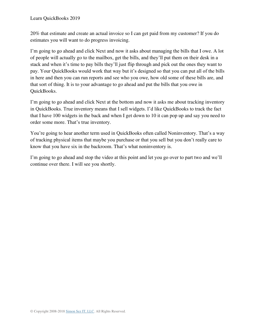20% that estimate and create an actual invoice so I can get paid from my customer? If you do estimates you will want to do progress invoicing.

I'm going to go ahead and click Next and now it asks about managing the bills that I owe. A lot of people will actually go to the mailbox, get the bills, and they'll put them on their desk in a stack and when it's time to pay bills they'll just flip through and pick out the ones they want to pay. Your QuickBooks would work that way but it's designed so that you can put all of the bills in here and then you can run reports and see who you owe, how old some of these bills are, and that sort of thing. It is to your advantage to go ahead and put the bills that you owe in QuickBooks.

I'm going to go ahead and click Next at the bottom and now it asks me about tracking inventory in QuickBooks. True inventory means that I sell widgets. I'd like QuickBooks to track the fact that I have 100 widgets in the back and when I get down to 10 it can pop up and say you need to order some more. That's true inventory.

You're going to hear another term used in QuickBooks often called Noninventory. That's a way of tracking physical items that maybe you purchase or that you sell but you don't really care to know that you have six in the backroom. That's what noninventory is.

I'm going to go ahead and stop the video at this point and let you go over to part two and we'll continue over there. I will see you shortly.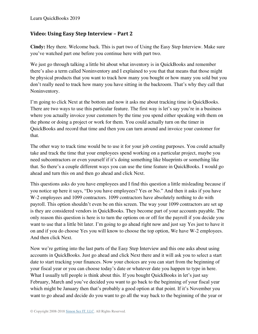#### <span id="page-16-0"></span>**Video: Using Easy Step Interview – Part 2**

**Cindy:** Hey there. Welcome back. This is part two of Using the Easy Step Interview. Make sure you've watched part one before you continue here with part two.

We just go through talking a little bit about what inventory is in QuickBooks and remember there's also a term called Noninventory and I explained to you that that means that those might be physical products that you want to track how many you bought or how many you sold but you don't really need to track how many you have sitting in the backroom. That's why they call that Noninventory.

I'm going to click Next at the bottom and now it asks me about tracking time in QuickBooks. There are two ways to use this particular feature. The first way is let's say you're in a business where you actually invoice your customers by the time you spend either speaking with them on the phone or doing a project or work for them. You could actually turn on the timer in QuickBooks and record that time and then you can turn around and invoice your customer for that.

The other way to track time would be to use it for your job costing purposes. You could actually take and track the time that your employees spend working on a particular project, maybe you need subcontractors or even yourself if it's doing something like blueprints or something like that. So there's a couple different ways you can use the time feature in QuickBooks. I would go ahead and turn this on and then go ahead and click Next.

This questions asks do you have employees and I find this question a little misleading because if you notice up here it says, "Do you have employees? Yes or No." And then it asks if you have W-2 employees and 1099 contractors. 1099 contractors have absolutely nothing to do with payroll. This option shouldn't even be on this screen. The way your 1099 contractors are set up is they are considered vendors in QuickBooks. They become part of your accounts payable. The only reason this question is here is to turn the options on or off for the payroll if you decide you want to use that a little bit later. I'm going to go ahead right now and just say Yes just to have it on and if you do choose Yes you will know to choose the top option, We have W-2 employees. And then click Next.

Now we're getting into the last parts of the Easy Step Interview and this one asks about using accounts in QuickBooks. Just go ahead and click Next there and it will ask you to select a start date to start tracking your finances. Now your choices are you can start from the beginning of your fiscal year or you can choose today's date or whatever date you happen to type in here. What I usually tell people is think about this. If you bought QuickBooks in let's just say February, March and you've decided you want to go back to the beginning of your fiscal year which might be January then that's probably a good option at that point. If it's November you want to go ahead and decide do you want to go all the way back to the beginning of the year or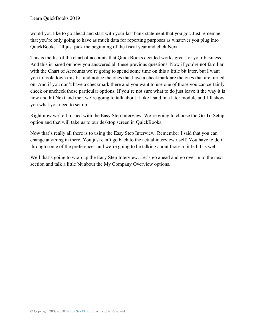would you like to go ahead and start with your last bank statement that you got. Just remember that you're only going to have as much data for reporting purposes as whatever you plug into QuickBooks. I'll just pick the beginning of the fiscal year and click Next.

This is the list of the chart of accounts that QuickBooks decided works great for your business. And this is based on how you answered all these previous questions. Now if you're not familiar with the Chart of Accounts we're going to spend some time on this a little bit later, but I want you to look down this list and notice the ones that have a checkmark are the ones that are turned on. And if you don't have a checkmark there and you want to use one of those you can certainly check or uncheck those particular options. If you're not sure what to do just leave it the way it is now and hit Next and then we're going to talk about it like I said in a later module and I'll show you what you need to set up.

Right now we're finished with the Easy Step Interview. We're going to choose the Go To Setup option and that will take us to our desktop screen in QuickBooks.

Now that's really all there is to using the Easy Step Interview. Remember I said that you can change anything in there. You just can't go back to the actual interview itself. You have to do it through some of the preferences and we're going to be talking about those a little bit as well.

Well that's going to wrap up the Easy Step Interview. Let's go ahead and go over in to the next section and talk a little bit about the My Company Overview options.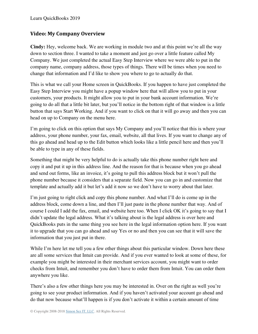#### <span id="page-18-0"></span>**Video: My Company Overview**

**Cindy:** Hey, welcome back. We are working in module two and at this point we're all the way down to section three. I wanted to take a moment and just go over a little feature called My Company. We just completed the actual Easy Step Interview where we were able to put in the company name, company address, those types of things. There will be times when you need to change that information and I'd like to show you where to go to actually do that.

This is what we call your Home screen in QuickBooks. If you happen to have just completed the Easy Step Interview you might have a popup window here that will allow you to put in your customers, your products. It might allow you to put in your bank account information. We're going to do all that a little bit later, but you'll notice in the bottom right of that window is a little button that says Start Working. And if you want to click on that it will go away and then you can head on up to Company on the menu here.

I'm going to click on this option that says My Company and you'll notice that this is where your address, your phone number, your fax, email, website, all that lives. If you want to change any of this go ahead and head up to the Edit button which looks like a little pencil here and then you'll be able to type in any of these fields.

Something that might be very helpful to do is actually take this phone number right here and copy it and put it up in this address line. And the reason for that is because when you go ahead and send out forms, like an invoice, it's going to pull this address block but it won't pull the phone number because it considers that a separate field. Now you can go in and customize that template and actually add it but let's add it now so we don't have to worry about that later.

I'm just going to right click and copy this phone number. And what I'll do is come up in the address block, come down a line, and then I'll just paste in the phone number that way. And of course I could I add the fax, email, and website here too. When I click OK it's going to say that I didn't update the legal address. What it's talking about is the legal address is over here and QuickBooks puts in the same thing you see here in the legal information option here. If you want it to upgrade that you can go ahead and say Yes or no and then you can see that it will save the information that you just put in there.

While I'm here let me tell you a few other things about this particular window. Down here these are all some services that Intuit can provide. And if you ever wanted to look at some of these, for example you might be interested in their merchant services account, you might want to order checks from Intuit, and remember you don't have to order them from Intuit. You can order them anywhere you like.

There's also a few other things here you may be interested in. Over on the right as well you're going to see your product information. And if you haven't activated your account go ahead and do that now because what'll happen is if you don't activate it within a certain amount of time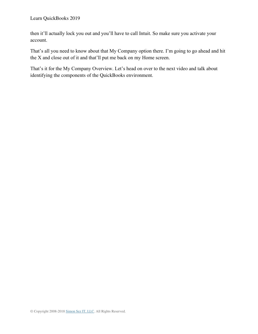then it'll actually lock you out and you'll have to call Intuit. So make sure you activate your account.

That's all you need to know about that My Company option there. I'm going to go ahead and hit the X and close out of it and that'll put me back on my Home screen.

That's it for the My Company Overview. Let's head on over to the next video and talk about identifying the components of the QuickBooks environment.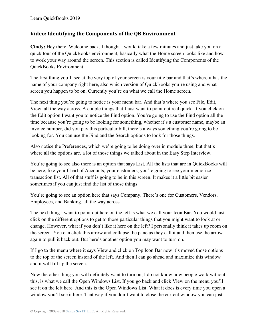#### <span id="page-20-0"></span>**Video: Identifying the Components of the QB Environment**

**Cindy:** Hey there. Welcome back. I thought I would take a few minutes and just take you on a quick tour of the QuickBooks environment, basically what the Home screen looks like and how to work your way around the screen. This section is called Identifying the Components of the QuickBooks Environment.

The first thing you'll see at the very top of your screen is your title bar and that's where it has the name of your company right here, also which version of QuickBooks you're using and what screen you happen to be on. Currently you're on what we call the Home screen.

The next thing you're going to notice is your menu bar. And that's where you see File, Edit, View, all the way across. A couple things that I just want to point out real quick. If you click on the Edit option I want you to notice the Find option. You're going to use the Find option all the time because you're going to be looking for something, whether it's a customer name, maybe an invoice number, did you pay this particular bill, there's always something you're going to be looking for. You can use the Find and the Search options to look for those things.

Also notice the Preferences, which we're going to be doing over in module three, but that's where all the options are, a lot of those things we talked about in the Easy Step Interview.

You're going to see also there is an option that says List. All the lists that are in QuickBooks will be here, like your Chart of Accounts, your customers, you're going to see your memorize transaction list. All of that stuff is going to be in this screen. It makes it a little bit easier sometimes if you can just find the list of those things.

You're going to see an option here that says Company. There's one for Customers, Vendors, Employees, and Banking, all the way across.

The next thing I want to point out here on the left is what we call your Icon Bar. You would just click on the different options to get to those particular things that you might want to look at or change. However, what if you don't like it here on the left? I personally think it takes up room on the screen. You can click this arrow and collapse the pane as they call it and then use the arrow again to pull it back out. But here's another option you may want to turn on.

If I go to the menu where it says View and click on Top Icon Bar now it's moved those options to the top of the screen instead of the left. And then I can go ahead and maximize this window and it will fill up the screen.

Now the other thing you will definitely want to turn on, I do not know how people work without this, is what we call the Open Windows List. If you go back and click View on the menu you'll see it on the left here. And this is the Open Windows List. What it does is every time you open a window you'll see it here. That way if you don't want to close the current window you can just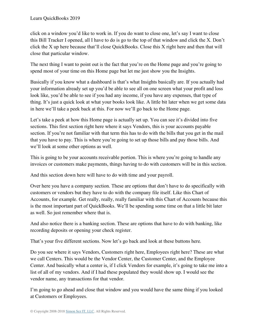click on a window you'd like to work in. If you do want to close one, let's say I want to close this Bill Tracker I opened, all I have to do is go to the top of that window and click the X. Don't click the X up here because that'll close QuickBooks. Close this X right here and then that will close that particular window.

The next thing I want to point out is the fact that you're on the Home page and you're going to spend most of your time on this Home page but let me just show you the Insights.

Basically if you know what a dashboard is that's what Insights basically are. If you actually had your information already set up you'd be able to see all on one screen what your profit and loss look like, you'd be able to see if you had any income, if you have any expenses, that type of thing. It's just a quick look at what your books look like. A little bit later when we get some data in here we'll take a peek back at this. For now we'll go back to the Home page.

Let's take a peek at how this Home page is actually set up. You can see it's divided into five sections. This first section right here where it says Vendors, this is your accounts payable section. If you're not familiar with that term this has to do with the bills that you get in the mail that you have to pay. This is where you're going to set up those bills and pay those bills. And we'll look at some other options as well.

This is going to be your accounts receivable portion. This is where you're going to handle any invoices or customers make payments, things having to do with customers will be in this section.

And this section down here will have to do with time and your payroll.

Over here you have a company section. These are options that don't have to do specifically with customers or vendors but they have to do with the company file itself. Like this Chart of Accounts, for example. Get really, really, really familiar with this Chart of Accounts because this is the most important part of QuickBooks. We'll be spending some time on that a little bit later as well. So just remember where that is.

And also notice there is a banking section. These are options that have to do with banking, like recording deposits or opening your check register.

That's your five different sections. Now let's go back and look at these buttons here.

Do you see where it says Vendors, Customers right here, Employees right here? These are what we call Centers. This would be the Vendor Center, the Customer Center, and the Employee Center. And basically what a center is, if I click Vendors for example, it's going to take me into a list of all of my vendors. And if I had these populated they would show up. I would see the vendor name, any transactions for that vendor.

I'm going to go ahead and close that window and you would have the same thing if you looked at Customers or Employees.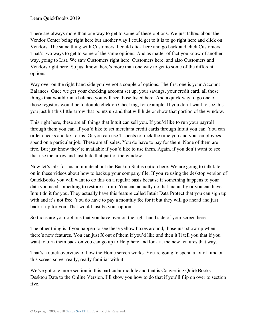There are always more than one way to get to some of these options. We just talked about the Vendor Center being right here but another way I could get to it is to go right here and click on Vendors. The same thing with Customers. I could click here and go back and click Customers. That's two ways to get to some of the same options. And as matter of fact you know of another way, going to List. We saw Customers right here, Customers here, and also Customers and Vendors right here. So just know there's more than one way to get to some of the different options.

Way over on the right hand side you've got a couple of options. The first one is your Account Balances. Once we get your checking account set up, your savings, your credit card, all those things that would run a balance you will see those listed here. And a quick way to go one of those registers would be to double click on Checking, for example. If you don't want to see this you just hit this little arrow that points up and that will hide or show that portion of the window.

This right here, these are all things that Intuit can sell you. If you'd like to run your payroll through them you can. If you'd like to set merchant credit cards through Intuit you can. You can order checks and tax forms. Or you can use T sheets to track the time you and your employees spend on a particular job. These are all sales. You do have to pay for them. None of them are free. But just know they're available if you'd like to use them. Again, if you don't want to see that use the arrow and just hide that part of the window.

Now let's talk for just a minute about the Backup Status option here. We are going to talk later on in these videos about how to backup your company file. If you're using the desktop version of QuickBooks you will want to do this on a regular basis because if something happens to your data you need something to restore it from. You can actually do that manually or you can have Intuit do it for you. They actually have this feature called Intuit Data Protect that you can sign up with and it's not free. You do have to pay a monthly fee for it but they will go ahead and just back it up for you. That would just be your option.

So those are your options that you have over on the right hand side of your screen here.

The other thing is if you happen to see these yellow boxes around, those just show up when there's new features. You can just X out of them if you'd like and then it'll tell you that if you want to turn them back on you can go up to Help here and look at the new features that way.

That's a quick overview of how the Home screen works. You're going to spend a lot of time on this screen so get really, really familiar with it.

We've got one more section in this particular module and that is Converting QuickBooks Desktop Data to the Online Version. I'll show you how to do that if you'll flip on over to section five.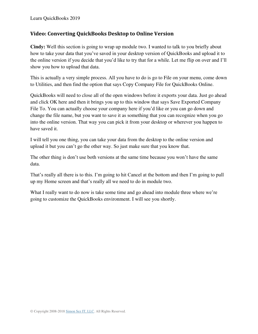#### <span id="page-23-0"></span>**Video: Converting QuickBooks Desktop to Online Version**

**Cindy:** Well this section is going to wrap up module two. I wanted to talk to you briefly about how to take your data that you've saved in your desktop version of QuickBooks and upload it to the online version if you decide that you'd like to try that for a while. Let me flip on over and I'll show you how to upload that data.

This is actually a very simple process. All you have to do is go to File on your menu, come down to Utilities, and then find the option that says Copy Company File for QuickBooks Online.

QuickBooks will need to close all of the open windows before it exports your data. Just go ahead and click OK here and then it brings you up to this window that says Save Exported Company File To. You can actually choose your company here if you'd like or you can go down and change the file name, but you want to save it as something that you can recognize when you go into the online version. That way you can pick it from your desktop or wherever you happen to have saved it.

I will tell you one thing, you can take your data from the desktop to the online version and upload it but you can't go the other way. So just make sure that you know that.

The other thing is don't use both versions at the same time because you won't have the same data.

That's really all there is to this. I'm going to hit Cancel at the bottom and then I'm going to pull up my Home screen and that's really all we need to do in module two.

What I really want to do now is take some time and go ahead into module three where we're going to customize the QuickBooks environment. I will see you shortly.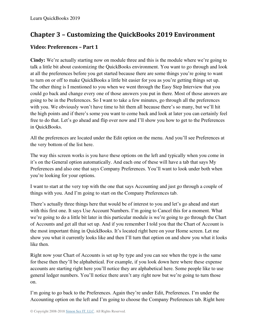# **Chapter 3 – Customizing the QuickBooks 2019 Environment**

## <span id="page-24-0"></span>**Video: Preferences – Part 1**

**Cindy:** We're actually starting now on module three and this is the module where we're going to talk a little bit about customizing the QuickBooks environment. You want to go through and look at all the preferences before you get started because there are some things you're going to want to turn on or off to make QuickBooks a little bit easier for you as you're getting things set up. The other thing is I mentioned to you when we went through the Easy Step Interview that you could go back and change every one of those answers you put in there. Most of those answers are going to be in the Preferences. So I want to take a few minutes, go through all the preferences with you. We obviously won't have time to hit them all because there's so many, but we'll hit the high points and if there's some you want to come back and look at later you can certainly feel free to do that. Let's go ahead and flip over now and I'll show you how to get to the Preferences in QuickBooks.

All the preferences are located under the Edit option on the menu. And you'll see Preferences at the very bottom of the list here.

The way this screen works is you have these options on the left and typically when you come in it's on the General option automatically. And each one of these will have a tab that says My Preferences and also one that says Company Preferences. You'll want to look under both when you're looking for your options.

I want to start at the very top with the one that says Accounting and just go through a couple of things with you. And I'm going to start on the Company Preferences tab.

There's actually three things here that would be of interest to you and let's go ahead and start with this first one. It says Use Account Numbers. I'm going to Cancel this for a moment. What we're going to do a little bit later in this particular module is we're going to go through the Chart of Accounts and get all that set up. And if you remember I told you that the Chart of Account is the most important thing in QuickBooks. It's located right here on your Home screen. Let me show you what it currently looks like and then I'll turn that option on and show you what it looks like then.

Right now your Chart of Accounts is set up by type and you can see when the type is the same for these then they'll be alphabetical. For example, if you look down here where these expense accounts are starting right here you'll notice they are alphabetical here. Some people like to use general ledger numbers. You'll notice there aren't any right now but we're going to turn those on.

I'm going to go back to the Preferences. Again they're under Edit, Preferences. I'm under the Accounting option on the left and I'm going to choose the Company Preferences tab. Right here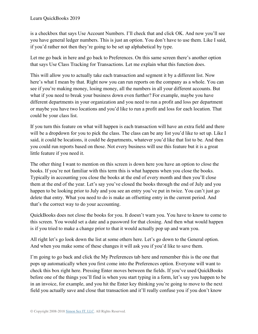is a checkbox that says Use Account Numbers. I'll check that and click OK. And now you'll see you have general ledger numbers. This is just an option. You don't have to use them. Like I said, if you'd rather not then they're going to be set up alphabetical by type.

Let me go back in here and go back to Preferences. On this same screen there's another option that says Use Class Tracking for Transactions. Let me explain what this function does.

This will allow you to actually take each transaction and segment it by a different list. Now here's what I mean by that. Right now you can run reports on the company as a whole. You can see if you're making money, losing money, all the numbers in all your different accounts. But what if you need to break your business down even further? For example, maybe you have different departments in your organization and you need to run a profit and loss per department or maybe you have two locations and you'd like to run a profit and loss for each location. That could be your class list.

If you turn this feature on what will happen is each transaction will have an extra field and there will be a dropdown for you to pick the class. The class can be any list you'd like to set up. Like I said, it could be locations, it could be departments, whatever you'd like that list to be. And then you could run reports based on those. Not every business will use this feature but it is a great little feature if you need it.

The other thing I want to mention on this screen is down here you have an option to close the books. If you're not familiar with this term this is what happens when you close the books. Typically in accounting you close the books at the end of every month and then you'll close them at the end of the year. Let's say you've closed the books through the end of July and you happen to be looking prior to July and you see an entry you've put in twice. You can't just go delete that entry. What you need to do is make an offsetting entry in the current period. And that's the correct way to do your accounting.

QuickBooks does not close the books for you. It doesn't warn you. You have to know to come to this screen. You would set a date and a password for that closing. And then what would happen is if you tried to make a change prior to that it would actually pop up and warn you.

All right let's go look down the list at some others here. Let's go down to the General option. And when you make some of these changes it will ask you if you'd like to save them.

I'm going to go back and click the My Preferences tab here and remember this is the one that pops up automatically when you first come into the Preferences option. Everyone will want to check this box right here. Pressing Enter moves between the fields. If you've used QuickBooks before one of the things you'll find is when you start typing in a form, let's say you happen to be in an invoice, for example, and you hit the Enter key thinking you're going to move to the next field you actually save and close that transaction and it'll really confuse you if you don't know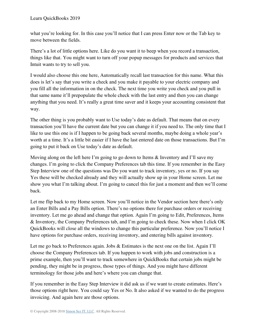what you're looking for. In this case you'll notice that I can press Enter now or the Tab key to move between the fields.

There's a lot of little options here. Like do you want it to beep when you record a transaction, things like that. You might want to turn off your popup messages for products and services that Intuit wants to try to sell you.

I would also choose this one here, Automatically recall last transaction for this name. What this does is let's say that you write a check and you make it payable to your electric company and you fill all the information in on the check. The next time you write you check and you pull in that same name it'll prepopulate the whole check with the last entry and then you can change anything that you need. It's really a great time saver and it keeps your accounting consistent that way.

The other thing is you probably want to Use today's date as default. That means that on every transaction you'll have the current date but you can change it if you need to. The only time that I like to use this one is if I happen to be going back several months, maybe doing a whole year's worth at a time. It's a little bit easier if I have the last entered date on those transactions. But I'm going to put it back on Use today's date as default.

Moving along on the left here I'm going to go down to Items & Inventory and I'll save my changes. I'm going to click the Company Preferences tab this time. If you remember in the Easy Step Interview one of the questions was Do you want to track inventory, yes or no. If you say Yes these will be checked already and they will actually show up in your Home screen. Let me show you what I'm talking about. I'm going to cancel this for just a moment and then we'll come back.

Let me flip back to my Home screen. Now you'll notice in the Vendor section here there's only an Enter Bills and a Pay Bills option. There's no options there for purchase orders or receiving inventory. Let me go ahead and change that option. Again I'm going to Edit, Preferences, Items & Inventory, the Company Preferences tab, and I'm going to check these. Now when I click OK QuickBooks will close all the windows to change this particular preference. Now you'll notice I have options for purchase orders, receiving inventory, and entering bills against inventory.

Let me go back to Preferences again. Jobs & Estimates is the next one on the list. Again I'll choose the Company Preferences tab. If you happen to work with jobs and construction is a prime example, then you'll want to track somewhere in QuickBooks that certain jobs might be pending, they might be in progress, those types of things. And you might have different terminology for those jobs and here's where you can change that.

If you remember in the Easy Step Interview it did ask us if we want to create estimates. Here's those options right here. You could say Yes or No. It also asked if we wanted to do the progress invoicing. And again here are those options.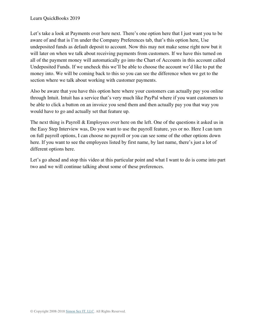Let's take a look at Payments over here next. There's one option here that I just want you to be aware of and that is I'm under the Company Preferences tab, that's this option here, Use undeposited funds as default deposit to account. Now this may not make sense right now but it will later on when we talk about receiving payments from customers. If we have this turned on all of the payment money will automatically go into the Chart of Accounts in this account called Undeposited Funds. If we uncheck this we'll be able to choose the account we'd like to put the money into. We will be coming back to this so you can see the difference when we get to the section where we talk about working with customer payments.

Also be aware that you have this option here where your customers can actually pay you online through Intuit. Intuit has a service that's very much like PayPal where if you want customers to be able to click a button on an invoice you send them and then actually pay you that way you would have to go and actually set that feature up.

The next thing is Payroll & Employees over here on the left. One of the questions it asked us in the Easy Step Interview was, Do you want to use the payroll feature, yes or no. Here I can turn on full payroll options, I can choose no payroll or you can see some of the other options down here. If you want to see the employees listed by first name, by last name, there's just a lot of different options here.

Let's go ahead and stop this video at this particular point and what I want to do is come into part two and we will continue talking about some of these preferences.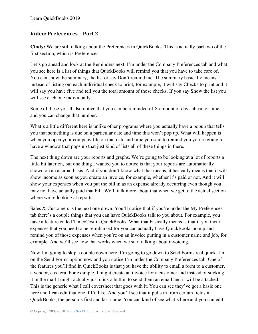#### <span id="page-28-0"></span>**Video: Preferences – Part 2**

**Cindy:** We are still talking about the Preferences in QuickBooks. This is actually part two of the first section, which is Preferences.

Let's go ahead and look at the Reminders next. I'm under the Company Preferences tab and what you see here is a list of things that QuickBooks will remind you that you have to take care of. You can show the summary, the list or say Don't remind me. The summary basically means instead of listing out each individual check to print, for example, it will say Checks to print and it will say you have five and tell you the total amount of those checks. If you say Show the list you will see each one individually.

Some of these you'll also notice that you can be reminded of X amount of days ahead of time and you can change that number.

What's a little different here is unlike other programs where you actually have a popup that tells you that something is due on a particular date and time this won't pop up. What will happen is when you open your company file on that date and time you said to remind you you're going to have a window that pops up that just kind of lists all of these things in there.

The next thing down are your reports and graphs. We're going to be looking at a lot of reports a little bit later on, but one thing I wanted you to notice is that your reports are automatically shown on an accrual basis. And if you don't know what that means, it basically means that it will show income as soon as you create an invoice, for example, whether it's paid or not. And it will show your expenses when you put the bill in as an expense already occurring even though you may not have actually paid that bill. We'll talk more about that when we get to the actual section where we're looking at reports.

Sales & Customers is the next one down. You'll notice that if you're under the My Preferences tab there's a couple things that you can have QuickBooks talk to you about. For example, you have a feature called Time/Cost in QuickBooks. What that basically means is that if you incur expenses that you need to be reimbursed for you can actually have QuickBooks popup and remind you of those expenses when you're on an invoice putting in a customer name and job, for example. And we'll see how that works when we start talking about invoicing.

Now I'm going to skip a couple down here. I'm going to go down to Send Forms real quick. I'm on the Send Forms option now and you notice I'm under the Company Preferences tab. One of the features you'll find in QuickBooks is that you have the ability to email a form to a customer, a vendor, etcetera. For example, I might create an invoice for a customer and instead of sticking it in the mail I might actually just click a button to send them an email and it will be attached. This is the generic what I call coversheet that goes with it. You can see they've got a basic one here and I can edit that one if I'd like. And you'll see that it pulls in from certain fields in QuickBooks, the person's first and last name. You can kind of see what's here and you can edit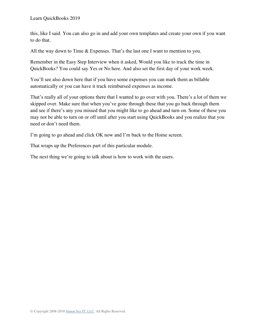this, like I said. You can also go in and add your own templates and create your own if you want to do that.

All the way down to Time & Expenses. That's the last one I want to mention to you.

Remember in the Easy Step Interview when it asked, Would you like to track the time in QuickBooks? You could say Yes or No here. And also set the first day of your work week.

You'll see also down here that if you have some expenses you can mark them as billable automatically or you can have it track reimbursed expenses as income.

That's really all of your options there that I wanted to go over with you. There's a lot of them we skipped over. Make sure that when you've gone through these that you go back through them and see if there's any you missed that you might like to go ahead and turn on. Some of these you may not be able to turn on or off until after you start using QuickBooks and you realize that you need or don't need them.

I'm going to go ahead and click OK now and I'm back to the Home screen.

That wraps up the Preferences part of this particular module.

The next thing we're going to talk about is how to work with the users.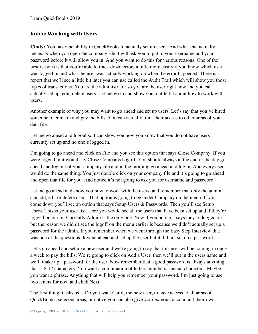#### <span id="page-30-0"></span>**Video: Working with Users**

**Cindy:** You have the ability in QuickBooks to actually set up users. And what that actually means is when you open the company file it will ask you to put in your username and your password before it will allow you in. And you want to do this for various reasons. One of the best reasons is that you're able to track down errors a little more easily if you know which user was logged in and what the user was actually working on when the error happened. There is a report that we'll see a little bit later you can use called the Audit Trail which will show you those types of transactions. You are the administrator so you are the user right now and you can actually set up, edit, delete users. Let me go in and show you a little bit about how to work with users.

Another example of why you may want to go ahead and set up users. Let's say that you've hired someone to come in and pay the bills. You can actually limit their access to other areas of your data file.

Let me go ahead and logout so I can show you how you know that you do not have users currently set up and no one's logged in.

I'm going to go ahead and click on File and you see this option that says Close Company. If you were logged in it would say Close Company/Logoff. You should always at the end of the day go ahead and log out of your company file and in the morning go ahead and log in. And every user would do the same thing. You just double click on your company file and it's going to go ahead and open that file for you. And notice it's not going to ask you for username and password.

Let me go ahead and show you how to work with the users, and remember that only the admin can add, edit or delete users. That option is going to be under Company on the menu. If you come down you'll see an option that says Setup Users & Passwords. Then you'll see Setup Users. This is your user list. Here you would see all the users that have been set up and if they're logged on or not. Currently Admin is the only one. Now if you notice it says they're logged on but the reason we didn't see the logoff on the menu earlier is because we didn't actually set up a password for the admin. If you remember when we went through the Easy Step Interview that was one of the questions. It went ahead and set up the user but it did not set up a password.

Let's go ahead and set up a new user and we're going to say that this user will be coming in once a week to pay the bills. We're going to click on Add a User, then we'll put in the users name and we'll make up a password for the user. Now remember that a good password is always anything that is 8-12 characters. You want a combination of letters, numbers, special characters. Maybe you want a phrase. Anything that will help you remember your password. I'm just going to use two letters for now and click Next.

The first thing it asks us is Do you want Carol, the new user, to have access to all areas of QuickBooks, selected areas, or notice you can also give your external accountant their own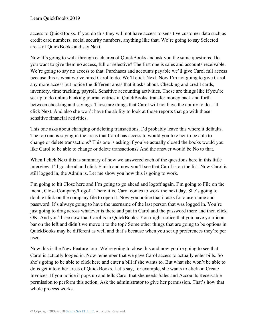access to QuickBooks. If you do this they will not have access to sensitive customer data such as credit card numbers, social security numbers, anything like that. We're going to say Selected areas of QuickBooks and say Next.

Now it's going to walk through each area of QuickBooks and ask you the same questions. Do you want to give them no access, full or selective? The first one is sales and accounts receivable. We're going to say no access to that. Purchases and accounts payable we'll give Carol full access because this is what we've hired Carol to do. We'll click Next. Now I'm not going to give Carol any more access but notice the different areas that it asks about. Checking and credit cards, inventory, time tracking, payroll. Sensitive accounting activities. Those are things like if you're set up to do online banking journal entries in QuickBooks, transfer money back and forth between checking and savings. Those are things that Carol will not have the ability to do. I'll click Next. And also she won't have the ability to look at those reports that go with those sensitive financial activities.

This one asks about changing or deleting transactions. I'd probably leave this where it defaults. The top one is saying in the areas that Carol has access to would you like her to be able to change or delete transactions? This one is asking if you've actually closed the books would you like Carol to be able to change or delete transactions? And the answer would be No to that.

When I click Next this is summary of how we answered each of the questions here in this little interview. I'll go ahead and click Finish and now you'll see that Carol is on the list. Now Carol is still logged in, the Admin is. Let me show you how this is going to work.

I'm going to hit Close here and I'm going to go ahead and logoff again. I'm going to File on the menu, Close Company/Logoff. There it is. Carol comes to work the next day. She's going to double click on the company file to open it. Now you notice that it asks for a username and password. It's always going to have the username of the last person that was logged in. You're just going to drag across whatever is there and put in Carol and the password there and then click OK. And you'll see now that Carol is in QuickBooks. You might notice that you have your icon bar on the left and didn't we move it to the top? Some other things that are going to be options in QuickBooks may be different as well and that's because when you set up preferences they're per user.

Now this is the New Feature tour. We're going to close this and now you're going to see that Carol is actually logged in. Now remember that we gave Carol access to actually enter bills. So she's going to be able to click here and enter a bill if she wants to. But what she won't be able to do is get into other areas of QuickBooks. Let's say, for example, she wants to click on Create Invoices. If you notice it pops up and tells Carol that she needs Sales and Accounts Receivable permission to perform this action. Ask the administrator to give her permission. That's how that whole process works.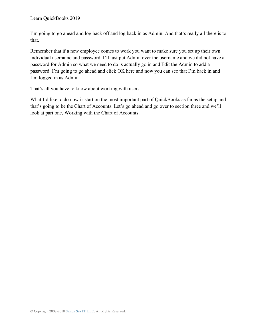I'm going to go ahead and log back off and log back in as Admin. And that's really all there is to that.

Remember that if a new employee comes to work you want to make sure you set up their own individual username and password. I'll just put Admin over the username and we did not have a password for Admin so what we need to do is actually go in and Edit the Admin to add a password. I'm going to go ahead and click OK here and now you can see that I'm back in and I'm logged in as Admin.

That's all you have to know about working with users.

What I'd like to do now is start on the most important part of QuickBooks as far as the setup and that's going to be the Chart of Accounts. Let's go ahead and go over to section three and we'll look at part one, Working with the Chart of Accounts.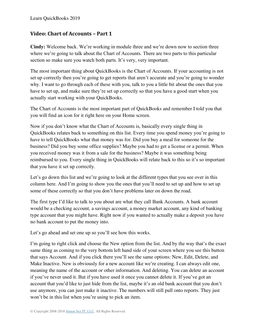### <span id="page-33-0"></span>**Video: Chart of Accounts – Part 1**

**Cindy:** Welcome back. We're working in module three and we're down now to section three where we're going to talk about the Chart of Accounts. There are two parts to this particular section so make sure you watch both parts. It's very, very important.

The most important thing about QuickBooks is the Chart of Accounts. If your accounting is not set up correctly then you're going to get reports that aren't accurate and you're going to wonder why. I want to go through each of these with you, talk to you a little bit about the ones that you have to set up, and make sure they're set up correctly so that you have a good start when you actually start working with your QuickBooks.

The Chart of Accounts is the most important part of QuickBooks and remember I told you that you will find an icon for it right here on your Home screen.

Now if you don't know what the Chart of Accounts is, basically every single thing in QuickBooks relates back to something on this list. Every time you spend money you're going to have to tell QuickBooks what that money was for. Did you buy a meal for someone for the business? Did you buy some office supplies? Maybe you had to get a license or a permit. When you received money was it from a sale for the business? Maybe it was something being reimbursed to you. Every single thing in QuickBooks will relate back to this so it's so important that you have it set up correctly.

Let's go down this list and we're going to look at the different types that you see over in this column here. And I'm going to show you the ones that you'll need to set up and how to set up some of these correctly so that you don't have problems later on down the road.

The first type I'd like to talk to you about are what they call Bank Accounts. A bank account would be a checking account, a savings account, a money market account, any kind of banking type account that you might have. Right now if you wanted to actually make a deposit you have no bank account to put the money into.

Let's go ahead and set one up so you'll see how this works.

I'm going to right click and choose the New option from the list. And by the way that's the exact same thing as coming to the very bottom left hand side of your screen where you see this button that says Account. And if you click there you'll see the same options: New, Edit, Delete, and Make Inactive. New is obviously for a new account like we're creating. I can always edit one, meaning the name of the account or other information. And deleting. You can delete an account if you've never used it. But if you have used it once you cannot delete it. If you've got an account that you'd like to just hide from the list, maybe it's an old bank account that you don't use anymore, you can just make it inactive. The numbers will still pull onto reports. They just won't be in this list when you're using to pick an item.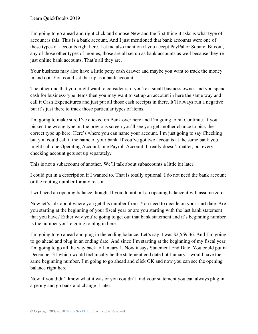I'm going to go ahead and right click and choose New and the first thing it asks is what type of account is this. This is a bank account. And I just mentioned that bank accounts were one of these types of accounts right here. Let me also mention if you accept PayPal or Square, Bitcoin, any of those other types of monies, those are all set up as bank accounts as well because they're just online bank accounts. That's all they are.

Your business may also have a little petty cash drawer and maybe you want to track the money in and out. You could set that up as a bank account.

The other one that you might want to consider is if you're a small business owner and you spend cash for business-type items then you may want to set up an account in here the same way and call it Cash Expenditures and just put all those cash receipts in there. It'll always run a negative but it's just there to track those particular types of items.

I'm going to make sure I've clicked on Bank over here and I'm going to hit Continue. If you picked the wrong type on the previous screen you'll see you get another chance to pick the correct type up here. Here's where you can name your account. I'm just going to say Checking but you could call it the name of your bank. If you've got two accounts at the same bank you might call one Operating Account, one Payroll Account. It really doesn't matter, but every checking account gets set up separately.

This is not a subaccount of another. We'll talk about subaccounts a little bit later.

I could put in a description if I wanted to. That is totally optional. I do not need the bank account or the routing number for any reason.

I will need an opening balance though. If you do not put an opening balance it will assume zero.

Now let's talk about where you get this number from. You need to decide on your start date. Are you starting at the beginning of your fiscal year or are you starting with the last bank statement that you have? Either way you're going to get out that bank statement and it's beginning number is the number you're going to plug in here.

I'm going to go ahead and plug in the ending balance. Let's say it was \$2,569.36. And I'm going to go ahead and plug in an ending date. And since I'm starting at the beginning of my fiscal year I'm going to go all the way back to January 1. Now it says Statement End Date. You could put in December 31 which would technically be the statement end date but January 1 would have the same beginning number. I'm going to go ahead and click OK and now you can see the opening balance right here.

Now if you didn't know what it was or you couldn't find your statement you can always plug in a penny and go back and change it later.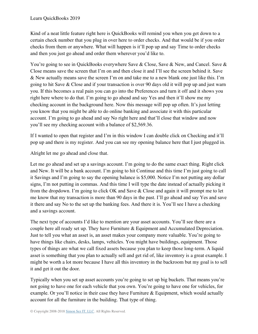Kind of a neat little feature right here is QuickBooks will remind you when you get down to a certain check number that you plug in over here to order checks. And that would be if you order checks from them or anywhere. What will happen is it'll pop up and say Time to order checks and then you just go ahead and order them wherever you'd like to.

You're going to see in QuickBooks everywhere Save & Close, Save & New, and Cancel. Save & Close means save the screen that I'm on and then close it and I'll see the screen behind it. Save & New actually means save the screen I'm on and take me to a new blank one just like this. I'm going to hit Save & Close and if your transaction is over 90 days old it will pop up and just warn you. If this becomes a real pain you can go into the Preferences and turn it off and it shows you right here where to do that. I'm going to go ahead and say Yes and then it'll show me my checking account in the background here. Now this message will pop up often. It's just letting you know that you might be able to do online banking and associate it with this particular account. I'm going to go ahead and say No right here and that'll close that window and now you'll see my checking account with a balance of \$2,569.36.

If I wanted to open that register and I'm in this window I can double click on Checking and it'll pop up and there is my register. And you can see my opening balance here that I just plugged in.

Alright let me go ahead and close that.

Let me go ahead and set up a savings account. I'm going to do the same exact thing. Right click and New. It will be a bank account. I'm going to hit Continue and this time I'm just going to call it Savings and I'm going to say the opening balance is \$5,000. Notice I'm not putting any dollar signs, I'm not putting in commas. And this time I will type the date instead of actually picking it from the dropdown. I'm going to click OK and Save & Close and again it will prompt me to let me know that my transaction is more than 90 days in the past. I'll go ahead and say Yes and save it there and say No to the set up the banking fees. And there it is. You'll see I have a checking and a savings account.

The next type of accounts I'd like to mention are your asset accounts. You'll see there are a couple here all ready set up. They have Furniture & Equipment and Accumulated Depreciation. Just to tell you what an asset is, an asset makes your company more valuable. You're going to have things like chairs, desks, lamps, vehicles. You might have buildings, equipment. Those types of things are what we call fixed assets because you plan to keep those long-term. A liquid asset is something that you plan to actually sell and get rid of, like inventory is a great example. I might be worth a lot more because I have all this inventory in the backroom but my goal is to sell it and get it out the door.

Typically when you set up asset accounts you're going to set up big buckets. That means you're not going to have one for each vehicle that you own. You're going to have one for vehicles, for example. Or you'll notice in their case they have Furniture & Equipment, which would actually account for all the furniture in the building. That type of thing.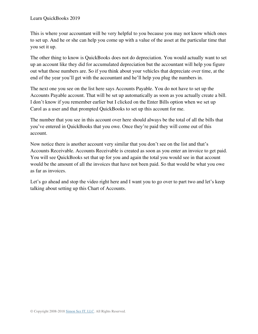This is where your accountant will be very helpful to you because you may not know which ones to set up. And he or she can help you come up with a value of the asset at the particular time that you set it up.

The other thing to know is QuickBooks does not do depreciation. You would actually want to set up an account like they did for accumulated depreciation but the accountant will help you figure out what those numbers are. So if you think about your vehicles that depreciate over time, at the end of the year you'll get with the accountant and he'll help you plug the numbers in.

The next one you see on the list here says Accounts Payable. You do not have to set up the Accounts Payable account. That will be set up automatically as soon as you actually create a bill. I don't know if you remember earlier but I clicked on the Enter Bills option when we set up Carol as a user and that prompted QuickBooks to set up this account for me.

The number that you see in this account over here should always be the total of all the bills that you've entered in QuickBooks that you owe. Once they're paid they will come out of this account.

Now notice there is another account very similar that you don't see on the list and that's Accounts Receivable. Accounts Receivable is created as soon as you enter an invoice to get paid. You will see QuickBooks set that up for you and again the total you would see in that account would be the amount of all the invoices that have not been paid. So that would be what you owe as far as invoices.

Let's go ahead and stop the video right here and I want you to go over to part two and let's keep talking about setting up this Chart of Accounts.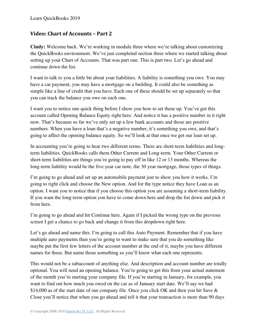## **Video: Chart of Accounts – Part 2**

**Cindy:** Welcome back. We're working in module three where we're talking about customizing the QuickBooks environment. We've just completed section three where we started talking about setting up your Chart of Accounts. That was part one. This is part two. Let's go ahead and continue down the list.

I want to talk to you a little bit about your liabilities. A liability is something you owe. You may have a car payment, you may have a mortgage on a building. It could also be something as simple like a line of credit that you have. Each one of these should be set up separately so that you can track the balance you owe on each one.

I want you to notice one quick thing before I show you how to set these up. You've got this account called Opening Balance Equity right here. And notice it has a positive number in it right now. That's because so far we've only set up a few bank accounts and those are positive numbers. When you have a loan that's a negative number, it's something you owe, and that's going to affect the opening balance equity. So we'll look at that once we get our loan set up.

In accounting you're going to hear two different terms. There are short-term liabilities and longterm liabilities. QuickBooks calls them Other Current and Long-term. Your Other Current or short-term liabilities are things you're going to pay off in like 12 or 13 months. Whereas the long-term liability would be the five year car note, the 30 year mortgage, those types of things.

I'm going to go ahead and set up an automobile payment just to show you how it works. I'm going to right click and choose the New option. And for the type notice they have Loan as an option. I want you to notice that if you choose this option you are assuming a short-term liability. If you want the long-term option you have to come down here and drop the list down and pick it from here.

I'm going to go ahead and hit Continue here. Again if I picked the wrong type on the previous screen I get a chance to go back and change it from this dropdown right here.

Let's go ahead and name this. I'm going to call this Auto Payment. Remember that if you have multiple auto payments then you're going to want to make sure that you do something like maybe put the first few letters of the account number at the end of it, maybe you have different names for these. But name those something so you'll know what each one represents.

This would not be a subaccount of anything else. And description and account number are totally optional. You will need an opening balance. You're going to get this from your actual statement of the month you're starting your company file. If you're starting in January, for example, you want to find out how much you owed on the car as of January start date. We'll say we had \$14,000 as of the start date of our company file. Once you click OK and then you hit Save & Close you'll notice that when you go ahead and tell it that your transaction is more than 90 days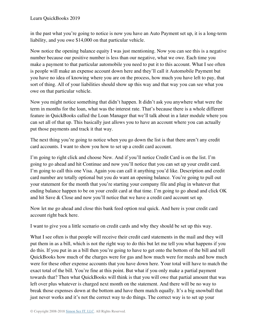Learn QuickBooks 2019

in the past what you're going to notice is now you have an Auto Payment set up, it is a long-term liability, and you owe \$14,000 on that particular vehicle.

Now notice the opening balance equity I was just mentioning. Now you can see this is a negative number because our positive number is less than our negative, what we owe. Each time you make a payment to that particular automobile you need to put it to this account. What I see often is people will make an expense account down here and they'll call it Automobile Payment but you have no idea of knowing where you are on the process, how much you have left to pay, that sort of thing. All of your liabilities should show up this way and that way you can see what you owe on that particular vehicle.

Now you might notice something that didn't happen. It didn't ask you anywhere what were the term in months for the loan, what was the interest rate. That's because there is a whole different feature in QuickBooks called the Loan Manager that we'll talk about in a later module where you can set all of that up. This basically just allows you to have an account where you can actually put those payments and track it that way.

The next thing you're going to notice when you go down the list is that there aren't any credit card accounts. I want to show you how to set up a credit card account.

I'm going to right click and choose New. And if you'll notice Credit Card is on the list. I'm going to go ahead and hit Continue and now you'll notice that you can set up your credit card. I'm going to call this one Visa. Again you can call it anything you'd like. Description and credit card number are totally optional but you do want an opening balance. You're going to pull out your statement for the month that you're starting your company file and plug in whatever that ending balance happen to be on your credit card at that time. I'm going to go ahead and click OK and hit Save & Close and now you'll notice that we have a credit card account set up.

Now let me go ahead and close this bank feed option real quick. And here is your credit card account right back here.

I want to give you a little scenario on credit cards and why they should be set up this way.

What I see often is that people will receive their credit card statements in the mail and they will put them in as a bill, which is not the right way to do this but let me tell you what happens if you do this. If you put in as a bill then you're going to have to get onto the bottom of the bill and tell QuickBooks how much of the charges were for gas and how much were for meals and how much were for these other expense accounts that you have down here. Your total will have to match the exact total of the bill. You're fine at this point. But what if you only make a partial payment towards that? Then what QuickBooks will think is that you will owe that partial amount that was left over plus whatever is charged next month on the statement. And there will be no way to break those expenses down at the bottom and have them match equally. It's a big snowball that just never works and it's not the correct way to do things. The correct way is to set up your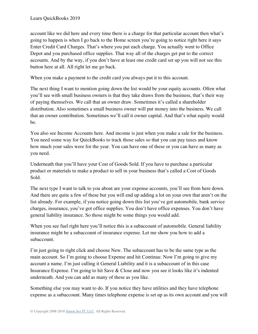account like we did here and every time there is a charge for that particular account then what's going to happen is when I go back to the Home screen you're going to notice right here it says Enter Credit Card Charges. That's where you put each charge. You actually went to Office Depot and you purchased office supplies. That way all of the charges get put to the correct accounts. And by the way, if you don't have at least one credit card set up you will not see this button here at all. All right let me go back.

When you make a payment to the credit card you always put it to this account.

The next thing I want to mention going down the list would be your equity accounts. Often what you'll see with small business owners is that they take draws from the business, that's their way of paying themselves. We call that an owner draw. Sometimes it's called a shareholder distribution. Also sometimes a small business owner will put money into the business. We call that an owner contribution. Sometimes we'll call it owner capital. And that's what equity would be.

You also see Income Accounts here. And income is just when you make a sale for the business. You need some way for QuickBooks to track those sales so that you can pay taxes and know how much your sales were for the year. You can have one of these or you can have as many as you need.

Underneath that you'll have your Cost of Goods Sold. If you have to purchase a particular product or materials to make a product to sell in your business that's called a Cost of Goods Sold.

The next type I want to talk to you about are your expense accounts, you'll see from here down. And there are quite a few of these but you will end up adding a lot on your own that aren't on the list already. For example, if you notice going down this list you've got automobile, bank service charges, insurance, you've got office supplies. You don't have office expenses. You don't have general liability insurance. So those might be some things you would add.

When you see fuel right here you'll notice this is a subaccount of automobile. General liability insurance might be a subaccount of insurance expense. Let me show you how to add a subaccount.

I'm just going to right click and choose New. The subaccount has to be the same type as the main account. So I'm going to choose Expense and hit Continue. Now I'm going to give my account a name. I'm just calling it General Liability and it is a subaccount of in this case Insurance Expense. I'm going to hit Save & Close and now you see it looks like it's indented underneath. And you can add as many of these as you like.

Something else you may want to do. If you notice they have utilities and they have telephone expense as a subaccount. Many times telephone expense is set up as its own account and you will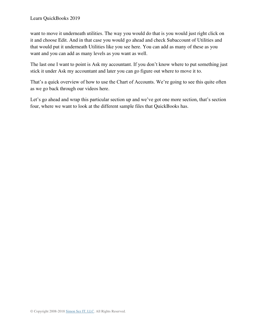want to move it underneath utilities. The way you would do that is you would just right click on it and choose Edit. And in that case you would go ahead and check Subaccount of Utilities and that would put it underneath Utilities like you see here. You can add as many of these as you want and you can add as many levels as you want as well.

The last one I want to point is Ask my accountant. If you don't know where to put something just stick it under Ask my accountant and later you can go figure out where to move it to.

That's a quick overview of how to use the Chart of Accounts. We're going to see this quite often as we go back through our videos here.

Let's go ahead and wrap this particular section up and we've got one more section, that's section four, where we want to look at the different sample files that QuickBooks has.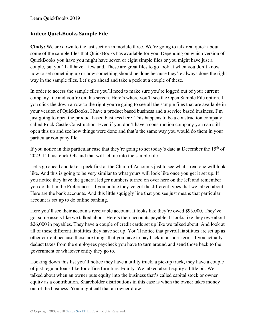Learn QuickBooks 2019

#### **Video: QuickBooks Sample File**

**Cindy:** We are down to the last section in module three. We're going to talk real quick about some of the sample files that QuickBooks has available for you. Depending on which version of QuickBooks you have you might have seven or eight simple files or you might have just a couple, but you'll all have a few and. These are great files to go look at when you don't know how to set something up or how something should be done because they're always done the right way in the sample files. Let's go ahead and take a peek at a couple of these.

In order to access the sample files you'll need to make sure you're logged out of your current company file and you're on this screen. Here's where you'll see the Open Sample File option. If you click the down arrow to the right you're going to see all the sample files that are available in your version of QuickBooks. I have a product based business and a service based business. I'm just going to open the product based business here. This happens to be a construction company called Rock Castle Construction. Even if you don't have a construction company you can still open this up and see how things were done and that's the same way you would do them in your particular company file.

If you notice in this particular case that they're going to set today's date at December the  $15<sup>th</sup>$  of 2023. I'll just click OK and that will let me into the sample file.

Let's go ahead and take a peek first at the Chart of Accounts just to see what a real one will look like. And this is going to be very similar to what yours will look like once you get it set up. If you notice they have the general ledger numbers turned on over here on the left and remember you do that in the Preferences. If you notice they've got the different types that we talked about. Here are the bank accounts. And this little squiggly line that you see just means that particular account is set up to do online banking.

Here you'll see their accounts receivable account. It looks like they're owed \$93,000. They've got some assets like we talked about. Here's their accounts payable. It looks like they owe about \$26,000 in payables. They have a couple of credit cards set up like we talked about. And look at all of these different liabilities they have set up. You'll notice that payroll liabilities are set up as other current because those are things that you have to pay back in a short-term. If you actually deduct taxes from the employees paycheck you have to turn around and send those back to the government or whatever entity they go to.

Looking down this list you'll notice they have a utility truck, a pickup truck, they have a couple of just regular loans like for office furniture. Equity. We talked about equity a little bit. We talked about when an owner puts equity into the business that's called capital stock or owner equity as a contribution. Shareholder distributions in this case is when the owner takes money out of the business. You might call that an owner draw.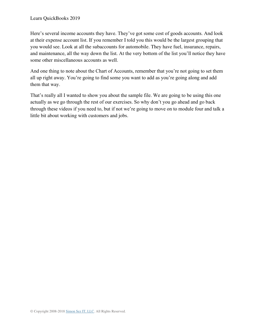Here's several income accounts they have. They've got some cost of goods accounts. And look at their expense account list. If you remember I told you this would be the largest grouping that you would see. Look at all the subaccounts for automobile. They have fuel, insurance, repairs, and maintenance, all the way down the list. At the very bottom of the list you'll notice they have some other miscellaneous accounts as well.

And one thing to note about the Chart of Accounts, remember that you're not going to set them all up right away. You're going to find some you want to add as you're going along and add them that way.

That's really all I wanted to show you about the sample file. We are going to be using this one actually as we go through the rest of our exercises. So why don't you go ahead and go back through these videos if you need to, but if not we're going to move on to module four and talk a little bit about working with customers and jobs.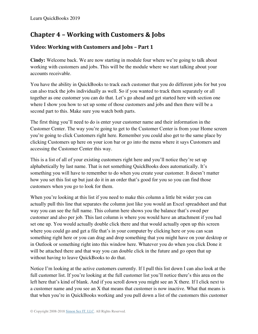# **Chapter 4 – Working with Customers & Jobs**

# **Video: Working with Customers and Jobs – Part 1**

**Cindy:** Welcome back. We are now starting in module four where we're going to talk about working with customers and jobs. This will be the module where we start talking about your accounts receivable.

You have the ability in QuickBooks to track each customer that you do different jobs for but you can also track the jobs individually as well. So if you wanted to track them separately or all together as one customer you can do that. Let's go ahead and get started here with section one where I show you how to set up some of those customers and jobs and then there will be a second part to this. Make sure you watch both parts.

The first thing you'll need to do is enter your customer name and their information in the Customer Center. The way you're going to get to the Customer Center is from your Home screen you're going to click Customers right here. Remember you could also get to the same place by clicking Customers up here on your icon bar or go into the menu where it says Customers and accessing the Customer Center this way.

This is a list of all of your existing customers right here and you'll notice they're set up alphabetically by last name. That is not something QuickBooks does automatically. It's something you will have to remember to do when you create your customer. It doesn't matter how you set this list up but just do it in an order that's good for you so you can find those customers when you go to look for them.

When you're looking at this list if you need to make this column a little bit wider you can actually pull this line that separates the column just like you would an Excel spreadsheet and that way you can see the full name. This column here shows you the balance that's owed per customer and also per job. This last column is where you would have an attachment if you had set one up. You would actually double click there and that would actually open up this screen where you could go and get a file that's in your computer by clicking here or you can scan something right here or you can drag and drop something that you might have on your desktop or in Outlook or something right into this window here. Whatever you do when you click Done it will be attached there and that way you can double click in the future and go open that up without having to leave QuickBooks to do that.

Notice I'm looking at the active customers currently. If I pull this list down I can also look at the full customer list. If you're looking at the full customer list you'll notice there's this area on the left here that's kind of blank. And if you scroll down you might see an X there. If I click next to a customer name and you see an X that means that customer is now inactive. What that means is that when you're in QuickBooks working and you pull down a list of the customers this customer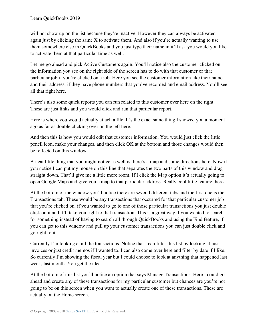will not show up on the list because they're inactive. However they can always be activated again just by clicking the same X to activate them. And also if you're actually wanting to use them somewhere else in QuickBooks and you just type their name in it'll ask you would you like to activate them at that particular time as well.

Let me go ahead and pick Active Customers again. You'll notice also the customer clicked on the information you see on the right side of the screen has to do with that customer or that particular job if you're clicked on a job. Here you see the customer information like their name and their address, if they have phone numbers that you've recorded and email address. You'll see all that right here.

There's also some quick reports you can run related to this customer over here on the right. These are just links and you would click and run that particular report.

Here is where you would actually attach a file. It's the exact same thing I showed you a moment ago as far as double clicking over on the left here.

And then this is how you would edit that customer information. You would just click the little pencil icon, make your changes, and then click OK at the bottom and those changes would then be reflected on this window.

A neat little thing that you might notice as well is there's a map and some directions here. Now if you notice I can put my mouse on this line that separates the two parts of this window and drag straight down. That'll give me a little more room. If I click the Map option it's actually going to open Google Maps and give you a map to that particular address. Really cool little feature there.

At the bottom of the window you'll notice there are several different tabs and the first one is the Transactions tab. These would be any transactions that occurred for that particular customer job that you're clicked on. if you wanted to go to one of those particular transactions you just double click on it and it'll take you right to that transaction. This is a great way if you wanted to search for something instead of having to search all through QuickBooks and using the Find feature, if you can get to this window and pull up your customer transactions you can just double click and go right to it.

Currently I'm looking at all the transactions. Notice that I can filter this list by looking at just invoices or just credit memos if I wanted to. I can also come over here and filter by date if I like. So currently I'm showing the fiscal year but I could choose to look at anything that happened last week, last month. You get the idea.

At the bottom of this list you'll notice an option that says Manage Transactions. Here I could go ahead and create any of these transactions for my particular customer but chances are you're not going to be on this screen when you want to actually create one of these transactions. These are actually on the Home screen.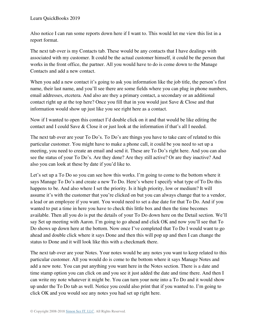Also notice I can run some reports down here if I want to. This would let me view this list in a report format.

The next tab over is my Contacts tab. These would be any contacts that I have dealings with associated with my customer. It could be the actual customer himself, it could be the person that works in the front office, the partner. All you would have to do is come down to the Manage Contacts and add a new contact.

When you add a new contact it's going to ask you information like the job title, the person's first name, their last name, and you'll see there are some fields where you can plug in phone numbers, email addresses, etcetera. And also are they a primary contact, a secondary or an additional contact right up at the top here? Once you fill that in you would just Save & Close and that information would show up just like you see right here as a contact.

Now if I wanted to open this contact I'd double click on it and that would be like editing the contact and I could Save & Close it or just look at the information if that's all I needed.

The next tab over are your To Do's. To Do's are things you have to take care of related to this particular customer. You might have to make a phone call, it could be you need to set up a meeting, you need to create an email and send it. These are To Do's right here. And you can also see the status of your To Do's. Are they done? Are they still active? Or are they inactive? And also you can look at these by date if you'd like to.

Let's set up a To Do so you can see how this works. I'm going to come to the bottom where it says Manage To Do's and create a new To Do. Here's where I specify what type of To Do this happens to be. And also where I set the priority. Is it high priority, low or medium? It will assume it's with the customer that you're clicked on but you can always change that to a vendor, a lead or an employee if you want. You would need to set a due date for that To Do. And if you wanted to put a time in here you have to check this little box and then the time becomes available. Then all you do is put the details of your To Do down here on the Detail section. We'll say Set up meeting with Aaron. I'm going to go ahead and click OK and now you'll see that To Do shows up down here at the bottom. Now once I've completed that To Do I would want to go ahead and double click where it says Done and then this will pop up and then I can change the status to Done and it will look like this with a checkmark there.

The next tab over are your Notes. Your notes would be any notes you want to keep related to this particular customer. All you would do is come to the bottom where it says Manage Notes and add a new note. You can put anything you want here in the Notes section. There is a date and time stamp option you can click on and you see it just added the date and time there. And then I can write my note whatever it might be. You can turn your note into a To Do and it would show up under the To Do tab as well. Notice you could also print that if you wanted to. I'm going to click OK and you would see any notes you had set up right here.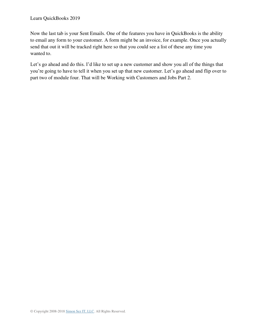Now the last tab is your Sent Emails. One of the features you have in QuickBooks is the ability to email any form to your customer. A form might be an invoice, for example. Once you actually send that out it will be tracked right here so that you could see a list of these any time you wanted to.

Let's go ahead and do this. I'd like to set up a new customer and show you all of the things that you're going to have to tell it when you set up that new customer. Let's go ahead and flip over to part two of module four. That will be Working with Customers and Jobs Part 2.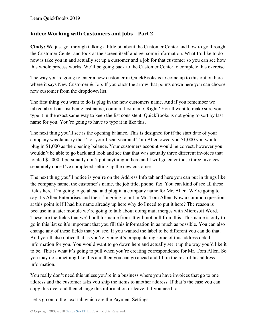## **Video: Working with Customers and Jobs – Part 2**

**Cindy:** We just got through talking a little bit about the Customer Center and how to go through the Customer Center and look at the screen itself and get some information. What I'd like to do now is take you in and actually set up a customer and a job for that customer so you can see how this whole process works. We'll be going back to the Customer Center to complete this exercise.

The way you're going to enter a new customer in QuickBooks is to come up to this option here where it says New Customer & Job. If you click the arrow that points down here you can choose new customer from the dropdown list.

The first thing you want to do is plug in the new customers name. And if you remember we talked about our list being last name, comma, first name. Right? You'll want to make sure you type it in the exact same way to keep the list consistent. QuickBooks is not going to sort by last name for you. You're going to have to type it in like this.

The next thing you'll see is the opening balance. This is designed for if the start date of your company was January the  $1<sup>st</sup>$  of your fiscal year and Tom Allen owed you \$1,000 you would plug in \$1,000 as the opening balance. Your customers account would be correct, however you wouldn't be able to go back and look and see that that was actually three different invoices that totaled \$1,000. I personally don't put anything in here and I will go enter those three invoices separately once I've completed setting up the new customer.

The next thing you'll notice is you're on the Address Info tab and here you can put in things like the company name, the customer's name, the job title, phone, fax. You can kind of see all these fields here. I'm going to go ahead and plug in a company name for Mr. Allen. We're going to say it's Allen Enterprises and then I'm going to put in Mr. Tom Allen. Now a common question at this point is if I had his name already up here why do I need to put it here? The reason is because in a later module we're going to talk about doing mail merges with Microsoft Word. These are the fields that we'll pull his name from. It will not pull from this. This name is only to go in this list so it's important that you fill this information in as much as possible. You can also change any of these fields that you see. If you wanted the label to be different you can do that. And you'll also notice that as you're typing it's prepopulating some of this address detail information for you. You would want to go down here and actually set it up the way you'd like it to be. This is what it's going to pull when you're creating correspondence for Mr. Tom Allen. So you may do something like this and then you can go ahead and fill in the rest of his address information.

You really don't need this unless you're in a business where you have invoices that go to one address and the customer asks you ship the items to another address. If that's the case you can copy this over and then change this information or leave it if you need to.

Let's go on to the next tab which are the Payment Settings.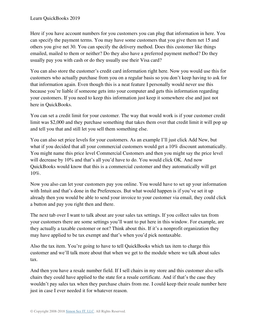Here if you have account numbers for you customers you can plug that information in here. You can specify the payment terms. You may have some customers that you give them net 15 and others you give net 30. You can specify the delivery method. Does this customer like things emailed, mailed to them or neither? Do they also have a preferred payment method? Do they usually pay you with cash or do they usually use their Visa card?

You can also store the customer's credit card information right here. Now you would use this for customers who actually purchase from you on a regular basis so you don't keep having to ask for that information again. Even though this is a neat feature I personally would never use this because you're liable if someone gets into your computer and gets this information regarding your customers. If you need to keep this information just keep it somewhere else and just not here in QuickBooks.

You can set a credit limit for your customer. The way that would work is if your customer credit limit was \$2,000 and they purchase something that takes them over that credit limit it will pop up and tell you that and still let you sell them something else.

You can also set price levels for your customers. As an example I'll just click Add New, but what if you decided that all your commercial customers would get a 10% discount automatically. You might name this price level Commercial Customers and then you might say the price level will decrease by 10% and that's all you'd have to do. You would click OK. And now QuickBooks would know that this is a commercial customer and they automatically will get 10%.

Now you also can let your customers pay you online. You would have to set up your information with Intuit and that's done in the Preferences. But what would happen is if you've set it up already then you would be able to send your invoice to your customer via email, they could click a button and pay you right then and there.

The next tab over I want to talk about are your sales tax settings. If you collect sales tax from your customers there are some settings you'll want to put here in this window. For example, are they actually a taxable customer or not? Think about this. If it's a nonprofit organization they may have applied to be tax exempt and that's when you'd pick nontaxable.

Also the tax item. You're going to have to tell QuickBooks which tax item to charge this customer and we'll talk more about that when we get to the module where we talk about sales tax.

And then you have a resale number field. If I sell chairs in my store and this customer also sells chairs they could have applied to the state for a resale certificate. And if that's the case they wouldn't pay sales tax when they purchase chairs from me. I could keep their resale number here just in case I ever needed it for whatever reason.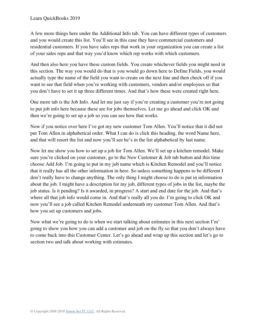A few more things here under the Additional Info tab. You can have different types of customers and you would create this list. You'll see in this case they have commercial customers and residential customers. If you have sales reps that work in your organization you can create a list of your sales reps and that way you'd know which rep works with which customers.

And then also here you have these custom fields. You create whichever fields you might need in this section. The way you would do that is you would go down here to Define Fields, you would actually type the name of the field you want to create on the next line and then check off if you want to see that field when you're working with customers, vendors and/or employees so that you don't have to set it up three different times. And that's how these were created right here.

One more tab is the Job Info. And let me just say if you're creating a customer you're not going to put job info here because these are for jobs themselves. Let me go ahead and click OK and then we're going to set up a job so you can see how that works.

Now if you notice over here I've got my new customer Tom Allen. You'll notice that it did not put Tom Allen in alphabetical order. What I can do is click this heading, the word Name here, and that will resort the list and now you'll see he's in the list alphabetical by last name.

Now let me show you how to set up a job for Tom Allen. We'll set up a kitchen remodel. Make sure you're clicked on your customer, go to the New Customer & Job tab button and this time choose Add Job. I'm going to put in my job name which is Kitchen Remodel and you'll notice that it really has all the other information in here. So unless something happens to be different I don't really have to change anything. The only thing I might choose to do is put in information about the job. I might have a description for my job, different types of jobs in the list, maybe the job status. Is it pending? Is it awarded, in progress? A start and end date for the job. And that's where all that job info would come in. And that's really all you do. I'm going to click OK and now you'll see a job called Kitchen Remodel underneath my customer Tom Allen. And that's how you set up customers and jobs.

Now what we're going to do is when we start talking about estimates in this next section I'm' going to show you how you can add a customer and job on the fly so that you don't always have to come back into this Customer Center. Let's go ahead and wrap up this section and let's go to section two and talk about working with estimates.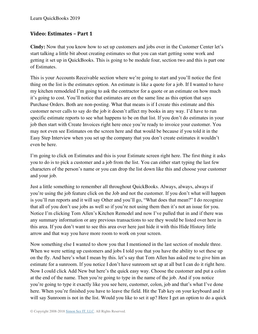## **Video: Estimates – Part 1**

**Cindy:** Now that you know how to set up customers and jobs over in the Customer Center let's start talking a little bit about creating estimates so that you can start getting some work and getting it set up in QuickBooks. This is going to be module four, section two and this is part one of Estimates.

This is your Accounts Receivable section where we're going to start and you'll notice the first thing on the list is the estimates option. An estimate is like a quote for a job. If I wanted to have my kitchen remodeled I'm going to ask the contractor for a quote or an estimate on how much it's going to cost. You'll notice that estimates are on the same line as this option that says Purchase Orders. Both are non-posting. What that means is if I create this estimate and this customer never calls to say do the job it doesn't affect my books in any way. I'd have to run specific estimate reports to see what happens to be on that list. If you don't do estimates in your job then start with Create Invoices right here once you're ready to invoice your customer. You may not even see Estimates on the screen here and that would be because if you told it in the Easy Step Interview when you set up the company that you don't create estimates it wouldn't even be here.

I'm going to click on Estimates and this is your Estimate screen right here. The first thing it asks you to do is to pick a customer and a job from the list. You can either start typing the last few characters of the person's name or you can drop the list down like this and choose your customer and your job.

Just a little something to remember all throughout QuickBooks. Always, always, always if you're using the job feature click on the Job and not the customer. If you don't what will happen is you'll run reports and it will say Other and you'll go, "What does that mean?" I do recognize that all of you don't use jobs as well so if you're not using them then it's not an issue for you. Notice I'm clicking Tom Allen's Kitchen Remodel and now I've pulled that in and if there was any summary information or any previous transactions to see they would be listed over here in this area. If you don't want to see this area over here just hide it with this Hide History little arrow and that way you have more room to work on your screen.

Now something else I wanted to show you that I mentioned in the last section of module three. When we were setting up customers and jobs I told you that you have the ability to set these up on the fly. And here's what I mean by this. let's say that Tom Allen has asked me to give him an estimate for a sunroom. If you notice I don't have sunroom set up at all but I can do it right here. Now I could click Add New but here's the quick easy way. Choose the customer and put a colon at the end of the name. Then you're going to type in the name of the job. And if you notice you're going to type it exactly like you see here, customer, colon, job and that's what I've done here. When you're finished you have to leave the field. Hit the Tab key on your keyboard and it will say Sunroom is not in the list. Would you like to set it up? Here I get an option to do a quick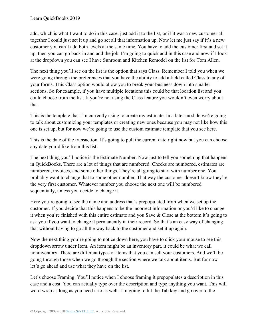add, which is what I want to do in this case, just add it to the list, or if it was a new customer all together I could just set it up and go set all that information up. Now let me just say if it's a new customer you can't add both levels at the same time. You have to add the customer first and set it up, then you can go back in and add the job. I'm going to quick add in this case and now if I look at the dropdown you can see I have Sunroom and Kitchen Remodel on the list for Tom Allen.

The next thing you'll see on the list is the option that says Class. Remember I told you when we were going through the preferences that you have the ability to add a field called Class to any of your forms. This Class option would allow you to break your business down into smaller sections. So for example, if you have multiple locations this could be that location list and you could choose from the list. If you're not using the Class feature you wouldn't even worry about that.

This is the template that I'm currently using to create my estimate. In a later module we're going to talk about customizing your templates or creating new ones because you may not like how this one is set up, but for now we're going to use the custom estimate template that you see here.

This is the date of the transaction. It's going to pull the current date right now but you can choose any date you'd like from this list.

The next thing you'll notice is the Estimate Number. Now just to tell you something that happens in QuickBooks. There are a lot of things that are numbered. Checks are numbered, estimates are numbered, invoices, and some other things. They're all going to start with number one. You probably want to change that to some other number. That way the customer doesn't know they're the very first customer. Whatever number you choose the next one will be numbered sequentially, unless you decide to change it.

Here you're going to see the name and address that's prepopulated from when we set up the customer. If you decide that this happens to be the incorrect information or you'd like to change it when you're finished with this entire estimate and you Save & Close at the bottom it's going to ask you if you want to change it permanently in their record. So that's an easy way of changing that without having to go all the way back to the customer and set it up again.

Now the next thing you're going to notice down here, you have to click your mouse to see this dropdown arrow under Item. An item might be an inventory part, it could be what we call noninventory. There are different types of items that you can sell your customers. And we'll be going through those when we go through the section where we talk about items. But for now let's go ahead and use what they have on the list.

Let's choose Framing. You'll notice when I choose framing it prepopulates a description in this case and a cost. You can actually type over the description and type anything you want. This will word wrap as long as you need it to as well. I'm going to hit the Tab key and go over to the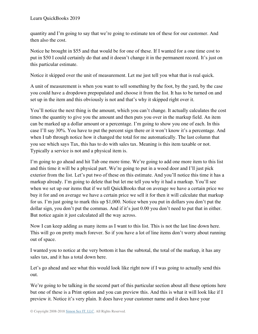quantity and I'm going to say that we're going to estimate ten of these for our customer. And then also the cost.

Notice he brought in \$55 and that would be for one of these. If I wanted for a one time cost to put in \$50 I could certainly do that and it doesn't change it in the permanent record. It's just on this particular estimate.

Notice it skipped over the unit of measurement. Let me just tell you what that is real quick.

A unit of measurement is when you want to sell something by the foot, by the yard, by the case you could have a dropdown prepopulated and choose it from the list. It has to be turned on and set up in the item and this obviously is not and that's why it skipped right over it.

You'll notice the next thing is the amount, which you can't change. It actually calculates the cost times the quantity to give you the amount and then puts you over in the markup field. An item can be marked up a dollar amount or a percentage. I'm going to show you one of each. In this case I'll say 30%. You have to put the percent sign there or it won't know it's a percentage. And when I tab through notice how it changed the total for me automatically. The last column that you see which says Tax, this has to do with sales tax. Meaning is this item taxable or not. Typically a service is not and a physical item is.

I'm going to go ahead and hit Tab one more time. We're going to add one more item to this list and this time it will be a physical part. We're going to put in a wood door and I'll just pick exterior from the list. Let's put two of these on this estimate. And you'll notice this time it has a markup already. I'm going to delete that but let me tell you why it had a markup. You'll see when we set up our items that if we tell QuickBooks that on average we have a certain price we buy it for and on average we have a certain price we sell it for then it will calculate that markup for us. I'm just going to mark this up \$1,000. Notice when you put in dollars you don't put the dollar sign, you don't put the commas. And if it's just 0.00 you don't need to put that in either. But notice again it just calculated all the way across.

Now I can keep adding as many items as I want to this list. This is not the last line down here. This will go on pretty much forever. So if you have a lot of line items don't worry about running out of space.

I wanted you to notice at the very bottom it has the subtotal, the total of the markup, it has any sales tax, and it has a total down here.

Let's go ahead and see what this would look like right now if I was going to actually send this out.

We're going to be talking in the second part of this particular section about all these options here but one of these is a Print option and you can preview this. And this is what it will look like if I preview it. Notice it's very plain. It does have your customer name and it does have your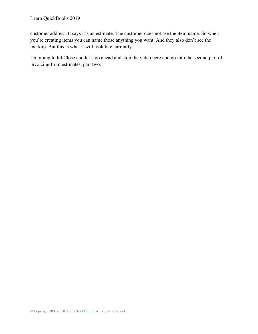customer address. It says it's an estimate. The customer does not see the item name. So when you're creating items you can name those anything you want. And they also don't see the markup. But this is what it will look like currently.

I'm going to hit Close and let's go ahead and stop the video here and go into the second part of invoicing from estimates, part two.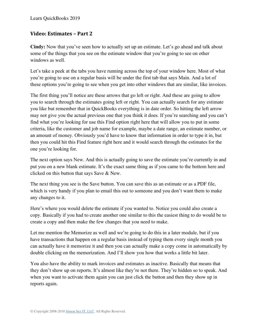## **Video: Estimates – Part 2**

**Cindy:** Now that you've seen how to actually set up an estimate. Let's go ahead and talk about some of the things that you see on the estimate window that you're going to see on other windows as well.

Let's take a peek at the tabs you have running across the top of your window here. Most of what you're going to use on a regular basis will be under the first tab that says Main. And a lot of these options you're going to see when you get into other windows that are similar, like invoices.

The first thing you'll notice are these arrows that go left or right. And these are going to allow you to search through the estimates going left or right. You can actually search for any estimate you like but remember that in QuickBooks everything is in date order. So hitting the left arrow may not give you the actual previous one that you think it does. If you're searching and you can't find what you're looking for use this Find option right here that will allow you to put in some criteria, like the customer and job name for example, maybe a date range, an estimate number, or an amount of money. Obviously you'd have to know that information in order to type it in, but then you could hit this Find feature right here and it would search through the estimates for the one you're looking for.

The next option says New. And this is actually going to save the estimate you're currently in and put you on a new blank estimate. It's the exact same thing as if you came to the bottom here and clicked on this button that says Save & New.

The next thing you see is the Save button. You can save this as an estimate or as a PDF file, which is very handy if you plan to email this out to someone and you don't want them to make any changes to it.

Here's where you would delete the estimate if you wanted to. Notice you could also create a copy. Basically if you had to create another one similar to this the easiest thing to do would be to create a copy and then make the few changes that you need to make.

Let me mention the Memorize as well and we're going to do this in a later module, but if you have transactions that happen on a regular basis instead of typing them every single month you can actually have it memorize it and then you can actually make a copy come in automatically by double clicking on the memorization. And I'll show you how that works a little bit later.

You also have the ability to mark invoices and estimates as inactive. Basically that means that they don't show up on reports. It's almost like they're not there. They're hidden so to speak. And when you want to activate them again you can just click the button and then they show up in reports again.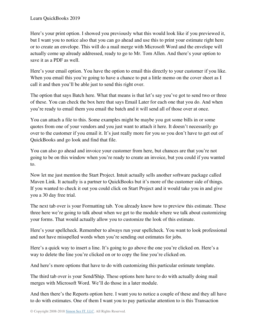Here's your print option. I showed you previously what this would look like if you previewed it, but I want you to notice also that you can go ahead and use this to print your estimate right here or to create an envelope. This will do a mail merge with Microsoft Word and the envelope will actually come up already addressed, ready to go to Mr. Tom Allen. And there's your option to save it as a PDF as well.

Here's your email option. You have the option to email this directly to your customer if you like. When you email this you're going to have a chance to put a little memo on the cover sheet as I call it and then you'll be able just to send this right over.

The option that says Batch here. What that means is that let's say you've got to send two or three of these. You can check the box here that says Email Later for each one that you do. And when you're ready to email them you email the batch and it will send all of those over at once.

You can attach a file to this. Some examples might be maybe you got some bills in or some quotes from one of your vendors and you just want to attach it here. It doesn't necessarily go over to the customer if you email it. It's just really more for you so you don't have to get out of QuickBooks and go look and find that file.

You can also go ahead and invoice your customer from here, but chances are that you're not going to be on this window when you're ready to create an invoice, but you could if you wanted to.

Now let me just mention the Start Project. Intuit actually sells another software package called Maven Link. It actually is a partner to QuickBooks but it's more of the customer side of things. If you wanted to check it out you could click on Start Project and it would take you in and give you a 30 day free trial.

The next tab over is your Formatting tab. You already know how to preview this estimate. These three here we're going to talk about when we get to the module where we talk about customizing your forms. That would actually allow you to customize the look of this estimate.

Here's your spellcheck. Remember to always run your spellcheck. You want to look professional and not have misspelled words when you're sending out estimates for jobs.

Here's a quick way to insert a line. It's going to go above the one you're clicked on. Here's a way to delete the line you're clicked on or to copy the line you're clicked on.

And here's more options that have to do with customizing this particular estimate template.

The third tab over is your Send/Ship. These options here have to do with actually doing mail merges with Microsoft Word. We'll do those in a later module.

And then there's the Reports option here. I want you to notice a couple of these and they all have to do with estimates. One of them I want you to pay particular attention to is this Transaction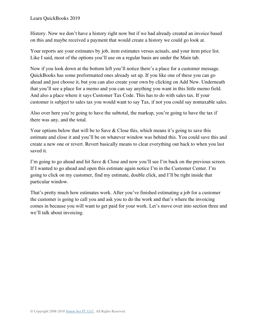History. Now we don't have a history right now but if we had already created an invoice based on this and maybe received a payment that would create a history we could go look at.

Your reports are your estimates by job, item estimates versus actuals, and your item price list. Like I said, most of the options you'll use on a regular basis are under the Main tab.

Now if you look down at the bottom left you'll notice there's a place for a customer message. QuickBooks has some preformatted ones already set up. If you like one of these you can go ahead and just choose it, but you can also create your own by clicking on Add New. Underneath that you'll see a place for a memo and you can say anything you want in this little memo field. And also a place where it says Customer Tax Code. This has to do with sales tax. If your customer is subject to sales tax you would want to say Tax, if not you could say nontaxable sales.

Also over here you're going to have the subtotal, the markup, you're going to have the tax if there was any, and the total.

Your options below that will be to Save  $\&$  Close this, which means it's going to save this estimate and close it and you'll be on whatever window was behind this. You could save this and create a new one or revert. Revert basically means to clear everything out back to when you last saved it.

I'm going to go ahead and hit Save & Close and now you'll see I'm back on the previous screen. If I wanted to go ahead and open this estimate again notice I'm in the Customer Center. I'm going to click on my customer, find my estimate, double click, and I'll be right inside that particular window.

That's pretty much how estimates work. After you've finished estimating a job for a customer the customer is going to call you and ask you to do the work and that's where the invoicing comes in because you will want to get paid for your work. Let's move over into section three and we'll talk about invoicing.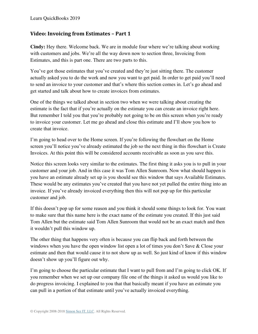#### **Video: Invoicing from Estimates – Part 1**

**Cindy:** Hey there. Welcome back. We are in module four where we're talking about working with customers and jobs. We're all the way down now to section three, Invoicing from Estimates, and this is part one. There are two parts to this.

You've got those estimates that you've created and they're just sitting there. The customer actually asked you to do the work and now you want to get paid. In order to get paid you'll need to send an invoice to your customer and that's where this section comes in. Let's go ahead and get started and talk about how to create invoices from estimates.

One of the things we talked about in section two when we were talking about creating the estimate is the fact that if you're actually on the estimate you can create an invoice right here. But remember I told you that you're probably not going to be on this screen when you're ready to invoice your customer. Let me go ahead and close this estimate and I'll show you how to create that invoice.

I'm going to head over to the Home screen. If you're following the flowchart on the Home screen you'll notice you've already estimated the job so the next thing in this flowchart is Create Invoices. At this point this will be considered accounts receivable as soon as you save this.

Notice this screen looks very similar to the estimates. The first thing it asks you is to pull in your customer and your job. And in this case it was Tom Allen Sunroom. Now what should happen is you have an estimate already set up is you should see this window that says Available Estimates. These would be any estimates you've created that you have not yet pulled the entire thing into an invoice. If you've already invoiced everything then this will not pop up for this particular customer and job.

If this doesn't pop up for some reason and you think it should some things to look for. You want to make sure that this name here is the exact name of the estimate you created. If this just said Tom Allen but the estimate said Tom Allen Sunroom that would not be an exact match and then it wouldn't pull this window up.

The other thing that happens very often is because you can flip back and forth between the windows when you have the open window list open a lot of times you don't Save & Close your estimate and then that would cause it to not show up as well. So just kind of know if this window doesn't show up you'll figure out why.

I'm going to choose the particular estimate that I want to pull from and I'm going to click OK. If you remember when we set up our company file one of the things it asked us would you like to do progress invoicing. I explained to you that that basically meant if you have an estimate you can pull in a portion of that estimate until you've actually invoiced everything.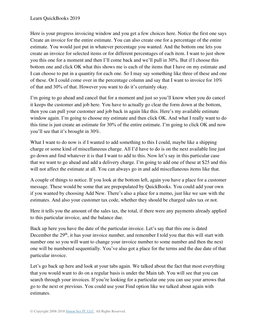Here is your progress invoicing window and you get a few choices here. Notice the first one says Create an invoice for the entire estimate. You can also create one for a percentage of the entire estimate. You would just put in whatever percentage you wanted. And the bottom one lets you create an invoice for selected items or for different percentages of each item. I want to just show you this one for a moment and then I'll come back and we'll pull in 30%. But if I choose this bottom one and click OK what this shows me is each of the items that I have on my estimate and I can choose to put in a quantity for each one. So I may say something like three of these and one of these. Or I could come over in the percentage column and say that I want to invoice for 10% of that and 30% of that. However you want to do it's certainly okay.

I'm going to go ahead and cancel that for a moment and just so you'll know when you do cancel it keeps the customer and job here. You have to actually go clear the form down at the bottom, then you can pull your customer and job back in again like this. Here's my available estimate window again. I'm going to choose my estimate and then click OK. And what I really want to do this time is just create an estimate for 30% of the entire estimate. I'm going to click OK and now you'll see that it's brought in 30%.

What I want to do now is if I wanted to add something to this I could, maybe like a shipping charge or some kind of miscellaneous charge. All I'd have to do is on the next available line just go down and find whatever it is that I want to add to this. Now let's say in this particular case that we want to go ahead and add a delivery charge. I'm going to add one of these at \$25 and this will not affect the estimate at all. You can always go in and add miscellaneous items like that.

A couple of things to notice. If you look at the bottom left, again you have a place for a customer message. These would be some that are prepopulated by QuickBooks. You could add your own if you wanted by choosing Add New. There's also a place for a memo, just like we saw with the estimates. And also your customer tax code, whether they should be charged sales tax or not.

Here it tells you the amount of the sales tax, the total, if there were any payments already applied to this particular invoice, and the balance due.

Back up here you have the date of the particular invoice. Let's say that this one is dated December the 29<sup>th</sup>, it has your invoice number, and remember I told you that this will start with number one so you will want to change your invoice number to some number and then the next one will be numbered sequentially. You've also got a place for the terms and the due date of that particular invoice.

Let's go back up here and look at your tabs again. We talked about the fact that most everything that you would want to do on a regular basis is under the Main tab. You will see that you can search through your invoices. If you're looking for a particular one you can use your arrows that go to the next or previous. You could use your Find option like we talked about again with estimates.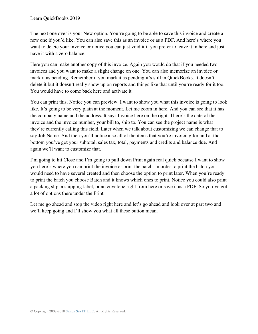The next one over is your New option. You're going to be able to save this invoice and create a new one if you'd like. You can also save this as an invoice or as a PDF. And here's where you want to delete your invoice or notice you can just void it if you prefer to leave it in here and just have it with a zero balance.

Here you can make another copy of this invoice. Again you would do that if you needed two invoices and you want to make a slight change on one. You can also memorize an invoice or mark it as pending. Remember if you mark it as pending it's still in QuickBooks. It doesn't delete it but it doesn't really show up on reports and things like that until you're ready for it too. You would have to come back here and activate it.

You can print this. Notice you can preview. I want to show you what this invoice is going to look like. It's going to be very plain at the moment. Let me zoom in here. And you can see that it has the company name and the address. It says Invoice here on the right. There's the date of the invoice and the invoice number, your bill to, ship to. You can see the project name is what they're currently calling this field. Later when we talk about customizing we can change that to say Job Name. And then you'll notice also all of the items that you're invoicing for and at the bottom you've got your subtotal, sales tax, total, payments and credits and balance due. And again we'll want to customize that.

I'm going to hit Close and I'm going to pull down Print again real quick because I want to show you here's where you can print the invoice or print the batch. In order to print the batch you would need to have several created and then choose the option to print later. When you're ready to print the batch you choose Batch and it knows which ones to print. Notice you could also print a packing slip, a shipping label, or an envelope right from here or save it as a PDF. So you've got a lot of options there under the Print.

Let me go ahead and stop the video right here and let's go ahead and look over at part two and we'll keep going and I'll show you what all these button mean.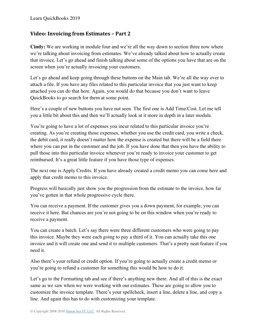#### **Video: Invoicing from Estimates – Part 2**

**Cindy:** We are working in module four and we're all the way down to section three now where we're talking about invoicing from estimates. We've already talked about how to actually create that invoice. Let's go ahead and finish talking about some of the options you have that are on the screen when you're actually invoicing your customers.

Let's go ahead and keep going through these buttons on the Main tab. We're all the way over to attach a file. If you have any files related to this particular invoice that you just want to keep attached you can do that here. Again, you would do that because you don't want to leave QuickBooks to go search for them at some point.

Here's a couple of new buttons you have not seen. The first one is Add Time/Cost. Let me tell you a little bit about this and then we'll actually look at it more in depth in a later module.

You're going to have a lot of expenses you incur related to this particular invoice you're creating. As you're creating those expenses, whether you use the credit card, you write a check, the debit card, it really doesn't matter how the expense is created but there will be a field there where you can put in the customer and the job. If you have done that then you have the ability to pull those into this particular invoice whenever you're ready to invoice your customer to get reimbursed. It's a great little feature if you have those type of expenses.

The next one is Apply Credits. If you have already created a credit memo you can come here and apply that credit memo to this invoice.

Progress will basically just show you the progression from the estimate to the invoice, how far you've gotten in that whole progressive cycle there.

You can receive a payment. If the customer gives you a down payment, for example, you can receive it here. But chances are you're not going to be on this window when you're ready to receive a payment.

You can create a batch. Let's say there were three different customers who were going to pay this invoice. Maybe they were each going to pay a third of it. You can actually take this one invoice and it will create one and send it to multiple customers. That's a pretty neat feature if you need it.

Also there's your refund or credit option. If you're going to actually create a credit memo or you're going to refund a customer for something this would be how to do it.

Let's go to the Formatting tab and see if there's anything new there. And all of this is the exact same as we saw when we were working with our estimates. These are going to allow you to customize the invoice template. There's your spellcheck, insert a line, delete a line, and copy a line. And again this has to do with customizing your template.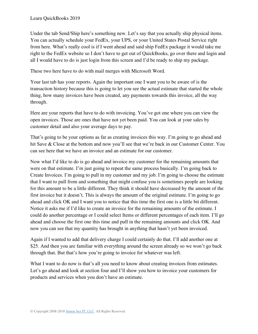Under the tab Send/Ship here's something new. Let's say that you actually ship physical items. You can actually schedule your FedEx, your UPS, or your United States Postal Service right from here. What's really cool is if I went ahead and said ship FedEx package it would take me right to the FedEx website so I don't have to get out of QuickBooks, go over there and login and all I would have to do is just login from this screen and I'd be ready to ship my package.

These two here have to do with mail merges with Microsoft Word.

Your last tab has your reports. Again the important one I want you to be aware of is the transaction history because this is going to let you see the actual estimate that started the whole thing, how many invoices have been created, any payments towards this invoice, all the way through.

Here are your reports that have to do with invoicing. You've got one where you can view the open invoices. Those are ones that have not yet been paid. You can look at your sales by customer detail and also your average days to pay.

That's going to be your options as far as creating invoices this way. I'm going to go ahead and hit Save & Close at the bottom and now you'll see that we're back in our Customer Center. You can see here that we have an invoice and an estimate for our customer.

Now what I'd like to do is go ahead and invoice my customer for the remaining amounts that were on that estimate. I'm just going to repeat the same process basically. I'm going back to Create Invoices. I'm going to pull in my customer and my job. I'm going to choose the estimate that I want to pull from and something that might confuse you is sometimes people are looking for this amount to be a little different. They think it should have decreased by the amount of the first invoice but it doesn't. This is always the amount of the original estimate. I'm going to go ahead and click OK and I want you to notice that this time the first one is a little bit different. Notice it asks me if I'd like to create an invoice for the remaining amounts of the estimate. I could do another percentage or I could select Items or different percentages of each item. I'll go ahead and choose the first one this time and pull in the remaining amounts and click OK. And now you can see that my quantity has brought in anything that hasn't yet been invoiced.

Again if I wanted to add that delivery charge I could certainly do that. I'll add another one at \$25. And then you are familiar with everything around the screen already so we won't go back through that. But that's how you're going to invoice for whatever was left.

What I want to do now is that's all you need to know about creating invoices from estimates. Let's go ahead and look at section four and I'll show you how to invoice your customers for products and services when you don't have an estimate.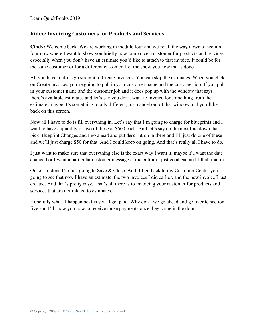## **Video: Invoicing Customers for Products and Services**

**Cindy:** Welcome back. We are working in module four and we're all the way down to section four now where I want to show you briefly how to invoice a customer for products and services, especially when you don't have an estimate you'd like to attach to that invoice. It could be for the same customer or for a different customer. Let me show you how that's done.

All you have to do is go straight to Create Invoices. You can skip the estimates. When you click on Create Invoices you're going to pull in your customer name and the customer job. If you pull in your customer name and the customer job and it does pop up with the window that says there's available estimates and let's say you don't want to invoice for something from the estimate, maybe it's something totally different, just cancel out of that window and you'll be back on this screen.

Now all I have to do is fill everything in. Let's say that I'm going to charge for blueprints and I want to have a quantity of two of these at \$500 each. And let's say on the next line down that I pick Blueprint Changes and I go ahead and put description in there and I'll just do one of these and we'll just charge \$50 for that. And I could keep on going. And that's really all I have to do.

I just want to make sure that everything else is the exact way I want it. maybe if I want the date changed or I want a particular customer message at the bottom I just go ahead and fill all that in.

Once I'm done I'm just going to Save & Close. And if I go back to my Customer Center you're going to see that now I have an estimate, the two invoices I did earlier, and the new invoice I just created. And that's pretty easy. That's all there is to invoicing your customer for products and services that are not related to estimates.

Hopefully what'll happen next is you'll get paid. Why don't we go ahead and go over to section five and I'll show you how to receive those payments once they come in the door.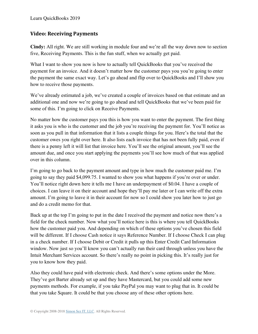Learn QuickBooks 2019

#### **Video: Receiving Payments**

**Cindy:** All right. We are still working in module four and we're all the way down now to section five, Receiving Payments. This is the fun stuff, when we actually get paid.

What I want to show you now is how to actually tell QuickBooks that you've received the payment for an invoice. And it doesn't matter how the customer pays you you're going to enter the payment the same exact way. Let's go ahead and flip over to QuickBooks and I'll show you how to receive those payments.

We've already estimated a job, we've created a couple of invoices based on that estimate and an additional one and now we're going to go ahead and tell QuickBooks that we've been paid for some of this. I'm going to click on Receive Payments.

No matter how the customer pays you this is how you want to enter the payment. The first thing it asks you is who is the customer and the job you're receiving the payment for. You'll notice as soon as you pull in that information that it lists a couple things for you. Here's the total that the customer owes you right over here. It also lists each invoice that has not been fully paid, even if there is a penny left it will list that invoice here. You'll see the original amount, you'll see the amount due, and once you start applying the payments you'll see how much of that was applied over in this column.

I'm going to go back to the payment amount and type in how much the customer paid me. I'm going to say they paid \$4,099.75. I wanted to show you what happens if you're over or under. You'll notice right down here it tells me I have an underpayment of \$0.04. I have a couple of choices. I can leave it on their account and hope they'll pay me later or I can write off the extra amount. I'm going to leave it in their account for now so I could show you later how to just go and do a credit memo for that.

Back up at the top I'm going to put in the date I received the payment and notice now there's a field for the check number. Now what you'll notice here is this is where you tell QuickBooks how the customer paid you. And depending on which of these options you've chosen this field will be different. If I choose Cash notice it says Reference Number. If I choose Check I can plug in a check number. If I choose Debit or Credit it pulls up this Enter Credit Card Information window. Now just so you'll know you can't actually run their card through unless you have the Intuit Merchant Services account. So there's really no point in picking this. It's really just for you to know how they paid.

Also they could have paid with electronic check. And there's some options under the More. They've got Barter already set up and they have Mastercard, but you could add some new payments methods. For example, if you take PayPal you may want to plug that in. It could be that you take Square. It could be that you choose any of these other options here.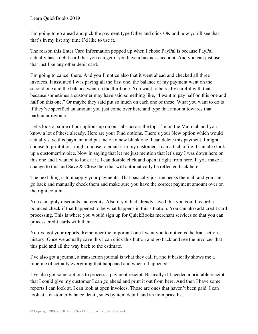I'm going to go ahead and pick the payment type Other and click OK and now you'll see that that's in my list any time I'd like to use it.

The reason this Enter Card Information popped up when I chose PayPal is because PayPal actually has a debit card that you can get if you have a business account. And you can just use that just like any other debit card.

I'm going to cancel there. And you'll notice also that it went ahead and checked all three invoices. It assumed I was paying all the first one, the balance of my payment went on the second one and the balance went on the third one. You want to be really careful with that because sometimes a customer may have said something like, "I want to pay half on this one and half on this one." Or maybe they said put so much on each one of these. What you want to do is if they've specified an amount you just come over here and type that amount towards that particular invoice.

Let's look at some of our options up on our tabs across the top. I'm on the Main tab and you know a lot of these already. Here are your Find options. There's your New option which would actually save this payment and put me on a new blank one. I can delete this payment. I might choose to print it or I might choose to email it to my customer. I can attach a file. I can also look up a customer/invoice. Now in saying that let me just mention that let's say I was down here on this one and I wanted to look at it. I can double click and open it right from here. If you make a change to this and Save & Close then that will automatically be reflected back here.

The next thing is to unapply your payments. That basically just unchecks them all and you can go back and manually check them and make sure you have the correct payment amount over on the right column.

You can apply discounts and credits. Also if you had already saved this you could record a bounced check if that happened to be what happens in this situation. You can also add credit card processing. This is where you would sign up for QuickBooks merchant services so that you can process credit cards with them.

You've got your reports. Remember the important one I want you to notice is the transaction history. Once we actually save this I can click this button and go back and see the invoices that this paid and all the way back to the estimate.

I've also got a journal, a transaction journal is what they call it. and it basically shows me a timeline of actually everything that happened and when it happened.

I've also got some options to process a payment receipt. Basically if I needed a printable receipt that I could give my customer I can go ahead and print it out from here. And then I have some reports I can look at. I can look at open invoices. Those are ones that haven't been paid. I can look at a customer balance detail, sales by item detail, and an item price list.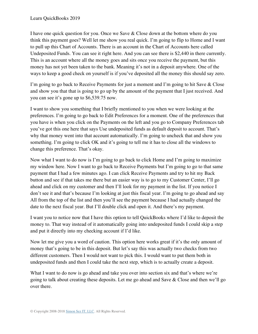I have one quick question for you. Once we Save & Close down at the bottom where do you think this payment goes? Well let me show you real quick. I'm going to flip to Home and I want to pull up this Chart of Accounts. There is an account in the Chart of Accounts here called Undeposited Funds. You can see it right here. And you can see there is \$2,440 in there currently. This is an account where all the money goes and sits once you receive the payment, but this money has not yet been taken to the bank. Meaning it's not in a deposit anywhere. One of the ways to keep a good check on yourself is if you've deposited all the money this should say zero.

I'm going to go back to Receive Payments for just a moment and I'm going to hit Save & Close and show you that that is going to go up by the amount of the payment that I just received. And you can see it's gone up to \$6,539.75 now.

I want to show you something that I briefly mentioned to you when we were looking at the preferences. I'm going to go back to Edit Preferences for a moment. One of the preferences that you have is when you click on the Payments on the left and you go to Company Preferences tab you've got this one here that says Use undeposited funds as default deposit to account. That's why that money went into that account automatically. I'm going to uncheck that and show you something. I'm going to click OK and it's going to tell me it has to close all the windows to change this preference. That's okay.

Now what I want to do now is I'm going to go back to click Home and I'm going to maximize my window here. Now I want to go back to Receive Payments but I'm going to go to that same payment that I had a few minutes ago. I can click Receive Payments and try to hit my Back button and see if that takes me there but an easier way is to go to my Customer Center, I'll go ahead and click on my customer and then I'll look for my payment in the list. If you notice I don't see it and that's because I'm looking at just this fiscal year. I'm going to go ahead and say All from the top of the list and then you'll see the payment because I had actually changed the date to the next fiscal year. But I'll double click and open it. And there's my payment.

I want you to notice now that I have this option to tell QuickBooks where I'd like to deposit the money to. That way instead of it automatically going into undeposited funds I could skip a step and put it directly into my checking account if I'd like.

Now let me give you a word of caution. This option here works great if it's the only amount of money that's going to be in this deposit. But let's say this was actually two checks from two different customers. Then I would not want to pick this. I would want to put them both in undeposited funds and then I could take the next step, which is to actually create a deposit.

What I want to do now is go ahead and take you over into section six and that's where we're going to talk about creating these deposits. Let me go ahead and Save & Close and then we'll go over there.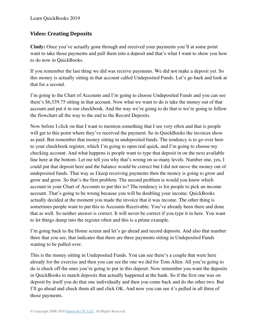# **Video: Creating Deposits**

**Cindy:** Once you've actually gone through and received your payments you'll at some point want to take those payments and pull them into a deposit and that's what I want to show you how to do now in QuickBooks.

If you remember the last thing we did was receive payments. We did not make a deposit yet. So this money is actually sitting in that account called Undeposited Funds. Let's go back and look at that for a second.

I'm going to the Chart of Accounts and I'm going to choose Undeposited Funds and you can see there's \$6,539.75 sitting in that account. Now what we want to do is take the money out of that account and put it in our checkbook. And the way we're going to do that is we're going to follow the flowchart all the way to the end to the Record Deposits.

Now before I click on that I want to mention something that I see very often and that is people will get to this point where they've received the payment. So in QuickBooks the invoices show as paid. But remember that money sitting in undeposited funds. The tendency is to go over here to your checkbook register, which I'm going to open real quick, and I'm going to choose my checking account. And what happens is people want to type that deposit in on the next available line here at the bottom. Let me tell you why that's wrong on so many levels. Number one, yes, I could put that deposit here and the balance would be correct but I did not move the money out of undeposited funds. That way as I keep receiving payments then the money is going to grow and grow and grow. So that's the first problem. The second problem is would you know which account in your Chart of Accounts to put this to? The tendency is for people to pick an income account. That's going to be wrong because you will be doubling your income. QuickBooks actually decided at the moment you made the invoice that it was income. The other thing is sometimes people want to put this to Accounts Receivable. You've already been there and done that as well. So neither answer is correct. It will never be correct if you type it in here. You want to let things dump into the register often and this is a prime example.

I'm going back to the Home screen and let's go ahead and record deposits. And also that number three that you see, that indicates that there are three payments sitting in Undeposited Funds waiting to be pulled over.

This is the money sitting in Undeposited Funds. You can see there's a couple that were here already for the exercise and then you can see the one we did for Tom Allen. All you're going to do is check off the ones you're going to put in this deposit. Now remember you want the deposits in QuickBooks to match deposits that actually happened at the bank. So if the first one was on deposit by itself you do that one individually and then you come back and do the other two. But I'll go ahead and check them all and click OK. And now you can see it's pulled in all three of those payments.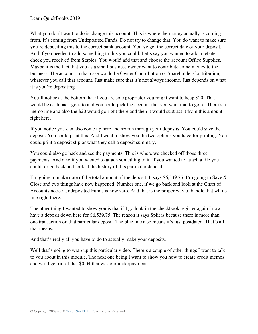What you don't want to do is change this account. This is where the money actually is coming from. It's coming from Undeposited Funds. Do not try to change that. You do want to make sure you're depositing this to the correct bank account. You've got the correct date of your deposit. And if you needed to add something to this you could. Let's say you wanted to add a rebate check you received from Staples. You would add that and choose the account Office Supplies. Maybe it is the fact that you as a small business owner want to contribute some money to the business. The account in that case would be Owner Contribution or Shareholder Contribution, whatever you call that account. Just make sure that it's not always income. Just depends on what it is you're depositing.

You'll notice at the bottom that if you are sole proprietor you might want to keep \$20. That would be cash back goes to and you could pick the account that you want that to go to. There's a memo line and also the \$20 would go right there and then it would subtract it from this amount right here.

If you notice you can also come up here and search through your deposits. You could save the deposit. You could print this. And I want to show you the two options you have for printing. You could print a deposit slip or what they call a deposit summary.

You could also go back and see the payments. This is where we checked off those three payments. And also if you wanted to attach something to it. If you wanted to attach a file you could, or go back and look at the history of this particular deposit.

I'm going to make note of the total amount of the deposit. It says \$6,539.75. I'm going to Save & Close and two things have now happened. Number one, if we go back and look at the Chart of Accounts notice Undeposited Funds is now zero. And that is the proper way to handle that whole line right there.

The other thing I wanted to show you is that if I go look in the checkbook register again I now have a deposit down here for \$6,539.75. The reason it says Split is because there is more than one transaction on that particular deposit. The blue line also means it's just postdated. That's all that means.

And that's really all you have to do to actually make your deposits.

Well that's going to wrap up this particular video. There's a couple of other things I want to talk to you about in this module. The next one being I want to show you how to create credit memos and we'll get rid of that \$0.04 that was our underpayment.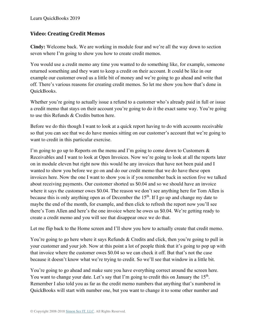# **Video: Creating Credit Memos**

**Cindy:** Welcome back. We are working in module four and we're all the way down to section seven where I'm going to show you how to create credit memos.

You would use a credit memo any time you wanted to do something like, for example, someone returned something and they want to keep a credit on their account. It could be like in our example our customer owed us a little bit of money and we're going to go ahead and write that off. There's various reasons for creating credit memos. So let me show you how that's done in QuickBooks.

Whether you're going to actually issue a refund to a customer who's already paid in full or issue a credit memo that stays on their account you're going to do it the exact same way. You're going to use this Refunds & Credits button here.

Before we do this though I want to look at a quick report having to do with accounts receivable so that you can see that we do have monies sitting on our customer's account that we're going to want to credit in this particular exercise.

I'm going to go up to Reports on the menu and I'm going to come down to Customers & Receivables and I want to look at Open Invoices. Now we're going to look at all the reports later on in module eleven but right now this would be any invoices that have not been paid and I wanted to show you before we go on and do our credit memo that we do have these open invoices here. Now the one I want to show you is if you remember back in section five we talked about receiving payments. Our customer shorted us \$0.04 and so we should have an invoice where it says the customer owes \$0.04. The reason we don't see anything here for Tom Allen is because this is only anything open as of December the  $15<sup>th</sup>$ . If I go up and change my date to maybe the end of the month, for example, and then click to refresh the report now you'll see there's Tom Allen and here's the one invoice where he owes us \$0.04. We're getting ready to create a credit memo and you will see that disappear once we do that.

Let me flip back to the Home screen and I'll show you how to actually create that credit memo.

You're going to go here where it says Refunds & Credits and click, then you're going to pull in your customer and your job. Now at this point a lot of people think that it's going to pop up with that invoice where the customer owes \$0.04 so we can check it off. But that's not the case because it doesn't know what we're trying to credit. So we'll see that window in a little bit.

You're going to go ahead and make sure you have everything correct around the screen here. You want to change your date. Let's say that I'm going to credit this on January the 15<sup>th</sup>. Remember I also told you as far as the credit memo numbers that anything that's numbered in QuickBooks will start with number one, but you want to change it to some other number and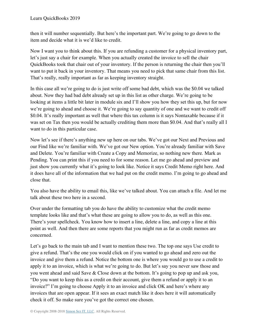then it will number sequentially. But here's the important part. We're going to go down to the item and decide what it is we'd like to credit.

Now I want you to think about this. If you are refunding a customer for a physical inventory part, let's just say a chair for example. When you actually created the invoice to sell the chair QuickBooks took that chair out of your inventory. If the person is returning the chair then you'll want to put it back in your inventory. That means you need to pick that same chair from this list. That's really, really important as far as keeping inventory straight.

In this case all we're going to do is just write off some bad debt, which was the \$0.04 we talked about. Now they had bad debt already set up in this list as other charge. We're going to be looking at items a little bit later in module six and I'll show you how they set this up, but for now we're going to ahead and choose it. We're going to say quantity of one and we want to credit off \$0.04. It's really important as well that where this tax column is it says Nontaxable because if it was set on Tax then you would be actually crediting them more than \$0.04. And that's really all I want to do in this particular case.

Now let's see if there's anything new up here on our tabs. We've got our Next and Previous and our Find like we're familiar with. We've got our New option. You're already familiar with Save and Delete. You're familiar with Create a Copy and Memorize, so nothing new there. Mark as Pending. You can print this if you need to for some reason. Let me go ahead and preview and just show you currently what it's going to look like. Notice it says Credit Memo right here. And it does have all of the information that we had put on the credit memo. I'm going to go ahead and close that.

You also have the ability to email this, like we've talked about. You can attach a file. And let me talk about these two here in a second.

Over under the formatting tab you do have the ability to customize what the credit memo template looks like and that's what these are going to allow you to do, as well as this one. There's your spellcheck. You know how to insert a line, delete a line, and copy a line at this point as well. And then there are some reports that you might run as far as credit memos are concerned.

Let's go back to the main tab and I want to mention these two. The top one says Use credit to give a refund. That's the one you would click on if you wanted to go ahead and zero out the invoice and give them a refund. Notice the bottom one is where you would go to use a credit to apply it to an invoice, which is what we're going to do. But let's say you never saw those and you went ahead and said Save & Close down at the bottom. It's going to pop up and ask you, "Do you want to keep this as a credit on their account, give them a refund or apply it to an invoice?" I'm going to choose Apply it to an invoice and click OK and here's where any invoices that are open appear. If it sees an exact match like it does here it will automatically check it off. So make sure you've got the correct one chosen.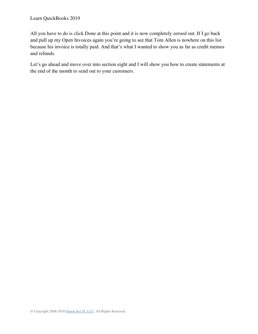All you have to do is click Done at this point and it is now completely zeroed out. If I go back and pull up my Open Invoices again you're going to see that Tom Allen is nowhere on this list because his invoice is totally paid. And that's what I wanted to show you as far as credit memos and refunds.

Let's go ahead and move over into section eight and I will show you how to create statements at the end of the month to send out to your customers.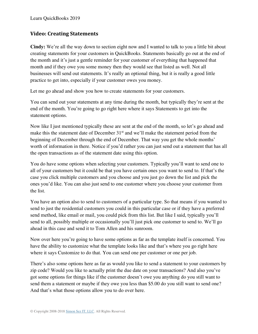# **Video: Creating Statements**

**Cindy:** We're all the way down to section eight now and I wanted to talk to you a little bit about creating statements for your customers in QuickBooks. Statements basically go out at the end of the month and it's just a gentle reminder for your customer of everything that happened that month and if they owe you some money then they would see that listed as well. Not all businesses will send out statements. It's really an optional thing, but it is really a good little practice to get into, especially if your customer owes you money.

Let me go ahead and show you how to create statements for your customers.

You can send out your statements at any time during the month, but typically they're sent at the end of the month. You're going to go right here where it says Statements to get into the statement options.

Now like I just mentioned typically these are sent at the end of the month, so let's go ahead and make this the statement date of December 31<sup>st</sup> and we'll make the statement period from the beginning of December through the end of December. That way you get the whole months' worth of information in there. Notice if you'd rather you can just send out a statement that has all the open transactions as of the statement date using this option.

You do have some options when selecting your customers. Typically you'll want to send one to all of your customers but it could be that you have certain ones you want to send to. If that's the case you click multiple customers and you choose and you just go down the list and pick the ones you'd like. You can also just send to one customer where you choose your customer from the list.

You have an option also to send to customers of a particular type. So that means if you wanted to send to just the residential customers you could in this particular case or if they have a preferred send method, like email or mail, you could pick from this list. But like I said, typically you'll send to all, possibly multiple or occasionally you'll just pick one customer to send to. We'll go ahead in this case and send it to Tom Allen and his sunroom.

Now over here you're going to have some options as far as the template itself is concerned. You have the ability to customize what the template looks like and that's where you go right here where it says Customize to do that. You can send one per customer or one per job.

There's also some options here as far as would you like to send a statement to your customers by zip code? Would you like to actually print the due date on your transactions? And also you've got some options for things like if the customer doesn't owe you anything do you still want to send them a statement or maybe if they owe you less than \$5.00 do you still want to send one? And that's what those options allow you to do over here.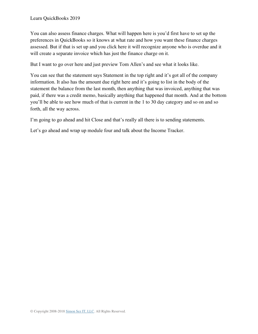You can also assess finance charges. What will happen here is you'd first have to set up the preferences in QuickBooks so it knows at what rate and how you want these finance charges assessed. But if that is set up and you click here it will recognize anyone who is overdue and it will create a separate invoice which has just the finance charge on it.

But I want to go over here and just preview Tom Allen's and see what it looks like.

You can see that the statement says Statement in the top right and it's got all of the company information. It also has the amount due right here and it's going to list in the body of the statement the balance from the last month, then anything that was invoiced, anything that was paid, if there was a credit memo, basically anything that happened that month. And at the bottom you'll be able to see how much of that is current in the 1 to 30 day category and so on and so forth, all the way across.

I'm going to go ahead and hit Close and that's really all there is to sending statements.

Let's go ahead and wrap up module four and talk about the Income Tracker.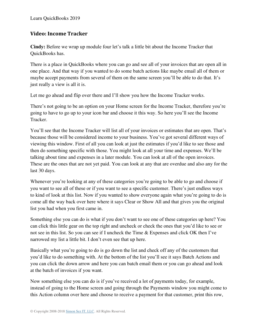#### **Video: Income Tracker**

**Cindy:** Before we wrap up module four let's talk a little bit about the Income Tracker that QuickBooks has.

There is a place in QuickBooks where you can go and see all of your invoices that are open all in one place. And that way if you wanted to do some batch actions like maybe email all of them or maybe accept payments from several of them on the same screen you'll be able to do that. It's just really a view is all it is.

Let me go ahead and flip over there and I'll show you how the Income Tracker works.

There's not going to be an option on your Home screen for the Income Tracker, therefore you're going to have to go up to your icon bar and choose it this way. So here you'll see the Income Tracker.

You'll see that the Income Tracker will list all of your invoices or estimates that are open. That's because those will be considered income to your business. You've got several different ways of viewing this window. First of all you can look at just the estimates if you'd like to see those and then do something specific with those. You might look at all your time and expenses. We'll be talking about time and expenses in a later module. You can look at all of the open invoices. These are the ones that are not yet paid. You can look at any that are overdue and also any for the last 30 days.

Whenever you're looking at any of these categories you're going to be able to go and choose if you want to see all of these or if you want to see a specific customer. There's just endless ways to kind of look at this list. Now if you wanted to show everyone again what you're going to do is come all the way back over here where it says Clear or Show All and that gives you the original list you had when you first came in.

Something else you can do is what if you don't want to see one of these categories up here? You can click this little gear on the top right and uncheck or check the ones that you'd like to see or not see in this list. So you can see if I uncheck the Time & Expenses and click OK then I've narrowed my list a little bit. I don't even see that up here.

Basically what you're going to do is go down the list and check off any of the customers that you'd like to do something with. At the bottom of the list you'll see it says Batch Actions and you can click the down arrow and here you can batch email them or you can go ahead and look at the batch of invoices if you want.

Now something else you can do is if you've received a lot of payments today, for example, instead of going to the Home screen and going through the Payments window you might come to this Action column over here and choose to receive a payment for that customer, print this row,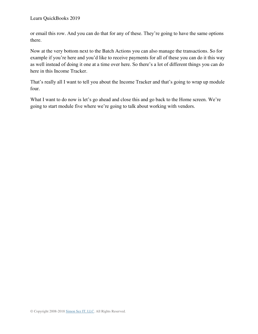or email this row. And you can do that for any of these. They're going to have the same options there.

Now at the very bottom next to the Batch Actions you can also manage the transactions. So for example if you're here and you'd like to receive payments for all of these you can do it this way as well instead of doing it one at a time over here. So there's a lot of different things you can do here in this Income Tracker.

That's really all I want to tell you about the Income Tracker and that's going to wrap up module four.

What I want to do now is let's go ahead and close this and go back to the Home screen. We're going to start module five where we're going to talk about working with vendors.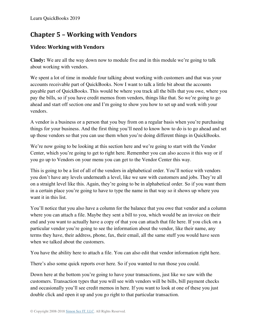# **Chapter 5 – Working with Vendors**

# **Video: Working with Vendors**

**Cindy:** We are all the way down now to module five and in this module we're going to talk about working with vendors.

We spent a lot of time in module four talking about working with customers and that was your accounts receivable part of QuickBooks. Now I want to talk a little bit about the accounts payable part of QuickBooks. This would be where you track all the bills that you owe, where you pay the bills, so if you have credit memos from vendors, things like that. So we're going to go ahead and start off section one and I'm going to show you how to set up and work with your vendors.

A vendor is a business or a person that you buy from on a regular basis when you're purchasing things for your business. And the first thing you'll need to know how to do is to go ahead and set up those vendors so that you can use them when you're doing different things in QuickBooks.

We're now going to be looking at this section here and we're going to start with the Vendor Center, which you're going to get to right here. Remember you can also access it this way or if you go up to Vendors on your menu you can get to the Vendor Center this way.

This is going to be a list of all of the vendors in alphabetical order. You'll notice with vendors you don't have any levels underneath a level, like we saw with customers and jobs. They're all on a straight level like this. Again, they're going to be in alphabetical order. So if you want them in a certain place you're going to have to type the name in that way so it shows up where you want it in this list.

You'll notice that you also have a column for the balance that you owe that vendor and a column where you can attach a file. Maybe they sent a bill to you, which would be an invoice on their end and you want to actually have a copy of that you can attach that file here. If you click on a particular vendor you're going to see the information about the vendor, like their name, any terms they have, their address, phone, fax, their email, all the same stuff you would have seen when we talked about the customers.

You have the ability here to attach a file. You can also edit that vendor information right here.

There's also some quick reports over here. So if you wanted to run those you could.

Down here at the bottom you're going to have your transactions, just like we saw with the customers. Transaction types that you will see with vendors will be bills, bill payment checks and occasionally you'll see credit memos in here. If you want to look at one of these you just double click and open it up and you go right to that particular transaction.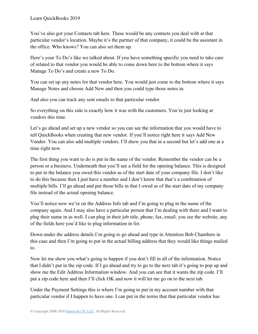You've also got your Contacts tab here. These would be any contacts you deal with at that particular vendor's location. Maybe it's the partner of that company, it could be the assistant in the office. Who knows? You can also set them up.

Here's your To Do's like we talked about. If you have something specific you need to take care of related to that vendor you would be able to come down here to the bottom where it says Manage To Do's and create a new To Do.

You can set up any notes for that vendor here. You would just come to the bottom where it says Manage Notes and choose Add New and then you could type those notes in.

And also you can track any sent emails to that particular vendor.

So everything on this side is exactly how it was with the customers. You're just looking at vendors this time.

Let's go ahead and set up a new vendor so you can see the information that you would have to tell QuickBooks when creating that new vendor. If you'll notice right here it says Add New Vendor. You can also add multiple vendors. I'll show you that in a second but let's add one at a time right now.

The first thing you want to do is put in the name of the vendor. Remember the vendor can be a person or a business. Underneath that you'll see a field for the opening balance. This is designed to put in the balance you owed this vendor as of the start date of your company file. I don't like to do this because then I just have a number and I don't know that that's a combination of multiple bills. I'll go ahead and put those bills in that I owed as of the start date of my company file instead of the actual opening balance.

You'll notice now we're on the Address Info tab and I'm going to plug in the name of the company again. And I may also have a particular person that I'm dealing with there and I want to plug their name in as well. I can plug in their job title, phone, fax, email, you see the website, any of the fields here you'd like to plug information in for.

Down under the address details I'm going to go ahead and type in Attention Bob Chambers in this case and then I'm going to put in the actual billing address that they would like things mailed to.

Now let me show you what's going to happen if you don't fill in all of the information. Notice that I didn't put in the zip code. If I go ahead and try to go to the next tab it's going to pop up and show me the Edit Address Information window. And you can see that it wants the zip code. I'll put a zip code here and then I'll click OK and now it will let me go on to the next tab.

Under the Payment Settings this is where I'm going to put in my account number with that particular vendor if I happen to have one. I can put in the terms that that particular vendor has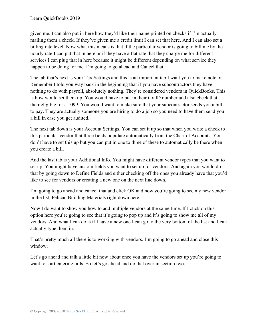given me. I can also put in here how they'd like their name printed on checks if I'm actually mailing them a check. If they've given me a credit limit I can set that here. And I can also set a billing rate level. Now what this means is that if the particular vendor is going to bill me by the hourly rate I can put that in here or if they have a flat rate that they charge me for different services I can plug that in here because it might be different depending on what service they happen to be doing for me. I'm going to go ahead and Cancel that.

The tab that's next is your Tax Settings and this is an important tab I want you to make note of. Remember I told you way back in the beginning that if you have subcontractors they have nothing to do with payroll, absolutely nothing. They're considered vendors in QuickBooks. This is how would set them up. You would have to put in their tax ID number and also check that their eligible for a 1099. You would want to make sure that your subcontractor sends you a bill to pay. They are actually someone you are hiring to do a job so you need to have them send you a bill in case you get audited.

The next tab down is your Account Settings. You can set it up so that when you write a check to this particular vendor that three fields populate automatically from the Chart of Accounts. You don't have to set this up but you can put in one to three of these to automatically be there when you create a bill.

And the last tab is your Additional Info. You might have different vendor types that you want to set up. You might have custom fields you want to set up for vendors. And again you would do that by going down to Define Fields and either checking off the ones you already have that you'd like to see for vendors or creating a new one on the next line down.

I'm going to go ahead and cancel that and click OK and now you're going to see my new vendor in the list, Pelican Building Materials right down here.

Now I do want to show you how to add multiple vendors at the same time. If I click on this option here you're going to see that it's going to pop up and it's going to show me all of my vendors. And what I can do is if I have a new one I can go to the very bottom of the list and I can actually type them in.

That's pretty much all there is to working with vendors. I'm going to go ahead and close this window.

Let's go ahead and talk a little bit now about once you have the vendors set up you're going to want to start entering bills. So let's go ahead and do that over in section two.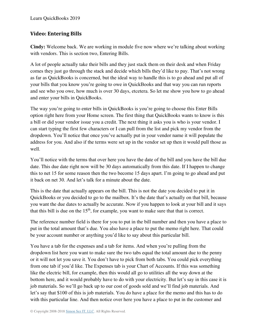## **Video: Entering Bills**

**Cindy:** Welcome back. We are working in module five now where we're talking about working with vendors. This is section two, Entering Bills.

A lot of people actually take their bills and they just stack them on their desk and when Friday comes they just go through the stack and decide which bills they'd like to pay. That's not wrong as far as QuickBooks is concerned, but the ideal way to handle this is to go ahead and put all of your bills that you know you're going to owe in QuickBooks and that way you can run reports and see who you owe, how much is over 30 days, etcetera. So let me show you how to go ahead and enter your bills in QuickBooks.

The way you're going to enter bills in QuickBooks is you're going to choose this Enter Bills option right here from your Home screen. The first thing that QuickBooks wants to know is this a bill or did your vendor issue you a credit. The next thing it asks you is who is your vendor. I can start typing the first few characters or I can pull from the list and pick my vendor from the dropdown. You'll notice that once you've actually put in your vendor name it will populate the address for you. And also if the terms were set up in the vendor set up then it would pull those as well.

You'll notice with the terms that over here you have the date of the bill and you have the bill due date. This due date right now will be 30 days automatically from this date. If I happen to change this to net 15 for some reason then the two become 15 days apart. I'm going to go ahead and put it back on net 30. And let's talk for a minute about the date.

This is the date that actually appears on the bill. This is not the date you decided to put it in QuickBooks or you decided to go to the mailbox. It's the date that's actually on that bill, because you want the due dates to actually be accurate. Now if you happen to look at your bill and it says that this bill is due on the  $15<sup>th</sup>$ , for example, you want to make sure that that is correct.

The reference number field is there for you to put in the bill number and then you have a place to put in the total amount that's due. You also have a place to put the memo right here. That could be your account number or anything you'd like to say about this particular bill.

You have a tab for the expenses and a tab for items. And when you're pulling from the dropdown list here you want to make sure the two tabs equal the total amount due to the penny or it will not let you save it. You don't have to pick from both tabs. You could pick everything from one tab if you'd like. The Expenses tab is your Chart of Accounts. If this was something like the electric bill, for example, then this would all go to utilities all the way down at the bottom here, and it would probably have to do with your electricity. But let's say in this case it is job materials. So we'll go back up to our cost of goods sold and we'll find job materials. And let's say that \$100 of this is job materials. You do have a place for the memo and this has to do with this particular line. And then notice over here you have a place to put in the customer and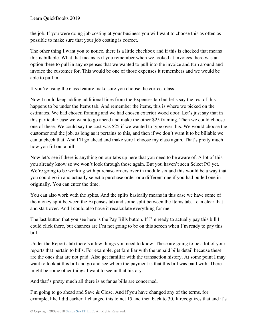the job. If you were doing job costing at your business you will want to choose this as often as possible to make sure that your job costing is correct.

The other thing I want you to notice, there is a little checkbox and if this is checked that means this is billable. What that means is if you remember when we looked at invoices there was an option there to pull in any expenses that we wanted to pull into the invoice and turn around and invoice the customer for. This would be one of those expenses it remembers and we would be able to pull in.

If you're using the class feature make sure you choose the correct class.

Now I could keep adding additional lines from the Expenses tab but let's say the rest of this happens to be under the Items tab. And remember the items, this is where we picked on the estimates. We had chosen framing and we had chosen exterior wood door. Let's just say that in this particular case we want to go ahead and make the other \$25 framing. Then we could choose one of these. We could say the cost was \$25 if we wanted to type over this. We would choose the customer and the job, as long as it pertains to this, and then if we don't want it to be billable we can uncheck that. And I'll go ahead and make sure I choose my class again. That's pretty much how you fill out a bill.

Now let's see if there is anything on our tabs up here that you need to be aware of. A lot of this you already know so we won't look through those again. But you haven't seen Select PO yet. We're going to be working with purchase orders over in module six and this would be a way that you could go in and actually select a purchase order or a different one if you had pulled one in originally. You can enter the time.

You can also work with the splits. And the splits basically means in this case we have some of the money split between the Expenses tab and some split between the Items tab. I can clear that and start over. And I could also have it recalculate everything for me.

The last button that you see here is the Pay Bills button. If I'm ready to actually pay this bill I could click there, but chances are I'm not going to be on this screen when I'm ready to pay this bill.

Under the Reports tab there's a few things you need to know. These are going to be a lot of your reports that pertain to bills. For example, get familiar with the unpaid bills detail because these are the ones that are not paid. Also get familiar with the transaction history. At some point I may want to look at this bill and go and see where the payment is that this bill was paid with. There might be some other things I want to see in that history.

And that's pretty much all there is as far as bills are concerned.

I'm going to go ahead and Save & Close. And if you have changed any of the terms, for example, like I did earlier. I changed this to net 15 and then back to 30. It recognizes that and it's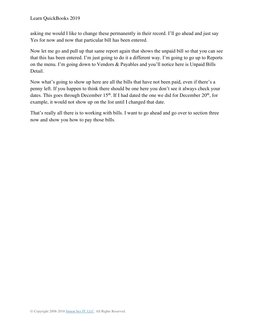asking me would I like to change these permanently in their record. I'll go ahead and just say Yes for now and now that particular bill has been entered.

Now let me go and pull up that same report again that shows the unpaid bill so that you can see that this has been entered. I'm just going to do it a different way. I'm going to go up to Reports on the menu. I'm going down to Vendors & Payables and you'll notice here is Unpaid Bills Detail.

Now what's going to show up here are all the bills that have not been paid, even if there's a penny left. If you happen to think there should be one here you don't see it always check your dates. This goes through December  $15<sup>th</sup>$ . If I had dated the one we did for December  $20<sup>th</sup>$ , for example, it would not show up on the list until I changed that date.

That's really all there is to working with bills. I want to go ahead and go over to section three now and show you how to pay those bills.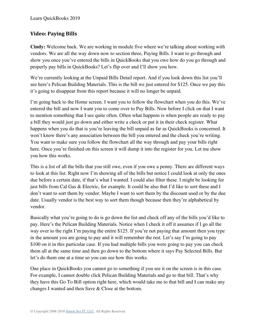## **Video: Paying Bills**

**Cindy:** Welcome back. We are working in module five where we're talking about working with vendors. We are all the way down now to section three, Paying Bills. I want to go through and show you once you've entered the bills in QuickBooks that you owe how do you go through and properly pay bills in QuickBooks? Let's flip over and I'll show you how.

We're currently looking at the Unpaid Bills Detail report. And if you look down this list you'll see here's Pelican Building Materials. This is the bill we just entered for \$125. Once we pay this it's going to disappear from this report because it will no longer be unpaid.

I'm going back to the Home screen. I want you to follow the flowchart when you do this. We've entered the bill and now I want you to come over to Pay Bills. Now before I click on that I want to mention something that I see quite often. Often what happens is when people are ready to pay a bill they would just go down and either write a check or put it in their check register. What happens when you do that is you're leaving the bill unpaid as far as QuickBooks is concerned. It won't know there's any association between the bill you entered and the check you're writing. You want to make sure you follow the flowchart all the way through and pay your bills right here. Once you're finished on this screen it will dump it into the register for you. Let me show you how this works.

This is a list of all the bills that you still owe, even if you owe a penny. There are different ways to look at this list. Right now I'm showing all of the bills but notice I could look at only the ones due before a certain date, if that's what I wanted. I could also filter these. I might be looking for just bills from Cal Gas & Electric, for example. It could be also that I'd like to sort these and I don't want to sort them by vendor. Maybe I want to sort them by the discount used or by the due date. Usually vendor is the best way to sort them though because then they're alphabetical by vendor.

Basically what you're going to do is go down the list and check off any of the bills you'd like to pay. Here's the Pelican Building Materials. Notice when I check it off it assumes if I go all the way over to the right I'm paying the entire \$125. If you're not paying that amount then you type in the amount you are going to pay and it will remember the rest. Let's say I'm going to pay \$100 on it in this particular case. If you had multiple bills you were going to pay you can check them all at the same time and then go down to the bottom where it says Pay Selected Bills. But let's do them one at a time so you can see how this works.

One place in QuickBooks you cannot go to something if you see it on the screen is in this case. For example, I cannot double click Pelican Building Materials and go to that bill. That's why they have this Go To Bill option right here, which would take me to that bill and I can make any changes I wanted and then Save & Close at the bottom.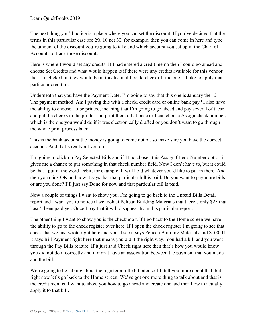The next thing you'll notice is a place where you can set the discount. If you've decided that the terms in this particular case are 2% 10 net 30, for example, then you can come in here and type the amount of the discount you're going to take and which account you set up in the Chart of Accounts to track those discounts.

Here is where I would set any credits. If I had entered a credit memo then I could go ahead and choose Set Credits and what would happen is if there were any credits available for this vendor that I'm clicked on they would be in this list and I could check off the one I'd like to apply that particular credit to.

Underneath that you have the Payment Date. I'm going to say that this one is January the  $12<sup>th</sup>$ . The payment method. Am I paying this with a check, credit card or online bank pay? I also have the ability to choose To be printed, meaning that I'm going to go ahead and pay several of these and put the checks in the printer and print them all at once or I can choose Assign check number, which is the one you would do if it was electronically drafted or you don't want to go through the whole print process later.

This is the bank account the money is going to come out of, so make sure you have the correct account. And that's really all you do.

I'm going to click on Pay Selected Bills and if I had chosen this Assign Check Number option it gives me a chance to put something in that check number field. Now I don't have to, but it could be that I put in the word Debit, for example. It will hold whatever you'd like to put in there. And then you click OK and now it says that that particular bill is paid. Do you want to pay more bills or are you done? I'll just say Done for now and that particular bill is paid.

Now a couple of things I want to show you. I'm going to go back to the Unpaid Bills Detail report and I want you to notice if we look at Pelican Building Materials that there's only \$25 that hasn't been paid yet. Once I pay that it will disappear from this particular report.

The other thing I want to show you is the checkbook. If I go back to the Home screen we have the ability to go to the check register over here. If I open the check register I'm going to see that check that we just wrote right here and you'll see it says Pelican Building Materials and \$100. If it says Bill Payment right here that means you did it the right way. You had a bill and you went through the Pay Bills feature. If it just said Check right here then that's how you would know you did not do it correctly and it didn't have an association between the payment that you made and the bill.

We're going to be talking about the register a little bit later so I'll tell you more about that, but right now let's go back to the Home screen. We've got one more thing to talk about and that is the credit memos. I want to show you how to go ahead and create one and then how to actually apply it to that bill.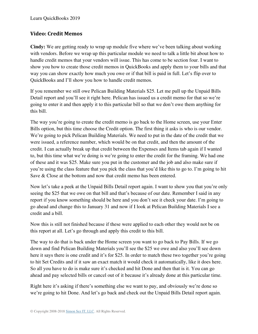## **Video: Credit Memos**

**Cindy:** We are getting ready to wrap up module five where we've been talking about working with vendors. Before we wrap up this particular module we need to talk a little bit about how to handle credit memos that your vendors will issue. This has come to be section four. I want to show you how to create those credit memos in QuickBooks and apply them to your bills and that way you can show exactly how much you owe or if that bill is paid in full. Let's flip over to QuickBooks and I'll show you how to handle credit memos.

If you remember we still owe Pelican Building Materials \$25. Let me pull up the Unpaid Bills Detail report and you'll see it right here. Pelican has issued us a credit memo for that so we're going to enter it and then apply it to this particular bill so that we don't owe them anything for this bill.

The way you're going to create the credit memo is go back to the Home screen, use your Enter Bills option, but this time choose the Credit option. The first thing it asks is who is our vendor. We're going to pick Pelican Building Materials. We need to put in the date of the credit that we were issued, a reference number, which would be on that credit, and then the amount of the credit. I can actually break up that credit between the Expenses and Items tab again if I wanted to, but this time what we're doing is we're going to enter the credit for the framing. We had one of these and it was \$25. Make sure you put in the customer and the job and also make sure if you're using the class feature that you pick the class that you'd like this to go to. I'm going to hit Save & Close at the bottom and now that credit memo has been entered.

Now let's take a peek at the Unpaid Bills Detail report again. I want to show you that you're only seeing the \$25 that we owe on that bill and that's because of our date. Remember I said in any report if you know something should be here and you don't see it check your date. I'm going to go ahead and change this to January 31 and now if I look at Pelican Building Materials I see a credit and a bill.

Now this is still not finished because if these were applied to each other they would not be on this report at all. Let's go through and apply this credit to this bill.

The way to do that is back under the Home screen you want to go back to Pay Bills. If we go down and find Pelican Building Materials you'll see the \$25 we owe and also you'll see down here it says there is one credit and it's for \$25. In order to match these two together you're going to hit Set Credits and if it saw an exact match it would check it automatically, like it does here. So all you have to do is make sure it's checked and hit Done and then that is it. You can go ahead and pay selected bills or cancel out of it because it's already done at this particular time.

Right here it's asking if there's something else we want to pay, and obviously we're done so we're going to hit Done. And let's go back and check out the Unpaid Bills Detail report again.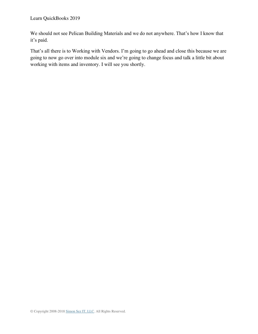We should not see Pelican Building Materials and we do not anywhere. That's how I know that it's paid.

That's all there is to Working with Vendors. I'm going to go ahead and close this because we are going to now go over into module six and we're going to change focus and talk a little bit about working with items and inventory. I will see you shortly.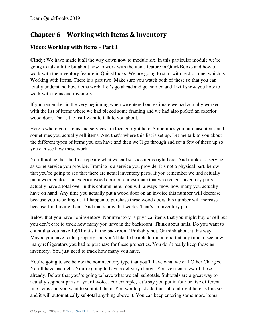# **Chapter 6 – Working with Items & Inventory**

# **Video: Working with Items – Part 1**

**Cindy:** We have made it all the way down now to module six. In this particular module we're going to talk a little bit about how to work with the items feature in QuickBooks and how to work with the inventory feature in QuickBooks. We are going to start with section one, which is Working with Items. There is a part two. Make sure you watch both of these so that you can totally understand how items work. Let's go ahead and get started and I will show you how to work with items and inventory.

If you remember in the very beginning when we entered our estimate we had actually worked with the list of items where we had picked some framing and we had also picked an exterior wood door. That's the list I want to talk to you about.

Here's where your items and services are located right here. Sometimes you purchase items and sometimes you actually sell items. And that's where this list is set up. Let me talk to you about the different types of items you can have and then we'll go through and set a few of these up so you can see how these work.

You'll notice that the first type are what we call service items right here. And think of a service as some service you provide. Framing is a service you provide. It's not a physical part. below that you're going to see that there are actual inventory parts. If you remember we had actually put a wooden door, an exterior wood door on our estimate that we created. Inventory parts actually have a total over in this column here. You will always know how many you actually have on hand. Any time you actually put a wood door on an invoice this number will decrease because you're selling it. If I happen to purchase these wood doors this number will increase because I'm buying them. And that's how that works. That's an inventory part.

Below that you have noninventory. Noninventory is physical items that you might buy or sell but you don't care to track how many you have in the backroom. Think about nails. Do you want to count that you have 1,601 nails in the backroom? Probably not. Or think about it this way. Maybe you have rental property and you'd like to be able to run a report at any time to see how many refrigerators you had to purchase for these properties. You don't really keep those as inventory. You just need to track how many you have.

You're going to see below the noninventory type that you'll have what we call Other Charges. You'll have bad debt. You're going to have a delivery charge. You've seen a few of these already. Below that you're going to have what we call subtotals. Subtotals are a great way to actually segment parts of your invoice. For example, let's say you put in four or five different line items and you want to subtotal them. You would just add this subtotal right here as line six and it will automatically subtotal anything above it. You can keep entering some more items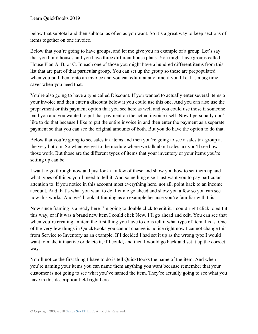below that subtotal and then subtotal as often as you want. So it's a great way to keep sections of items together on one invoice.

Below that you're going to have groups, and let me give you an example of a group. Let's say that you build houses and you have three different house plans. You might have groups called House Plan A, B, or C. In each one of those you might have a hundred different items from this list that are part of that particular group. You can set up the group so these are prepopulated when you pull them onto an invoice and you can edit it at any time if you like. It's a big time saver when you need that.

You're also going to have a type called Discount. If you wanted to actually enter several items o your invoice and then enter a discount below it you could use this one. And you can also use the prepayment or this payment option that you see here as well and you could use those if someone paid you and you wanted to put that payment on the actual invoice itself. Now I personally don't like to do that because I like to put the entire invoice in and then enter the payment as a separate payment so that you can see the original amounts of both. But you do have the option to do that.

Below that you're going to see sales tax items and then you're going to see a sales tax group at the very bottom. So when we get to the module where we talk about sales tax you'll see how those work. But those are the different types of items that your inventory or your items you're setting up can be.

I want to go through now and just look at a few of these and show you how to set them up and what types of things you'll need to tell it. And something else I just want you to pay particular attention to. If you notice in this account most everything here, not all, point back to an income account. And that's what you want to do. Let me go ahead and show you a few so you can see how this works. And we'll look at framing as an example because you're familiar with this.

Now since framing is already here I'm going to double click to edit it. I could right click to edit it this way, or if it was a brand new item I could click New. I'll go ahead and edit. You can see that when you're creating an item the first thing you have to do is tell it what type of item this is. One of the very few things in QuickBooks you cannot change is notice right now I cannot change this from Service to Inventory as an example. If I decided I had set it up as the wrong type I would want to make it inactive or delete it, if I could, and then I would go back and set it up the correct way.

You'll notice the first thing I have to do is tell QuickBooks the name of the item. And when you're naming your items you can name them anything you want because remember that your customer is not going to see what you've named the item. They're actually going to see what you have in this description field right here.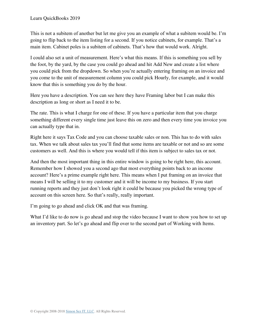This is not a subitem of another but let me give you an example of what a subitem would be. I'm going to flip back to the item listing for a second. If you notice cabinets, for example. That's a main item. Cabinet poles is a subitem of cabinets. That's how that would work. Alright.

I could also set a unit of measurement. Here's what this means. If this is something you sell by the foot, by the yard, by the case you could go ahead and hit Add New and create a list where you could pick from the dropdown. So when you're actually entering framing on an invoice and you come to the unit of measurement column you could pick Hourly, for example, and it would know that this is something you do by the hour.

Here you have a description. You can see here they have Framing labor but I can make this description as long or short as I need it to be.

The rate. This is what I charge for one of these. If you have a particular item that you charge something different every single time just leave this on zero and then every time you invoice you can actually type that in.

Right here it says Tax Code and you can choose taxable sales or non. This has to do with sales tax. When we talk about sales tax you'll find that some items are taxable or not and so are some customers as well. And this is where you would tell if this item is subject to sales tax or not.

And then the most important thing in this entire window is going to be right here, this account. Remember how I showed you a second ago that most everything points back to an income account? Here's a prime example right here. This means when I put framing on an invoice that means I will be selling it to my customer and it will be income to my business. If you start running reports and they just don't look right it could be because you picked the wrong type of account on this screen here. So that's really, really important.

I'm going to go ahead and click OK and that was framing.

What I'd like to do now is go ahead and stop the video because I want to show you how to set up an inventory part. So let's go ahead and flip over to the second part of Working with Items.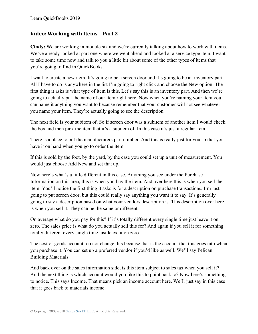#### **Video: Working with Items – Part 2**

**Cindy:** We are working in module six and we're currently talking about how to work with items. We've already looked at part one where we went ahead and looked at a service type item. I want to take some time now and talk to you a little bit about some of the other types of items that you're going to find in QuickBooks.

I want to create a new item. It's going to be a screen door and it's going to be an inventory part. All I have to do is anywhere in the list I'm going to right click and choose the New option. The first thing it asks is what type of item is this. Let's say this is an inventory part. And then we're going to actually put the name of our item right here. Now when you're naming your item you can name it anything you want to because remember that your customer will not see whatever you name your item. They're actually going to see the description.

The next field is your subitem of. So if screen door was a subitem of another item I would check the box and then pick the item that it's a subitem of. In this case it's just a regular item.

There is a place to put the manufacturers part number. And this is really just for you so that you have it on hand when you go to order the item.

If this is sold by the foot, by the yard, by the case you could set up a unit of measurement. You would just choose Add New and set that up.

Now here's what's a little different in this case. Anything you see under the Purchase Information on this area, this is when you buy the item. And over here this is when you sell the item. You'll notice the first thing it asks is for a description on purchase transactions. I'm just going to put screen door, but this could really say anything you want it to say. It's generally going to say a description based on what your vendors description is. This description over here is when you sell it. They can be the same or different.

On average what do you pay for this? If it's totally different every single time just leave it on zero. The sales price is what do you actually sell this for? And again if you sell it for something totally different every single time just leave it on zero.

The cost of goods account, do not change this because that is the account that this goes into when you purchase it. You can set up a preferred vendor if you'd like as well. We'll say Pelican Building Materials.

And back over on the sales information side, is this item subject to sales tax when you sell it? And the next thing is which account would you like this to point back to? Now here's something to notice. This says Income. That means pick an income account here. We'll just say in this case that it goes back to materials income.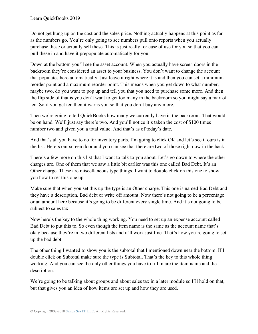Do not get hung up on the cost and the sales price. Nothing actually happens at this point as far as the numbers go. You're only going to see numbers pull onto reports when you actually purchase these or actually sell these. This is just really for ease of use for you so that you can pull these in and have it prepopulate automatically for you.

Down at the bottom you'll see the asset account. When you actually have screen doors in the backroom they're considered an asset to your business. You don't want to change the account that populates here automatically. Just leave it right where it is and then you can set a minimum reorder point and a maximum reorder point. This means when you get down to what number, maybe two, do you want to pop up and tell you that you need to purchase some more. And then the flip side of that is you don't want to get too many in the backroom so you might say a max of ten. So if you get ten then it warns you so that you don't buy any more.

Then we're going to tell QuickBooks how many we currently have in the backroom. That would be on hand. We'll just say there's two. And you'll notice it's taken the cost of \$100 times number two and given you a total value. And that's as of today's date.

And that's all you have to do for inventory parts. I'm going to click OK and let's see if ours is in the list. Here's our screen door and you can see that there are two of those right now in the back.

There's a few more on this list that I want to talk to you about. Let's go down to where the other charges are. One of them that we saw a little bit earlier was this one called Bad Debt. It's an Other charge. These are miscellaneous type things. I want to double click on this one to show you how to set this one up.

Make sure that when you set this up the type is an Other charge. This one is named Bad Debt and they have a description, Bad debt or write off amount. Now there's not going to be a percentage or an amount here because it's going to be different every single time. And it's not going to be subject to sales tax.

Now here's the key to the whole thing working. You need to set up an expense account called Bad Debt to put this to. So even though the item name is the same as the account name that's okay because they're in two different lists and it'll work just fine. That's how you're going to set up the bad debt.

The other thing I wanted to show you is the subtotal that I mentioned down near the bottom. If I double click on Subtotal make sure the type is Subtotal. That's the key to this whole thing working. And you can see the only other things you have to fill in are the item name and the description.

We're going to be talking about groups and about sales tax in a later module so I'll hold on that, but that gives you an idea of how items are set up and how they are used.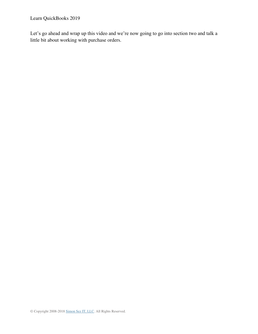Let's go ahead and wrap up this video and we're now going to go into section two and talk a little bit about working with purchase orders.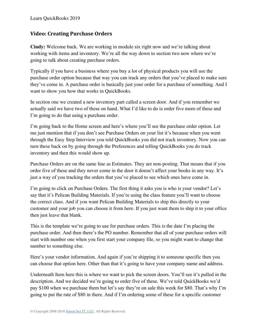## **Video: Creating Purchase Orders**

**Cindy:** Welcome back. We are working in module six right now and we're talking about working with items and inventory. We're all the way down to section two now where we're going to talk about creating purchase orders.

Typically if you have a business where you buy a lot of physical products you will use the purchase order option because that way you can track any orders that you've placed to make sure they've come in. A purchase order is basically just your order for a purchase of something. And I want to show you how that works in QuickBooks.

In section one we created a new inventory part called a screen door. And if you remember we actually said we have two of these on hand. What I'd like to do is order five more of these and I'm going to do that using a purchase order.

I'm going back to the Home screen and here's where you'll see the purchase order option. Let me just mention that if you don't see Purchase Orders on your list it's because when you went through the Easy Step Interview you told QuickBooks you did not track inventory. Now you can turn these back on by going through the Preferences and telling QuickBooks you do track inventory and then this would show up.

Purchase Orders are on the same line as Estimates. They are non-posting. That means that if you order five of these and they never come in the door it doesn't affect your books in any way. It's just a way of you tracking the orders that you've placed to see which ones have come in.

I'm going to click on Purchase Orders. The first thing it asks you is who is your vendor? Let's say that it's Pelican Building Materials. If you're using the class feature you'll want to choose the correct class. And if you want Pelican Building Materials to ship this directly to your customer and your job you can choose it from here. If you just want them to ship it to your office then just leave that blank.

This is the template we're going to use for purchase orders. This is the date I'm placing the purchase order. And then there's the PO number. Remember that all of your purchase orders will start with number one when you first start your company file, so you might want to change that number to something else.

Here's your vendor information. And again if you're shipping it to someone specific then you can choose that option here. Other than that it's going to have your company name and address.

Underneath Item here this is where we want to pick the screen doors. You'll see it's pulled in the description. And we decided we're going to order five of these. We've told QuickBooks we'd pay \$100 when we purchase them but let's say they're on sale this week for \$80. That's why I'm going to put the rate of \$80 in there. And if I'm ordering some of these for a specific customer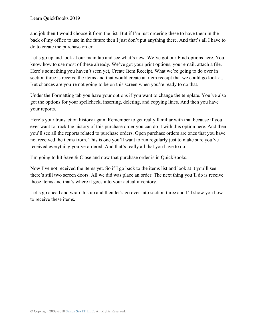and job then I would choose it from the list. But if I'm just ordering these to have them in the back of my office to use in the future then I just don't put anything there. And that's all I have to do to create the purchase order.

Let's go up and look at our main tab and see what's new. We've got our Find options here. You know how to use most of these already. We've got your print options, your email, attach a file. Here's something you haven't seen yet, Create Item Receipt. What we're going to do over in section three is receive the items and that would create an item receipt that we could go look at. But chances are you're not going to be on this screen when you're ready to do that.

Under the Formatting tab you have your options if you want to change the template. You've also got the options for your spellcheck, inserting, deleting, and copying lines. And then you have your reports.

Here's your transaction history again. Remember to get really familiar with that because if you ever want to track the history of this purchase order you can do it with this option here. And then you'll see all the reports related to purchase orders. Open purchase orders are ones that you have not received the items from. This is one you'll want to run regularly just to make sure you've received everything you've ordered. And that's really all that you have to do.

I'm going to hit Save & Close and now that purchase order is in QuickBooks.

Now I've not received the items yet. So if I go back to the items list and look at it you'll see there's still two screen doors. All we did was place an order. The next thing you'll do is receive those items and that's where it goes into your actual inventory.

Let's go ahead and wrap this up and then let's go over into section three and I'll show you how to receive these items.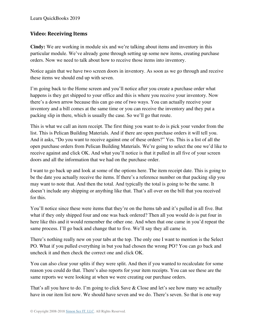#### **Video: Receiving Items**

**Cindy:** We are working in module six and we're talking about items and inventory in this particular module. We've already gone through setting up some new items, creating purchase orders. Now we need to talk about how to receive those items into inventory.

Notice again that we have two screen doors in inventory. As soon as we go through and receive these items we should end up with seven.

I'm going back to the Home screen and you'll notice after you create a purchase order what happens is they get shipped to your office and this is where you receive your inventory. Now there's a down arrow because this can go one of two ways. You can actually receive your inventory and a bill comes at the same time or you can receive the inventory and they put a packing slip in there, which is usually the case. So we'll go that route.

This is what we call an item receipt. The first thing you want to do is pick your vendor from the list. This is Pelican Building Materials. And if there are open purchase orders it will tell you. And it asks, "Do you want to receive against one of these orders?" Yes. This is a list of all the open purchase orders from Pelican Building Materials. We're going to select the one we'd like to receive against and click OK. And what you'll notice is that it pulled in all five of your screen doors and all the information that we had on the purchase order.

I want to go back up and look at some of the options here. The item receipt date. This is going to be the date you actually receive the items. If there's a reference number on that packing slip you may want to note that. And then the total. And typically the total is going to be the same. It doesn't include any shipping or anything like that. That's all over on the bill that you received for this.

You'll notice since these were items that they're on the Items tab and it's pulled in all five. But what if they only shipped four and one was back ordered? Then all you would do is put four in here like this and it would remember the other one. And when that one came in you'd repeat the same process. I'll go back and change that to five. We'll say they all came in.

There's nothing really new on your tabs at the top. The only one I want to mention is the Select PO. What if you pulled everything in but you had chosen the wrong PO? You can go back and uncheck it and then check the correct one and click OK.

You can also clear your splits if they were split. And then if you wanted to recalculate for some reason you could do that. There's also reports for your item receipts. You can see these are the same reports we were looking at when we were creating our purchase orders.

That's all you have to do. I'm going to click Save  $\&$  Close and let's see how many we actually have in our item list now. We should have seven and we do. There's seven. So that is one way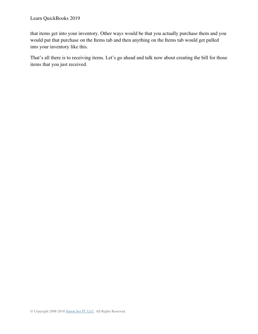that items get into your inventory. Other ways would be that you actually purchase them and you would put that purchase on the Items tab and then anything on the Items tab would get pulled into your inventory like this.

That's all there is to receiving items. Let's go ahead and talk now about creating the bill for those items that you just received.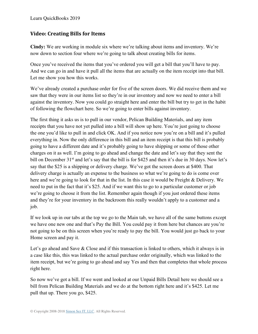## **Video: Creating Bills for Items**

**Cindy:** We are working in module six where we're talking about items and inventory. We're now down to section four where we're going to talk about creating bills for items.

Once you've received the items that you've ordered you will get a bill that you'll have to pay. And we can go in and have it pull all the items that are actually on the item receipt into that bill. Let me show you how this works.

We've already created a purchase order for five of the screen doors. We did receive them and we saw that they were in our items list so they're in our inventory and now we need to enter a bill against the inventory. Now you could go straight here and enter the bill but try to get in the habit of following the flowchart here. So we're going to enter bills against inventory.

The first thing it asks us is to pull in our vendor, Pelican Building Materials, and any item receipts that you have not yet pulled into a bill will show up here. You're just going to choose the one you'd like to pull in and click OK. And if you notice now you're on a bill and it's pulled everything in. Now the only difference in this bill and an item receipt is that this bill is probably going to have a different date and it's probably going to have shipping or some of those other charges on it as well. I'm going to go ahead and change the date and let's say that they sent the bill on December 31<sup>st</sup> and let's say that the bill is for \$425 and then it's due in 30 days. Now let's say that the \$25 is a shipping or delivery charge. We've got the screen doors at \$400. That delivery charge is actually an expense to the business so what we're going to do is come over here and we're going to look for that in the list. In this case it would be Freight & Delivery. We need to put in the fact that it's \$25. And if we want this to go to a particular customer or job we're going to choose it from the list. Remember again though if you just ordered these items and they're for your inventory in the backroom this really wouldn't apply to a customer and a job.

If we look up in our tabs at the top we go to the Main tab, we have all of the same buttons except we have one new one and that's Pay the Bill. You could pay it from here but chances are you're not going to be on this screen when you're ready to pay the bill. You would just go back to your Home screen and pay it.

Let's go ahead and Save & Close and if this transaction is linked to others, which it always is in a case like this, this was linked to the actual purchase order originally, which was linked to the item receipt, but we're going to go ahead and say Yes and then that completes that whole process right here.

So now we've got a bill. If we went and looked at our Unpaid Bills Detail here we should see a bill from Pelican Building Materials and we do at the bottom right here and it's \$425. Let me pull that up. There you go, \$425.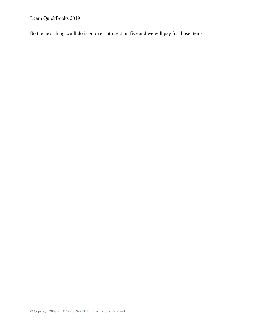Learn QuickBooks 2019

So the next thing we'll do is go over into section five and we will pay for those items.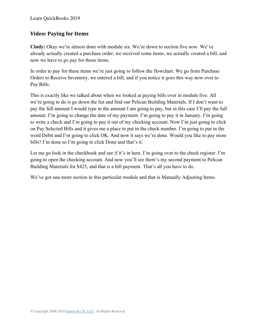#### **Video: Paying for Items**

**Cindy:** Okay we're almost done with module six. We're down to section five now. We've already actually created a purchase order, we received some items, we actually created a bill, and now we have to go pay for those items.

In order to pay for these items we're just going to follow the flowchart. We go from Purchase Orders to Receive Inventory, we entered a bill, and if you notice it goes this way now over to Pay Bills.

This is exactly like we talked about when we looked at paying bills over in module five. All we're going to do is go down the list and find our Pelican Building Materials. If I don't want to pay the full amount I would type in the amount I am going to pay, but in this case I'll pay the full amount. I'm going to change the date of my payment. I'm going to pay it in January. I'm going to write a check and I'm going to pay it out of my checking account. Now I'm just going to click on Pay Selected Bills and it gives me a place to put in the check number. I'm going to put in the word Debit and I'm going to click OK. And now it says we're done. Would you like to pay more bills? I'm done so I'm going to click Done and that's it.

Let me go look in the checkbook and see if it's in here. I'm going over to the check register. I'm going to open the checking account. And now you'll see there's my second payment to Pelican Building Materials for \$425, and that is a bill payment. That's all you have to do.

We've got one more section in this particular module and that is Manually Adjusting Items.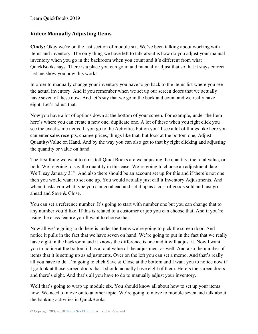#### **Video: Manually Adjusting Items**

**Cindy:** Okay we're on the last section of module six. We've been talking about working with items and inventory. The only thing we have left to talk about is how do you adjust your manual inventory when you go in the backroom when you count and it's different from what QuickBooks says. There is a place you can go in and manually adjust that so that it stays correct. Let me show you how this works.

In order to manually change your inventory you have to go back to the items list where you see the actual inventory. And if you remember when we set up our screen doors that we actually have seven of these now. And let's say that we go in the back and count and we really have eight. Let's adjust that.

Now you have a lot of options down at the bottom of your screen. For example, under the Item here's where you can create a new one, duplicate one. A lot of these when you right click you see the exact same items. If you go to the Activities button you'll see a lot of things like here you can enter sales receipts, change prices, things like that, but look at the bottom one, Adjust Quantity/Value on Hand. And by the way you can also get to that by right clicking and adjusting the quantity or value on hand.

The first thing we want to do is tell QuickBooks are we adjusting the quantity, the total value, or both. We're going to say the quantity in this case. We're going to choose an adjustment date. We'll say January 31<sup>st</sup>. And also there should be an account set up for this and if there's not one then you would want to set one up. You would actually just call it Inventory Adjustments. And when it asks you what type you can go ahead and set it up as a cost of goods sold and just go ahead and Save & Close.

You can set a reference number. It's going to start with number one but you can change that to any number you'd like. If this is related to a customer or job you can choose that. And if you're using the class feature you'll want to choose that.

Now all we're going to do here is under the Items we're going to pick the screen door. And notice it pulls in the fact that we have seven on hand. We're going to put in the fact that we really have eight in the backroom and it knows the difference is one and it will adjust it. Now I want you to notice at the bottom it has a total value of the adjustment as well. And also the number of items that it is setting up as adjustments. Over on the left you can set a memo. And that's really all you have to do. I'm going to click Save & Close at the bottom and I want you to notice now if I go look at those screen doors that I should actually have eight of them. Here's the screen doors and there's eight. And that's all you have to do to manually adjust your inventory.

Well that's going to wrap up module six. You should know all about how to set up your items now. We need to move on to another topic. We're going to move to module seven and talk about the banking activities in QuickBooks.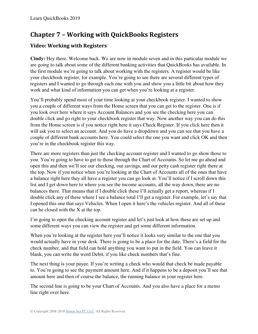# **Chapter 7 – Working with QuickBooks Registers**

# **Video: Working with Registers**

**Cindy:** Hey there. Welcome back. We are now in module seven and in this particular module we are going to talk about some of the different banking activities that QuickBooks has available. In the first module we're going to talk about working with the registers. A register would be like your checkbook register, for example. You're going to see there are several different types of registers and I wanted to go through each one with you and show you a little bit about how they work and what kind of information you can get when you're looking at a register.

You'll probably spend most of your time looking at your checkbook register. I wanted to show you a couple of different ways from the Home screen that you can get to the register. One is if you look over here where it says Account Balances and you see the checking here you can double click and go right to your checkbook register that way. Now another way you can do this from the Home screen is if you notice right here it says Check Register. If you click here then it will ask you to select an account. And you do have a dropdown and you can see that you have a couple of different bank accounts here. You could select the one you want and click OK and then you're in the checkbook register this way.

There are more registers than just the checking account register and I wanted to go show those to you. You're going to have to get to those through the Chart of Accounts. So let me go ahead and open this and then we'll see our checking, our savings, and our petty cash register right there at the top. Now if you notice when you're looking at the Chart of Accounts all of the ones that have a balance right here they all have a register you can go look at. You'll notice if I scroll down this list and I get down here to where you see the income accounts, all the way down, there are no balances there. That means that if I double click these I'll actually get a report, whereas if I double click any of these where I see a balance total I'll get a register. For example, let's say that I opened this one that says Vehicles. When I open it here's the vehicles register. And all of these can be closed with the X at the top.

I'm going to open the checking account register and let's just look at how these are set up and some different ways you can view the register and get some different information.

When you're looking at the register here you'll notice it looks very similar to the one that you would actually have in your desk. There is going to be a place for the date. There's a field for the check number, and that field can hold anything you want to put in the field. You can leave it blank, you can write the word Debit, if you like check numbers that's fine.

The next thing is your payee. If you're writing a check who would that check be made payable to. You're going to see the payment amount here. And if it happens to be a deposit you'll see that amount here and then of course the balance, the running balance in your register here.

The second line is going to be your Chart of Accounts. And you also have a place for a memo line right over here.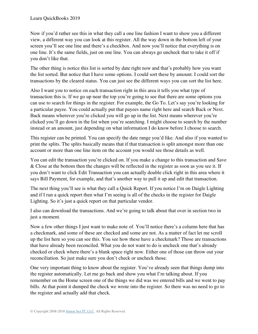Now if you'd rather see this in what they call a one line fashion I want to show you a different view, a different way you can look at this register. All the way down in the bottom left of your screen you'll see one line and there's a checkbox. And now you'll notice that everything is on one line. It's the same fields, just on one line. You can always go uncheck that to take it off if you don't like that.

The other thing is notice this list is sorted by date right now and that's probably how you want the list sorted. But notice that I have some options. I could sort these by amount. I could sort the transactions by the cleared status. You can just see the different ways you can sort the list here.

Also I want you to notice on each transaction right in this area it tells you what type of transaction this is. If we go up near the top you're going to see that there are some options you can use to search for things in the register. For example, the Go To. Let's say you're looking for a particular payee. You could actually put that payees name right here and search Back or Next. Back means wherever you're clicked you will go up in the list. Next means wherever you're clicked you'll go down in the list when you're searching. I might choose to search by the number instead or an amount, just depending on what information I do know before I choose to search.

This register can be printed. You can specify the date range you'd like. And also if you wanted to print the splits. The splits basically means that if that transaction is split amongst more than one account or more than one line item on the account you would see those details as well.

You can edit the transaction you're clicked on. If you make a change to this transaction and Save & Close at the bottom then the changes will be reflected in the register as soon as you see it. If you don't want to click Edit Transaction you can actually double click right in this area where it says Bill Payment, for example, and that's another way to pull it up and edit that transaction.

The next thing you'll see is what they call a Quick Report. If you notice I'm on Daigle Lighting and if I run a quick report then what I'm seeing is all of the checks in the register for Daigle Lighting. So it's just a quick report on that particular vendor.

I also can download the transactions. And we're going to talk about that over in section two in just a moment.

Now a few other things I just want to make note of. You'll notice there's a column here that has a checkmark, and some of these are checked and some are not. As a matter of fact let me scroll up the list here so you can see this. You see how these have a checkmark? Those are transactions that have already been reconciled. What you do not want to do is uncheck one that's already checked or check where there's a blank space right now. Either one of those can throw out your reconciliation. So just make sure you don't check or uncheck those.

One very important thing to know about the register. You've already seen that things dump into the register automatically. Let me go back and show you what I'm talking about. If you remember on the Home screen one of the things we did was we entered bills and we went to pay bills. At that point it dumped the check we wrote into the register. So there was no need to go to the register and actually add that check.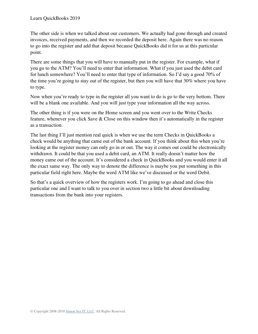The other side is when we talked about our customers. We actually had gone through and created invoices, received payments, and then we recorded the deposit here. Again there was no reason to go into the register and add that deposit because QuickBooks did it for us at this particular point.

There are some things that you will have to manually put in the register. For example, what if you go to the ATM? You'll need to enter that information. What if you just used the debit card for lunch somewhere? You'll need to enter that type of information. So I'd say a good 70% of the time you're going to stay out of the register, but then you will have that 30% where you have to type.

Now when you're ready to type in the register all you want to do is go to the very bottom. There will be a blank one available. And you will just type your information all the way across.

The other thing is if you were on the Home screen and you went over to the Write Checks feature, whenever you click Save & Close on this window then it's automatically in the register as a transaction.

The last thing I'll just mention real quick is when we use the term Checks in QuickBooks a check would be anything that came out of the bank account. If you think about this when you're looking at the register money can only go in or out. The way it comes out could be electronically withdrawn. It could be that you used a debit card, an ATM. It really doesn't matter how the money came out of the account. It's considered a check in QuickBooks and you would enter it all the exact same way. The only way to denote the difference is maybe you put something in this particular field right here. Maybe the word ATM like we've discussed or the word Debit.

So that's a quick overview of how the registers work. I'm going to go ahead and close this particular one and I want to talk to you over in section two a little bit about downloading transactions from the bank into your registers.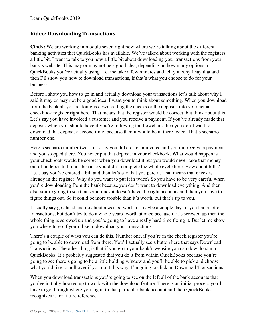#### **Video: Downloading Transactions**

**Cindy:** We are working in module seven right now where we're talking about the different banking activities that QuickBooks has available. We've talked about working with the registers a little bit. I want to talk to you now a little bit about downloading your transactions from your bank's website. This may or may not be a good idea, depending on how many options in QuickBooks you're actually using. Let me take a few minutes and tell you why I say that and then I'll show you how to download transactions, if that's what you choose to do for your business.

Before I show you how to go in and actually download your transactions let's talk about why I said it may or may not be a good idea. I want you to think about something. When you download from the bank all you're doing is downloading the checks or the deposits into your actual checkbook register right here. That means that the register would be correct, but think about this. Let's say you have invoiced a customer and you receive a payment. If you've already made that deposit, which you should have if you're following the flowchart, then you don't want to download that deposit a second time, because then it would be in there twice. That's scenario number one.

Here's scenario number two. Let's say you did create an invoice and you did receive a payment and you stopped there. You never put that deposit in your checkbook. What would happen is your checkbook would be correct when you download it but you would never take that money out of undeposited funds because you didn't complete the whole cycle here. How about bills? Let's say you've entered a bill and then let's say that you paid it. That means that check is already in the register. Why do you want to put it in twice? So you have to be very careful when you're downloading from the bank because you don't want to download everything. And then also you're going to see that sometimes it doesn't have the right accounts and then you have to figure things out. So it could be more trouble than it's worth, but that's up to you.

I usually say go ahead and do about a weeks' worth or maybe a couple days if you had a lot of transactions, but don't try to do a whole years' worth at once because if it's screwed up then the whole thing is screwed up and you're going to have a really hard time fixing it. But let me show you where to go if you'd like to download your transactions.

There's a couple of ways you can do this. Number one, if you're in the check register you're going to be able to download from there. You'll actually see a button here that says Download Transactions. The other thing is that if you go to your bank's website you can download into QuickBooks. It's probably suggested that you do it from within QuickBooks because you're going to see there's going to be a little holding window and you'll be able to pick and choose what you'd like to pull over if you do it this way. I'm going to click on Download Transactions.

When you download transactions you're going to see on the left all of the bank accounts that you've initially hooked up to work with the download feature. There is an initial process you'll have to go through where you log in to that particular bank account and then QuickBooks recognizes it for future reference.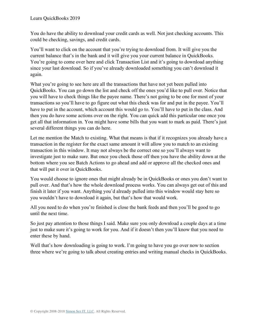You do have the ability to download your credit cards as well. Not just checking accounts. This could be checking, savings, and credit cards.

You'll want to click on the account that you're trying to download from. It will give you the current balance that's in the bank and it will give you your current balance in QuickBooks. You're going to come over here and click Transaction List and it's going to download anything since your last download. So if you've already downloaded something you can't download it again.

What you're going to see here are all the transactions that have not yet been pulled into QuickBooks. You can go down the list and check off the ones you'd like to pull over. Notice that you will have to check things like the payee name. There's not going to be one for most of your transactions so you'll have to go figure out what this check was for and put in the payee. You'll have to put in the account, which account this would go to. You'll have to put in the class. And then you do have some actions over on the right. You can quick add this particular one once you get all that information in. You might have some bills that you want to mark as paid. There's just several different things you can do here.

Let me mention the Match to existing. What that means is that if it recognizes you already have a transaction in the register for the exact same amount it will allow you to match to an existing transaction in this window. It may not always be the correct one so you'll always want to investigate just to make sure. But once you check those off then you have the ability down at the bottom where you see Batch Actions to go ahead and add or approve all the checked ones and that will put it over in QuickBooks.

You would choose to ignore ones that might already be in QuickBooks or ones you don't want to pull over. And that's how the whole download process works. You can always get out of this and finish it later if you want. Anything you'd already pulled into this window would stay here so you wouldn't have to download it again, but that's how that would work.

All you need to do when you're finished is close the bank feeds and then you'll be good to go until the next time.

So just pay attention to those things I said. Make sure you only download a couple days at a time just to make sure it's going to work for you. And if it doesn't then you'll know that you need to enter these by hand.

Well that's how downloading is going to work. I'm going to have you go over now to section three where we're going to talk about creating entries and writing manual checks in QuickBooks.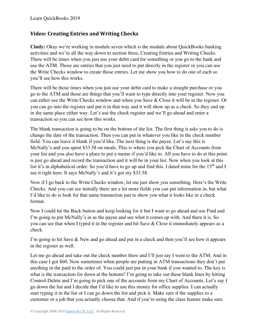## **Video: Creating Entries and Writing Checks**

**Cindy:** Okay we're working in module seven which is the module about QuickBooks banking activities and we're all the way down to section three, Creating Entries and Writing Checks. There will be times when you just use your debit card for something or you go to the bank and use the ATM. Those are entries that you just need to put directly in the register or you can use the Write Checks window to create those entries. Let me show you how to do one of each so you'll see how this works.

There will be those times when you just use your debit card to make a straight purchase or you go to the ATM and those are things that you'll want to type directly into your register. Now you can either use the Write Checks window and when you Save & Close it will be in the register. Or you can go into the register and put it in that way and it will show up as a check. So they end up in the same place either way. Let's use the check register and we'll go ahead and enter a transaction so you can see how this works.

The blank transaction is going to be on the bottom of the list. The first thing it asks you to do is change the date of the transaction. Then you can put in whatever you like in the check number field. You can leave it blank if you'd like. The next thing is the payee. Let's say this is McNally's and you spent \$33.58 on meals. This is where you pick the Chart of Accounts from your list and you also have a place to put a memo if you'd like to. All you have to do at this point is just go ahead and record the transaction and it will be in your list. Now when you look at this list it's in alphabetical order. So you'd have to go up and find this. I dated mine for the 15<sup>th</sup> and I see it right here. It says McNally's and it's got my \$33.58.

Now if I go back to the Write Checks window, let me just show you something. Here's the Write Checks. And you can see initially there are a lot more fields you can put information in, but what I'd like to do is look for that same transaction just to show you what it looks like in a check format.

Now I could hit the Back button and keep looking for it but I want to go ahead and use Find and I'm going to put McNally's in as the payee and see what it comes up with. And there it is. So you can see that when I typed it in the register and hit Save & Close it immediately appears as a check.

I'm going to hit Save & New and go ahead and put in a check and then you'll see how it appears in the register as well.

Let me go ahead and take out the check number there and I'll just say I went to the ATM. And in this case I got \$60. Now sometimes when people are putting in ATM transactions they don't put anything in the paid to the order of. You could just put in your bank if you wanted to. The key is what is the transaction for down at the bottom? I'm going to take out these blank lines by hitting Control-Delete and I'm going to pick one of the accounts from my Chart of Accounts. Let's say I go down the list and I decide that I'd like to use this money for office supplies. I can actually start typing it in the list or I can go down the list and pick it. Make sure if the supplies to a customer or a job that you actually choose that. And if you're using the class feature make sure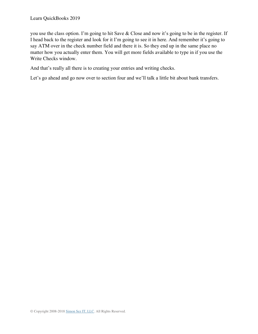you use the class option. I'm going to hit Save & Close and now it's going to be in the register. If I head back to the register and look for it I'm going to see it in here. And remember it's going to say ATM over in the check number field and there it is. So they end up in the same place no matter how you actually enter them. You will get more fields available to type in if you use the Write Checks window.

And that's really all there is to creating your entries and writing checks.

Let's go ahead and go now over to section four and we'll talk a little bit about bank transfers.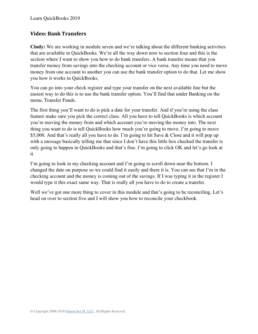### **Video: Bank Transfers**

**Cindy:** We are working in module seven and we're talking about the different banking activities that are available in QuickBooks. We're all the way down now to section four and this is the section where I want to show you how to do bank transfers. A bank transfer means that you transfer money from savings into the checking account or vice versa. Any time you need to move money from one account to another you can use the bank transfer option to do that. Let me show you how it works in QuickBooks.

You can go into your check register and type your transfer on the next available line but the easiest way to do this is to use the bank transfer option. You'll find that under Banking on the menu, Transfer Funds.

The first thing you'll want to do is pick a date for your transfer. And if you're using the class feature make sure you pick the correct class. All you have to tell QuickBooks is which account you're moving the money from and which account you're moving the money into. The next thing you want to do is tell QuickBooks how much you're going to move. I'm going to move \$5,000. And that's really all you have to do. I'm going to hit Save & Close and it will pop up with a message basically telling me that since I don't have this little box checked the transfer is only going to happen in QuickBooks and that's fine. I'm going to click OK and let's go look at it.

I'm going to look in my checking account and I'm going to scroll down near the bottom. I changed the date on purpose so we could find it easily and there it is. You can see that I'm in the checking account and the money is coming out of the savings. If I was typing it in the register I would type it this exact same way. That is really all you have to do to create a transfer.

Well we've got one more thing to cover in this module and that's going to be reconciling. Let's head on over to section five and I will show you how to reconcile your checkbook.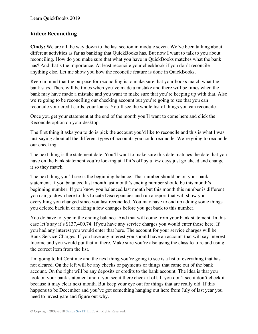### **Video: Reconciling**

**Cindy:** We are all the way down to the last section in module seven. We've been talking about different activities as far as banking that QuickBooks has. But now I want to talk to you about reconciling. How do you make sure that what you have in QuickBooks matches what the bank has? And that's the importance. At least reconcile your checkbook if you don't reconcile anything else. Let me show you how the reconcile feature is done in QuickBooks.

Keep in mind that the purpose for reconciling is to make sure that your books match what the bank says. There will be times when you've made a mistake and there will be times when the bank may have made a mistake and you want to make sure that you're keeping up with that. Also we're going to be reconciling our checking account but you're going to see that you can reconcile your credit cards, your loans. You'll see the whole list of things you can reconcile.

Once you get your statement at the end of the month you'll want to come here and click the Reconcile option on your desktop.

The first thing it asks you to do is pick the account you'd like to reconcile and this is what I was just saying about all the different types of accounts you could reconcile. We're going to reconcile our checking.

The next thing is the statement date. You'll want to make sure this date matches the date that you have on the bank statement you're looking at. If it's off by a few days just go ahead and change it so they match.

The next thing you'll see is the beginning balance. That number should be on your bank statement. If you balanced last month last month's ending number should be this month's beginning number. If you know you balanced last month but this month this number is different you can go down here to this Locate Discrepancies and run a report that will show you everything you changed since you last reconciled. You may have to end up adding some things you deleted back in or making a few changes before you get back to this number.

You do have to type in the ending balance. And that will come from your bank statement. In this case let's say it's \$137,400.74. If you have any service charges you would enter those here. If you had any interest you would enter that here. The account for your service charges will be Bank Service Charges. If you have any interest you should have an account that will say Interest Income and you would put that in there. Make sure you're also using the class feature and using the correct item from the list.

I'm going to hit Continue and the next thing you're going to see is a list of everything that has not cleared. On the left will be any checks or payments or things that came out of the bank account. On the right will be any deposits or credits to the bank account. The idea is that you look on your bank statement and if you see it there check it off. If you don't see it don't check it because it may clear next month. But keep your eye out for things that are really old. If this happens to be December and you've got something hanging out here from July of last year you need to investigate and figure out why.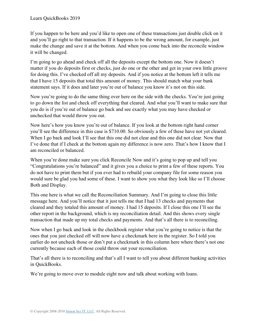If you happen to be here and you'd like to open one of these transactions just double click on it and you'll go right to that transaction. If it happens to be the wrong amount, for example, just make the change and save it at the bottom. And when you come back into the reconcile window it will be changed.

I'm going to go ahead and check off all the deposits except the bottom one. Now it doesn't matter if you do deposits first or checks, just do one or the other and get in your own little groove for doing this. I've checked off all my deposits. And if you notice at the bottom left it tells me that I have 15 deposits that total this amount of money. This should match what your bank statement says. If it does and later you're out of balance you know it's not on this side.

Now you're going to do the same thing over here on the side with the checks. You're just going to go down the list and check off everything that cleared. And what you'll want to make sure that you do is if you're out of balance go back and see exactly what you may have checked or unchecked that would throw you out.

Now here's how you know you're out of balance. If you look at the bottom right hand corner you'll see the difference in this case is \$710.00. So obviously a few of these have not yet cleared. When I go back and look I'll see that this one did not clear and this one did not clear. Now that I've done that if I check at the bottom again my difference is now zero. That's how I know that I am reconciled or balanced.

When you're done make sure you click Reconcile Now and it's going to pop up and tell you "Congratulations you're balanced" and it gives you a choice to print a few of these reports. You do not have to print them but if you ever had to rebuild your company file for some reason you would sure be glad you had some of these. I want to show you what they look like so I'll choose Both and Display.

This one here is what we call the Reconciliation Summary. And I'm going to close this little message here. And you'll notice that it just tells me that I had 13 checks and payments that cleared and they totaled this amount of money. I had 15 deposits. If I close this one I'll see the other report in the background, which is my reconciliation detail. And this shows every single transaction that made up my total checks and payments. And that's all there is to reconciling.

Now when I go back and look in the checkbook register what you're going to notice is that the ones that you just checked off will now have a checkmark here in the register. So I told you earlier do not uncheck those or don't put a checkmark in this column here where there's not one currently because each of those could throw out your reconciliation.

That's all there is to reconciling and that's all I want to tell you about different banking activities in QuickBooks.

We're going to move over to module eight now and talk about working with loans.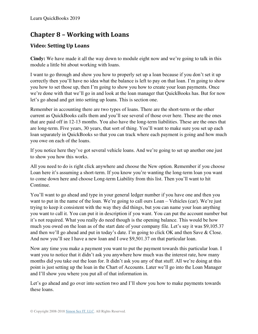# **Chapter 8 – Working with Loans**

## **Video: Setting Up Loans**

**Cindy:** We have made it all the way down to module eight now and we're going to talk in this module a little bit about working with loans.

I want to go through and show you how to properly set up a loan because if you don't set it up correctly then you'll have no idea what the balance is left to pay on that loan. I'm going to show you how to set those up, then I'm going to show you how to create your loan payments. Once we're done with that we'll go in and look at the loan manager that QuickBooks has. But for now let's go ahead and get into setting up loans. This is section one.

Remember in accounting there are two types of loans. There are the short-term or the other current as QuickBooks calls them and you'll see several of those over here. These are the ones that are paid off in 12-13 months. You also have the long-term liabilities. These are the ones that are long-term. Five years, 30 years, that sort of thing. You'll want to make sure you set up each loan separately in QuickBooks so that you can track where each payment is going and how much you owe on each of the loans.

If you notice here they've got several vehicle loans. And we're going to set up another one just to show you how this works.

All you need to do is right click anywhere and choose the New option. Remember if you choose Loan here it's assuming a short-term. If you know you're wanting the long-term loan you want to come down here and choose Long-term Liability from this list. Then you'll want to hit Continue.

You'll want to go ahead and type in your general ledger number if you have one and then you want to put in the name of the loan. We're going to call ours Loan – Vehicles (car). We're just trying to keep it consistent with the way they did things, but you can name your loan anything you want to call it. You can put it in description if you want. You can put the account number but it's not required. What you really do need though is the opening balance. This would be how much you owed on the loan as of the start date of your company file. Let's say it was \$9,105.37 and then we'll go ahead and put in today's date. I'm going to click OK and then Save & Close. And now you'll see I have a new loan and I owe \$9,501.37 on that particular loan.

Now any time you make a payment you want to put the payment towards this particular loan. I want you to notice that it didn't ask you anywhere how much was the interest rate, how many months did you take out the loan for. It didn't ask you any of that stuff. All we're doing at this point is just setting up the loan in the Chart of Accounts. Later we'll go into the Loan Manager and I'll show you where you put all of that information in.

Let's go ahead and go over into section two and I'll show you how to make payments towards these loans.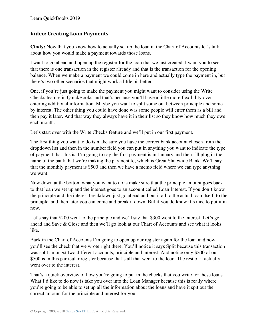## **Video: Creating Loan Payments**

**Cindy:** Now that you know how to actually set up the loan in the Chart of Accounts let's talk about how you would make a payment towards those loans.

I want to go ahead and open up the register for the loan that we just created. I want you to see that there is one transaction in the register already and that is the transaction for the opening balance. When we make a payment we could come in here and actually type the payment in, but there's two other scenarios that might work a little bit better.

One, if you're just going to make the payment you might want to consider using the Write Checks feature in QuickBooks and that's because you'll have a little more flexibility over entering additional information. Maybe you want to split some out between principle and some by interest. The other thing you could have done was some people will enter them as a bill and then pay it later. And that way they always have it in their list so they know how much they owe each month.

Let's start over with the Write Checks feature and we'll put in our first payment.

The first thing you want to do is make sure you have the correct bank account chosen from the dropdown list and then in the number field you can put in anything you want to indicate the type of payment that this is. I'm going to say the first payment is in January and then I'll plug in the name of the bank that we're making the payment to, which is Great Statewide Bank. We'll say that the monthly payment is \$500 and then we have a memo field where we can type anything we want.

Now down at the bottom what you want to do is make sure that the principle amount goes back to that loan we set up and the interest goes to an account called Loan Interest. If you don't know the principle and the interest breakdown just go ahead and put it all to the actual loan itself, to the principle, and then later you can come and break it down. But if you do know it's nice to put it in now.

Let's say that \$200 went to the principle and we'll say that \$300 went to the interest. Let's go ahead and Save & Close and then we'll go look at our Chart of Accounts and see what it looks like.

Back in the Chart of Accounts I'm going to open up our register again for the loan and now you'll see the check that we wrote right there. You'll notice it says Split because this transaction was split amongst two different accounts, principle and interest. And notice only \$200 of our \$500 is in this particular register because that's all that went to the loan. The rest of it actually went over to the interest.

That's a quick overview of how you're going to put in the checks that you write for these loans. What I'd like to do now is take you over into the Loan Manager because this is really where you're going to be able to set up all the information about the loans and have it spit out the correct amount for the principle and interest for you.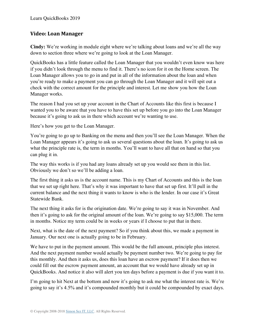#### **Video: Loan Manager**

**Cindy:** We're working in module eight where we're talking about loans and we're all the way down to section three where we're going to look at the Loan Manager.

QuickBooks has a little feature called the Loan Manager that you wouldn't even know was here if you didn't look through the menu to find it. There's no icon for it on the Home screen. The Loan Manager allows you to go in and put in all of the information about the loan and when you're ready to make a payment you can go through the Loan Manager and it will spit out a check with the correct amount for the principle and interest. Let me show you how the Loan Manager works.

The reason I had you set up your account in the Chart of Accounts like this first is because I wanted you to be aware that you have to have this set up before you go into the Loan Manager because it's going to ask us in there which account we're wanting to use.

Here's how you get to the Loan Manager.

You're going to go up to Banking on the menu and then you'll see the Loan Manager. When the Loan Manager appears it's going to ask us several questions about the loan. It's going to ask us what the principle rate is, the term in months. You'll want to have all that on hand so that you can plug it in.

The way this works is if you had any loans already set up you would see them in this list. Obviously we don't so we'll be adding a loan.

The first thing it asks us is the account name. This is my Chart of Accounts and this is the loan that we set up right here. That's why it was important to have that set up first. It'll pull in the current balance and the next thing it wants to know is who is the lender. In our case it's Great Statewide Bank.

The next thing it asks for is the origination date. We're going to say it was in November. And then it's going to ask for the original amount of the loan. We're going to say \$15,000. The term in months. Notice my term could be in weeks or years if I choose to put that in there.

Next, what is the date of the next payment? So if you think about this, we made a payment in January. Our next one is actually going to be in February.

We have to put in the payment amount. This would be the full amount, principle plus interest. And the next payment number would actually be payment number two. We're going to pay for this monthly. And then it asks us, does this loan have an escrow payment? If it does then we could fill out the escrow payment amount, an account that we would have already set up in QuickBooks. And notice it also will alert you ten days before a payment is due if you want it to.

I'm going to hit Next at the bottom and now it's going to ask me what the interest rate is. We're going to say it's 4.5% and it's compounded monthly but it could be compounded by exact days.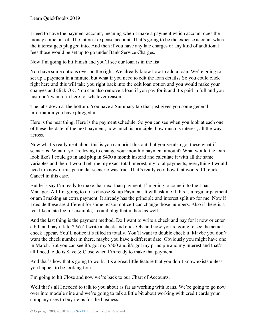I need to have the payment account, meaning when I make a payment which account does the money come out of. The interest expense account. That's going to be the expense account where the interest gets plugged into. And then if you have any late charges or any kind of additional fees those would be set up to go under Bank Service Charges.

Now I'm going to hit Finish and you'll see our loan is in the list.

You have some options over on the right. We already know how to add a loan. We're going to set up a payment in a minute, but what if you need to edit the loan details? So you could click right here and this will take you right back into the edit loan option and you would make your changes and click OK. You can also remove a loan if you pay for it and it's paid in full and you just don't want it in here for whatever reason.

The tabs down at the bottom. You have a Summary tab that just gives you some general information you have plugged in.

Here is the neat thing. Here is the payment schedule. So you can see when you look at each one of these the date of the next payment, how much is principle, how much is interest, all the way across.

Now what's really neat about this is you can print this out, but you've also got these what if scenarios. What if you're trying to change your monthly payment amount? What would the loan look like? I could go in and plug in \$400 a month instead and calculate it with all the same variables and then it would tell me my exact total interest, my total payments, everything I would need to know if this particular scenario was true. That's really cool how that works. I'll click Cancel in this case.

But let's say I'm ready to make that next loan payment. I'm going to come into the Loan Manager. All I'm going to do is choose Setup Payment. It will ask me if this is a regular payment or am I making an extra payment. It already has the principle and interest split up for me. Now if I decide these are different for some reason notice I can change those numbers. Also if there is a fee, like a late fee for example, I could plug that in here as well.

And the last thing is the payment method. Do I want to write a check and pay for it now or enter a bill and pay it later? We'll write a check and click OK and now you're going to see the actual check appear. You'll notice it's filled in totally. You'll want to double check it. Maybe you don't want the check number in there, maybe you have a different date. Obviously you might have one in March. But you can see it's got my \$500 and it's got my principle and my interest and that's all I need to do is Save & Close when I'm ready to make that payment.

And that's how that's going to work. It's a great little feature that you don't know exists unless you happen to be looking for it.

I'm going to hit Close and now we're back to our Chart of Accounts.

Well that's all I needed to talk to you about as far as working with loans. We're going to go now over into module nine and we're going to talk a little bit about working with credit cards your company uses to buy items for the business.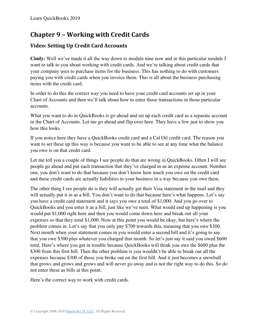# **Chapter 9 – Working with Credit Cards**

## **Video: Setting Up Credit Card Accounts**

**Cindy:** Well we've made it all the way down to module nine now and in this particular module I want to talk to you about working with credit cards. And we're talking about credit cards that your company uses to purchase items for the business. This has nothing to do with customers paying you with credit cards when you invoice them. This is all about the business purchasing items with the credit card.

In order to do this the correct way you need to have your credit card accounts set up in your Chart of Accounts and then we'll talk about how to enter those transactions in those particular accounts.

What you want to do in QuickBooks is go ahead and set up each credit card as a separate account in the Chart of Accounts. Let me go ahead and flip over here. They have a few just to show you how this looks.

If you notice here they have a QuickBooks credit card and a Cal Oil credit card. The reason you want to set these up this way is because you want to be able to see at any time what the balance you owe is on that credit card.

Let me tell you a couple of things I see people do that are wrong in QuickBooks. Often I will see people go ahead and put each transaction that they've charged in as an expense account. Number one, you don't want to do that because you don't know how much you owe on the credit card and these credit cards are actually liabilities to your business in a way because you owe them.

The other thing I see people do is they will actually get their Visa statement in the mail and they will actually put it in as a bill. You don't want to do that because here's what happens. Let's say you have a credit card statement and it says you owe a total of \$1,000. And you go over to QuickBooks and you enter it as a bill, just like we've seen. What would end up happening is you would put \$1,000 right here and then you would come down here and break out all your expenses so that they total \$1,000. Now at this point you would be okay, but here's where the problem comes in. Let's say that you only pay \$700 towards this, meaning that you owe \$300. Next month when your statement comes in you would enter a second bill and it's going to say that you owe \$300 plus whatever you charged that month. So let's just say it said you owed \$600 total. Here's where you get in trouble because QuickBooks will think you owe the \$600 plus the \$300 from this first bill. Then the other problem is you wouldn't be able to break out all the expenses because \$300 of those you broke out on the first bill. And it just becomes a snowball that grows and grows and grows and will never go away and is not the right way to do this. So do not enter these as bills at this point.

Here's the correct way to work with credit cards.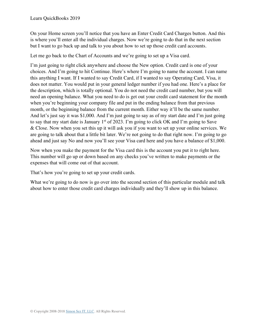On your Home screen you'll notice that you have an Enter Credit Card Charges button. And this is where you'll enter all the individual charges. Now we're going to do that in the next section but I want to go back up and talk to you about how to set up those credit card accounts.

Let me go back to the Chart of Accounts and we're going to set up a Visa card.

I'm just going to right click anywhere and choose the New option. Credit card is one of your choices. And I'm going to hit Continue. Here's where I'm going to name the account. I can name this anything I want. If I wanted to say Credit Card, if I wanted to say Operating Card, Visa, it does not matter. You would put in your general ledger number if you had one. Here's a place for the description, which is totally optional. You do not need the credit card number, but you will need an opening balance. What you need to do is get out your credit card statement for the month when you're beginning your company file and put in the ending balance from that previous month, or the beginning balance from the current month. Either way it'll be the same number. And let's just say it was \$1,000. And I'm just going to say as of my start date and I'm just going to say that my start date is January  $1<sup>st</sup>$  of 2023. I'm going to click OK and I'm going to Save & Close. Now when you set this up it will ask you if you want to set up your online services. We are going to talk about that a little bit later. We're not going to do that right now. I'm going to go ahead and just say No and now you'll see your Visa card here and you have a balance of \$1,000.

Now when you make the payment for the Visa card this is the account you put it to right here. This number will go up or down based on any checks you've written to make payments or the expenses that will come out of that account.

That's how you're going to set up your credit cards.

What we're going to do now is go over into the second section of this particular module and talk about how to enter those credit card charges individually and they'll show up in this balance.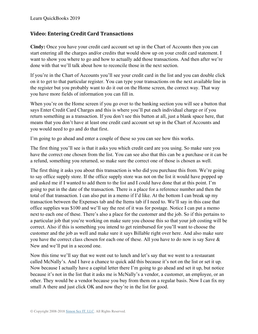### **Video: Entering Credit Card Transactions**

**Cindy:** Once you have your credit card account set up in the Chart of Accounts then you can start entering all the charges and/or credits that would show up on your credit card statement. I want to show you where to go and how to actually add those transactions. And then after we're done with that we'll talk about how to reconcile those in the next section.

If you're in the Chart of Accounts you'll see your credit card in the list and you can double click on it to get to that particular register. You can type your transactions on the next available line in the register but you probably want to do it out on the Home screen, the correct way. That way you have more fields of information you can fill in.

When you're on the Home screen if you go over to the banking section you will see a button that says Enter Credit Card Charges and this is where you'll put each individual charge or if you return something as a transaction. If you don't see this button at all, just a blank space here, that means that you don't have at least one credit card account set up in the Chart of Accounts and you would need to go and do that first.

I'm going to go ahead and enter a couple of these so you can see how this works.

The first thing you'll see is that it asks you which credit card are you using. So make sure you have the correct one chosen from the list. You can see also that this can be a purchase or it can be a refund, something you returned, so make sure the correct one of those is chosen as well.

The first thing it asks you about this transaction is who did you purchase this from. We're going to say office supply store. If the office supply store was not on the list it would have popped up and asked me if I wanted to add them to the list and I could have done that at this point. I'm going to put in the date of the transaction. There is a place for a reference number and then the total of that transaction. I can also put in a memo if I'd like. At the bottom I can break up my transaction between the Expenses tab and the Items tab if I need to. We'll say in this case that office supplies was \$100 and we'll say the rest of it was for postage. Notice I can put a memo next to each one of these. There's also a place for the customer and the job. So if this pertains to a particular job that you're working on make sure you choose this so that your job costing will be correct. Also if this is something you intend to get reimbursed for you'll want to choose the customer and the job as well and make sure it says Billable right over here. And also make sure you have the correct class chosen for each one of these. All you have to do now is say Save & New and we'll put in a second one.

Now this time we'll say that we went out to lunch and let's say that we went to a restaurant called McNally's. And I have a chance to quick add this because it's not on the list or set it up. Now because I actually have a capital letter there I'm going to go ahead and set it up, but notice because it's not in the list that it asks me is McNally's a vendor, a customer, an employee, or an other. They would be a vendor because you buy from them on a regular basis. Now I can fix my small A there and just click OK and now they're in the list for good.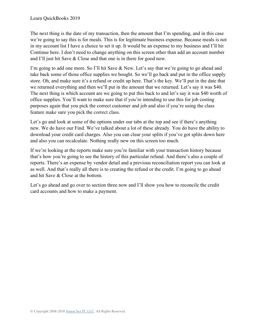The next thing is the date of my transaction, then the amount that I'm spending, and in this case we're going to say this is for meals. This is for legitimate business expense. Because meals is not in my account list I have a choice to set it up. It would be an expense to my business and I'll hit Continue here. I don't need to change anything on this screen other than add an account number and I'll just hit Save & Close and that one is in there for good now.

I'm going to add one more. So I'll hit Save & New. Let's say that we're going to go ahead and take back some of those office supplies we bought. So we'll go back and put in the office supply store. Oh, and make sure it's a refund or credit up here. That's the key. We'll put in the date that we returned everything and then we'll put in the amount that we returned. Let's say it was \$40. The next thing is which account are we going to put this back to and let's say it was \$40 worth of office supplies. You'll want to make sure that if you're intending to use this for job costing purposes again that you pick the correct customer and job and also if you're using the class feature make sure you pick the correct class.

Let's go and look at some of the options under our tabs at the top and see if there's anything new. We do have our Find. We've talked about a lot of these already. You do have the ability to download your credit card charges. Also you can clear your splits if you've got splits down here and also you can recalculate. Nothing really new on this screen too much.

If we're looking at the reports make sure you're familiar with your transaction history because that's how you're going to see the history of this particular refund. And there's also a couple of reports. There's an expense by vendor detail and a previous reconciliation report you can look at as well. And that's really all there is to creating the refund or the credit. I'm going to go ahead and hit Save & Close at the bottom.

Let's go ahead and go over to section three now and I'll show you how to reconcile the credit card accounts and how to make a payment.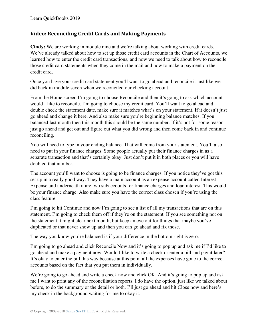### **Video: Reconciling Credit Cards and Making Payments**

**Cindy:** We are working in module nine and we're talking about working with credit cards. We've already talked about how to set up those credit card accounts in the Chart of Accounts, we learned how to enter the credit card transactions, and now we need to talk about how to reconcile those credit card statements when they come in the mail and how to make a payment on the credit card.

Once you have your credit card statement you'll want to go ahead and reconcile it just like we did back in module seven when we reconciled our checking account.

From the Home screen I'm going to choose Reconcile and then it's going to ask which account would I like to reconcile. I'm going to choose my credit card. You'll want to go ahead and double check the statement date, make sure it matches what's on your statement. If it doesn't just go ahead and change it here. And also make sure you're beginning balance matches. If you balanced last month then this month this should be the same number. If it's not for some reason just go ahead and get out and figure out what you did wrong and then come back in and continue reconciling.

You will need to type in your ending balance. That will come from your statement. You'll also need to put in your finance charges. Some people actually put their finance charges in as a separate transaction and that's certainly okay. Just don't put it in both places or you will have doubled that number.

The account you'll want to choose is going to be finance charges. If you notice they've got this set up in a really good way. They have a main account as an expense account called Interest Expense and underneath it are two subaccounts for finance charges and loan interest. This would be your finance charge. Also make sure you have the correct class chosen if you're using the class feature.

I'm going to hit Continue and now I'm going to see a list of all my transactions that are on this statement. I'm going to check them off if they're on the statement. If you see something not on the statement it might clear next month, but keep an eye out for things that maybe you've duplicated or that never show up and then you can go ahead and fix those.

The way you know you're balanced is if your difference in the bottom right is zero.

I'm going to go ahead and click Reconcile Now and it's going to pop up and ask me if I'd like to go ahead and make a payment now. Would I like to write a check or enter a bill and pay it later? It's okay to enter the bill this way because at this point all the expenses have gone to the correct accounts based on the fact that you put them in individually.

We're going to go ahead and write a check now and click OK. And it's going to pop up and ask me I want to print any of the reconciliation reports. I do have the option, just like we talked about before, to do the summary or the detail or both. I'll just go ahead and hit Close now and here's my check in the background waiting for me to okay it.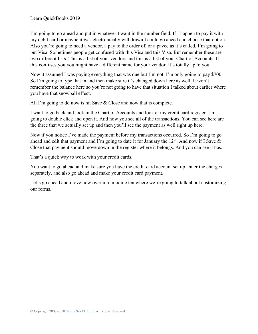I'm going to go ahead and put in whatever I want in the number field. If I happen to pay it with my debit card or maybe it was electronically withdrawn I could go ahead and choose that option. Also you're going to need a vendor, a pay to the order of, or a payee as it's called. I'm going to put Visa. Sometimes people get confused with this Visa and this Visa. But remember these are two different lists. This is a list of your vendors and this is a list of your Chart of Accounts. If this confuses you you might have a different name for your vendor. It's totally up to you.

Now it assumed I was paying everything that was due but I'm not. I'm only going to pay \$700. So I'm going to type that in and then make sure it's changed down here as well. It won't remember the balance here so you're not going to have that situation I talked about earlier where you have that snowball effect.

All I'm going to do now is hit Save & Close and now that is complete.

I want to go back and look in the Chart of Accounts and look at my credit card register. I'm going to double click and open it. And now you see all of the transactions. You can see here are the three that we actually set up and then you'll see the payment as well right up here.

Now if you notice I've made the payment before my transactions occurred. So I'm going to go ahead and edit that payment and I'm going to date it for January the  $12<sup>th</sup>$ . And now if I Save  $\&$ Close that payment should move down in the register where it belongs. And you can see it has.

That's a quick way to work with your credit cards.

You want to go ahead and make sure you have the credit card account set up, enter the charges separately, and also go ahead and make your credit card payment.

Let's go ahead and move now over into module ten where we're going to talk about customizing our forms.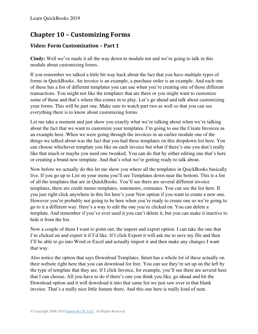# **Chapter 10 – Customizing Forms**

## **Video: Form Customization – Part 1**

**Cindy:** Well we've made it all the way down to module ten and we're going to talk in this module about customizing forms.

If you remember we talked a little bit way back about the fact that you have multiple types of forms in QuickBooks. An invoice is an example, a purchase order is an example. And each one of these has a list of different templates you can use when you're creating one of those different transactions. You might not like the templates that are there or you might want to customize some of those and that's where this comes in to play. Let's go ahead and talk about customizing your forms. This will be part one. Make sure to watch part two as well so that you can see everything there is to know about customizing forms.

Let me take a moment and just show you exactly what we're talking about when we're talking about the fact that we want to customize your templates. I'm going to use the Create Invoices as an example here. When we were going through the invoices in an earlier module one of the things we talked about was the fact that you had these templates on this dropdown list here. You can choose whichever template you like on each invoice but what if there's one you don't really like that much or maybe you need one tweaked. You can do that by either editing one that's here or creating a brand new template. And that's what we're getting ready to talk about.

Now before we actually do this let me show you where all the templates in QuickBooks basically live. If you go up to List on your menu you'll see Templates down near the bottom. This is a list of all the templates that are in QuickBooks. You'll see there are several different invoice templates, there are credit memo templates, statements, estimates. You can see the list here. If you just right click anywhere in this list here's your New option if you want to create a new one. However you're probably not going to be here when you're ready to create one so we're going to go to it a different way. Here's a way to edit the one you're clicked on. You can delete a template. And remember if you've ever used it you can't delete it, but you can make it inactive to hide it from the list.

Now a couple of them I want to point out, the import and export option. I can take the one that I'm clicked on and export it if I'd like. If I click Export it will ask me to save my file and then I'll be able to go into Word or Excel and actually import it and then make any changes I want that way.

Also notice the option that says Download Templates. Intuit has a whole lot of these actually on their website right here that you can download for free. You can see they're set up on the left by the type of template that they are. If I click Invoice, for example, you'll see there are several here that I can choose. All you have to do if there's one you think you like, go ahead and hit the Download option and it will download it into that same list we just saw over in that blank invoice. That's a really nice little feature there. And this one here is really kind of neat.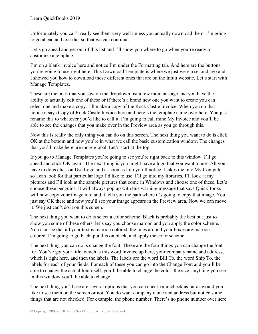Unfortunately you can't really see them very well unless you actually download them. I'm going to go ahead and exit that so that we can continue.

Let's go ahead and get out of this list and I'll show you where to go when you're ready to customize a template.

I'm on a blank invoice here and notice I'm under the Formatting tab. And here are the buttons you're going to use right here. This Download Template is where we just were a second ago and I showed you how to download those different ones that are on the Intuit website. Let's start with Manage Templates.

These are the ones that you saw on the dropdown list a few moments ago and you have the ability to actually edit one of these or if there's a brand new one you want to create you can select one and make a copy. I'll make a copy of the Rock Castle Invoice. When you do that notice it says Copy of Rock Castle Invoice here and here's the template name over here. You just rename this to whatever you'd like to call it. I'm going to call mine My Invoice and you'll be able to see the changes that you make over in the Preview area as you go through this.

Now this is really the only thing you can do on this screen. The next thing you want to do is click OK at the bottom and now you're in what we call the basic customization window. The changes that you'll make here are more global. Let's start at the top.

If you go to Manage Templates you're going to see you're right back to this window. I'll go ahead and click OK again. The next thing is you might have a logo that you want to use. All you have to do is click on Use Logo and as soon as I do you'll notice it takes me into My Computer so I can look for that particular logo I'd like to use. I'll go into my libraries, I'll look at my pictures and I'll look at the sample pictures that come in Windows and choose one of these. Let's choose these penguins. It will always pop up with this warning message that says QuickBooks will now copy your image into and it tells you the path where it's going to copy that image. You just say OK there and now you'll see your image appears in the Preview area. Now we can move it. We just can't do it on this screen.

The next thing you want to do is select a color scheme. Black is probably the best but just to show you some of these others, let's say you choose maroon and you apply the color scheme. You can see that all your text is maroon colored, the lines around your boxes are maroon colored. I'm going to go back, put this on black, and apply the color scheme.

The next thing you can do is change the font. These are the four things you can change the font for. You've got your title, which is this word Invoice up here, your company name and address, which is right here, and then the labels. The labels are the word Bill To, the word Ship To, the labels for each of your fields. For each of these you can go into the Change Font and you'll be able to change the actual font itself, you'll be able to change the color, the size, anything you see in this window you'll be able to change.

The next thing you'll see are several options that you can check or uncheck as far as would you like to see them on the screen or not. You do want company name and address but notice some things that are not checked. For example, the phone number. There's no phone number over here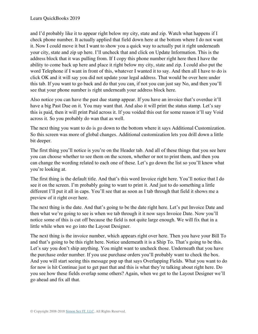and I'd probably like it to appear right below my city, state and zip. Watch what happens if I check phone number. It actually applied that field down here at the bottom where I do not want it. Now I could move it but I want to show you a quick way to actually put it right underneath your city, state and zip up here. I'll uncheck that and click on Update Information. This is the address block that it was pulling from. If I copy this phone number right here then I have the ability to come back up here and place it right below my city, state and zip. I could also put the word Telephone if I want in front of this, whatever I wanted it to say. And then all I have to do is click OK and it will say you did not update your legal address. That would be over here under this tab. If you want to go back and do that you can, if not you can just say No, and then you'll see that your phone number is right underneath your address block here.

Also notice you can have the past due stamp appear. If you have an invoice that's overdue it'll have a big Past Due on it. You may want that. And also it will print the status stamp. Let's say this is paid, then it will print Paid across it. If you voided this out for some reason it'll say Void across it. So you probably do wan that as well.

The next thing you want to do is go down to the bottom where it says Additional Customization. So this screen was more of global changes. Additional customization lets you drill down a little bit deeper.

The first thing you'll notice is you're on the Header tab. And all of these things that you see here you can choose whether to see them on the screen, whether or not to print them, and then you can change the wording related to each one of these. Let's go down the list so you'll know what you're looking at.

The first thing is the default title. And that's this word Invoice right here. You'll notice that I do see it on the screen. I'm probably going to want to print it. And just to do something a little different I'll put it all in caps. You'll see that as soon as I tab through that field it shows me a preview of it right over here.

The next thing is the date. And that's going to be the date right here. Let's put Invoice Date and then what we're going to see is when we tab through it it now says Invoice Date. Now you'll notice some of this is cut off because the field is not quite large enough. We will fix that in a little while when we go into the Layout Designer.

The next thing is the invoice number, which appears right over here. Then you have your Bill To and that's going to be this right here. Notice underneath it is a Ship To. That's going to be this. Let's say you don't ship anything. You might want to uncheck those. Underneath that you have the purchase order number. If you use purchase orders you'll probably want to check the box. And you will start seeing this message pop up that says Overlapping Fields. What you want to do for now is hit Continue just to get past that and this is what they're talking about right here. Do you see how these fields overlap some others? Again, when we get to the Layout Designer we'll go ahead and fix all that.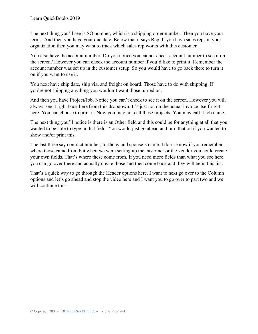The next thing you'll see is SO number, which is a shipping order number. Then you have your terms. And then you have your due date. Below that it says Rep. If you have sales reps in your organization then you may want to track which sales rep works with this customer.

You also have the account number. Do you notice you cannot check account number to see it on the screen? However you can check the account number if you'd like to print it. Remember the account number was set up in the customer setup. So you would have to go back there to turn it on if you want to use it.

You next have ship date, ship via, and freight on board. Those have to do with shipping. If you're not shipping anything you wouldn't want those turned on.

And then you have Project/Job. Notice you can't check to see it on the screen. However you will always see it right back here from this dropdown. It's just not on the actual invoice itself right here. You can choose to print it. Now you may not call these projects. You may call it job name.

The next thing you'll notice is there is an Other field and this could be for anything at all that you wanted to be able to type in that field. You would just go ahead and turn that on if you wanted to show and/or print this.

The last three say contract number, birthday and spouse's name. I don't know if you remember where those came from but when we were setting up the customer or the vendor you could create your own fields. That's where these come from. If you need more fields than what you see here you can go over there and actually create those and then come back and they will be in this list.

That's a quick way to go through the Header options here. I want to next go over to the Column options and let's go ahead and stop the video here and I want you to go over to part two and we will continue this.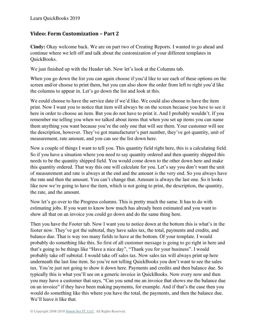#### **Video: Form Customization – Part 2**

**Cindy:** Okay welcome back. We are on part two of Creating Reports. I wanted to go ahead and continue where we left off and talk about the customization of your different templates in QuickBooks.

We just finished up with the Header tab. Now let's look at the Columns tab.

When you go down the list you can again choose if you'd like to see each of these options on the screen and/or choose to print them, but you can also show the order from left to right you'd like the columns to appear in. Let's go down the list and look at this.

We could choose to have the service date if we'd like. We could also choose to have the item print. Now I want you to notice that item will always be on the screen because you have to see it here in order to choose an item. But you do not have to print it. And I probably wouldn't. If you remember me telling you when we talked about items that when you set up items you can name them anything you want because you're the only one that will see them. Your customer will see the description, however. They've got manufacturer's part number, they've got quantity, unit of measurement, rate amount, and you can see the list down here.

Now a couple of things I want to tell you. This quantity field right here, this is a calculating field. So if you have a situation where you need to say quantity ordered and then quantity shipped this needs to be the quantity shipped field. You would come down to the other down here and make this quantity ordered. That way this one will calculate for you. Let's say you don't want the unit of measurement and rate is always at the end and the amount is the very end. So you always have the rate and then the amount. You can't change that. Amount is always the last one. So it looks like now we're going to have the item, which is not going to print, the description, the quantity, the rate, and the amount.

Now let's go over to the Progress columns. This is pretty much the same. It has to do with estimating jobs. If you want to know how much has already been estimated and you want to show all that on an invoice you could go down and do the same thing here.

Then you have the Footer tab. Now I want you to notice down at the bottom this is what's in the footer now. They've got the subtotal, they have sales tax, the total, payments and credits, and balance due. That is way too many fields to have at the bottom. Of your template. I would probably do something like this. So first of all customer message is going to go right in here and that's going to be things like "Have a nice day", "Thank you for your business". I would probably take off subtotal. I would take off sales tax. Now sales tax will always print up here underneath the last line item. So you're not telling QuickBooks you don't want to see the sales tax. You're just not going to show it down here. Payments and credits and then balance due. So typically this is what you'll see on a generic invoice in QuickBooks. Now every now and then you may have a customer that says, "Can you send me an invoice that shows me the balance due on an invoice" if they have been making payments, for example. And if that's the case then you would do something like this where you have the total, the payments, and then the balance due. We'll leave it like that.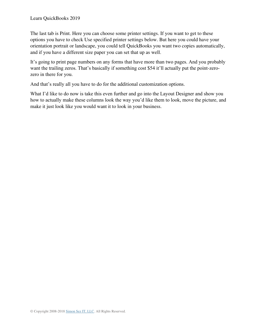The last tab is Print. Here you can choose some printer settings. If you want to get to these options you have to check Use specified printer settings below. But here you could have your orientation portrait or landscape, you could tell QuickBooks you want two copies automatically, and if you have a different size paper you can set that up as well.

It's going to print page numbers on any forms that have more than two pages. And you probably want the trailing zeros. That's basically if something cost \$54 it'll actually put the point-zerozero in there for you.

And that's really all you have to do for the additional customization options.

What I'd like to do now is take this even further and go into the Layout Designer and show you how to actually make these columns look the way you'd like them to look, move the picture, and make it just look like you would want it to look in your business.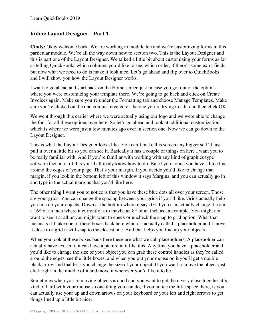#### **Video: Layout Designer – Part 1**

**Cindy:** Okay welcome back. We are working in module ten and we're customizing forms in this particular module. We're all the way down now to section two. This is the Layout Designer and this is part one of the Layout Designer. We talked a little bit about customizing your forms as far as telling QuickBooks which columns you'd like to see, which order, if there's some extra fields but now what we need to do is make it look nice. Let's go ahead and flip over to QuickBooks and I will show you how the Layout Designer works.

I want to go ahead and start back on the Home screen just in case you got out of the options where you were customizing your template there. We're going to go back and click on Create Invoices again. Make sure you're under the Formatting tab and choose Manage Templates. Make sure you're clicked on the one you just created or the one you're trying to edit and then click OK.

We went through this earlier where we were actually using our logo and we were able to change the font for all these options over here. So let's go ahead and look at additional customization, which is where we were just a few minutes ago over in section one. Now we can go down to the Layout Designer.

This is what the Layout Designer looks like. You can't make this screen any bigger so I'll just pull it over a little bit so you can see it. Basically it has a couple of things on here I want you to be really familiar with. And if you're familiar with working with any kind of graphics type software then a lot of this you'll all ready know how to do. But if you notice you have a blue line around the edges of your page. That's your margin. If you decide you'd like to change that margin, if you look in the bottom left of this window it says Margins, and you can actually go in and type in the actual margins that you'd like here.

The other thing I want you to notice is that you have these blue dots all over your screen. Those are your grids. You can change the spacing between your grids if you'd like. Grids actually help you line up your objects. Down at the bottom where it says Grid you can actually change it from a  $16<sup>th</sup>$  of an inch where it currently is to maybe an  $8<sup>th</sup>$  of an inch as an example. You might not want to see it at all or you might want to check or uncheck the snap to grid option. What that means is if I take one of these boxes back here which is actually called a placeholder and I move it close to a grid it will snap to the closest one. And that helps you line up your objects.

When you look at these boxes back here these are what we call placeholders. A placeholder can actually have text in it, it can have a picture in it like this. Any time you have a placeholder and you'd like to change the size of your object you can grab these control handles as they're called around the edges, see the little boxes, and when you put your mouse on it you'll get a double black arrow and that let's you change the size of your object. If you want to move the object just click right in the middle of it and move it wherever you'd like it to be.

Sometimes when you're moving objects around and you want to get them very close together it's kind of hard with your mouse so one thing you can do, if you notice the little space there, is you can actually use your up and down arrows on your keyboard or your left and right arrows to get things lined up a little bit nicer.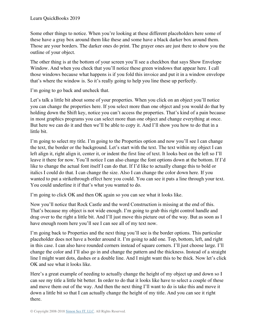Some other things to notice. When you're looking at these different placeholders here some of these have a gray box around them like these and some have a black darker box around them. Those are your borders. The darker ones do print. The grayer ones are just there to show you the outline of your object.

The other thing is at the bottom of your screen you'll see a checkbox that says Show Envelope Window. And when you check that you'll notice these green windows that appear here. I call those windows because what happens is if you fold this invoice and put it in a window envelope that's where the window is. So it's really going to help you line these up perfectly.

I'm going to go back and uncheck that.

Let's talk a little bit about some of your properties. When you click on an object you'll notice you can change the properties here. If you select more than one object and you would do that by holding down the Shift key, notice you can't access the properties. That's kind of a pain because in most graphics programs you can select more than one object and change everything at once. But here we can do it and then we'll be able to copy it. And I'll show you how to do that in a little bit.

I'm going to select my title. I'm going to the Properties option and now you'll see I can change the text, the border or the background. Let's start with the text. The text within my object I can left align it, right align it, center it, or indent the first line of text. It looks best on the left so I'll leave it there for now. You'll notice I can also change the font options down at the bottom. If I'd like to change the actual font itself I can do that. If I'd like to actually change this to bold or italics I could do that. I can change the size. Also I can change the color down here. If you wanted to put a strikethrough effect here you could. You can see it puts a line through your text. You could underline it if that's what you wanted to do.

I'm going to click OK and then OK again so you can see what it looks like.

Now you'll notice that Rock Castle and the word Construction is missing at the end of this. That's because my object is not wide enough. I'm going to grab this right control handle and drag over to the right a little bit. And I'll just move this picture out of the way. But as soon as I have enough room here you'll see I can see all of my text now.

I'm going back to Properties and the next thing you'll see is the border options. This particular placeholder does not have a border around it. I'm going to add one. Top, bottom, left, and right in this case. I can also have rounded corners instead of square corners. I'll just choose large. I'll change the color and I'll also go in and change the pattern and the thickness. Instead of a straight line I might want dots, dashes or a double line. And I might want this to be thick. Now let's click OK and see what it looks like.

Here's a great example of needing to actually change the height of my object up and down so I can see my title a little bit better. In order to do that it looks like have to select a couple of these and move them out of the way. And then the next thing I'll want to do is take this and move it down a little bit so that I can actually change the height of my title. And you can see it right there.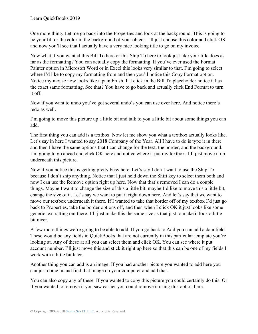One more thing. Let me go back into the Properties and look at the background. This is going to be your fill or the color in the background of your object. I'll just choose this color and click OK and now you'll see that I actually have a very nice looking title to go on my invoice.

Now what if you wanted this Bill To here or this Ship To here to look just like your title does as far as the formatting? You can actually copy the formatting. If you've ever used the Format Painter option in Microsoft Word or in Excel this looks very similar to that. I'm going to select where I'd like to copy my formatting from and then you'll notice this Copy Format option. Notice my mouse now looks like a paintbrush. If I click in the Bill To placeholder notice it has the exact same formatting. See that? You have to go back and actually click End Format to turn it off.

Now if you want to undo you've got several undo's you can use over here. And notice there's redo as well.

I'm going to move this picture up a little bit and talk to you a little bit about some things you can add.

The first thing you can add is a textbox. Now let me show you what a textbox actually looks like. Let's say in here I wanted to say 2018 Company of the Year. All I have to do is type it in there and then I have the same options that I can change for the text, the border, and the background. I'm going to go ahead and click OK here and notice where it put my textbox. I'll just move it up underneath this picture.

Now if you notice this is getting pretty busy here. Let's say I don't want to use the Ship To because I don't ship anything. Notice that I just held down the Shift key to select them both and now I can use the Remove option right up here. Now that that's removed I can do a couple things. Maybe I want to change the size of this a little bit, maybe I'd like to move this a little bit, change the size of it. Let's say we want to put it right down here. And let's say that we want to move our textbox underneath it there. If I wanted to take that border off of my textbox I'd just go back to Properties, take the border options off, and then when I click OK it just looks like some generic text sitting out there. I'll just make this the same size as that just to make it look a little bit nicer.

A few more things we're going to be able to add. If you go back to Add you can add a data field. These would be any fields in QuickBooks that are not currently in this particular template you're looking at. Any of these at all you can select them and click OK. You can see where it put account number. I'll just move this and stick it right up here so that this can be one of my fields I work with a little bit later.

Another thing you can add is an image. If you had another picture you wanted to add here you can just come in and find that image on your computer and add that.

You can also copy any of these. If you wanted to copy this picture you could certainly do this. Or if you wanted to remove it you saw earlier you could remove it using this option here.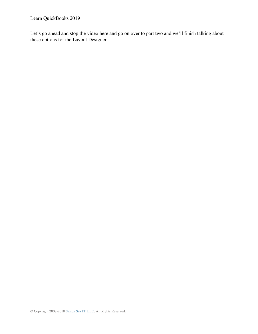Learn QuickBooks 2019

Let's go ahead and stop the video here and go on over to part two and we'll finish talking about these options for the Layout Designer.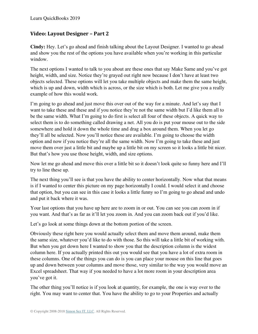#### **Video: Layout Designer – Part 2**

**Cindy:** Hey. Let's go ahead and finish talking about the Layout Designer. I wanted to go ahead and show you the rest of the options you have available when you're working in this particular window.

The next options I wanted to talk to you about are these ones that say Make Same and you've got height, width, and size. Notice they're grayed out right now because I don't have at least two objects selected. These options will let you take multiple objects and make them the same height, which is up and down, width which is across, or the size which is both. Let me give you a really example of how this would work.

I'm going to go ahead and just move this over out of the way for a minute. And let's say that I want to take these and these and if you notice they're not the same width but I'd like them all to be the same width. What I'm going to do first is select all four of these objects. A quick way to select them is to do something called drawing a net. All you do is put your mouse out to the side somewhere and hold it down the whole time and drag a box around them. When you let go they'll all be selected. Now you'll notice these are available. I'm going to choose the width option and now if you notice they're all the same width. Now I'm going to take these and just move them over just a little bit and maybe up a little bit on my screen so it looks a little bit nicer. But that's how you use those height, width, and size options.

Now let me go ahead and move this over a little bit so it doesn't look quite so funny here and I'll try to line these up.

The next thing you'll see is that you have the ability to center horizontally. Now what that means is if I wanted to center this picture on my page horizontally I could. I would select it and choose that option, but you can see in this case it looks a little funny so I'm going to go ahead and undo and put it back where it was.

Your last options that you have up here are to zoom in or out. You can see you can zoom in if you want. And that's as far as it'll let you zoom in. And you can zoom back out if you'd like.

Let's go look at some things down at the bottom portion of the screen.

Obviously these right here you would actually select them and move them around, make them the same size, whatever you'd like to do with those. So this will take a little bit of working with. But when you get down here I wanted to show you that the description column is the widest column here. If you actually printed this out you would see that you have a lot of extra room in these columns. One of the things you can do is you can place your mouse on this line that goes up and down between your columns and move those, very similar to the way you would move an Excel spreadsheet. That way if you needed to have a lot more room in your description area you've got it.

The other thing you'll notice is if you look at quantity, for example, the one is way over to the right. You may want to center that. You have the ability to go to your Properties and actually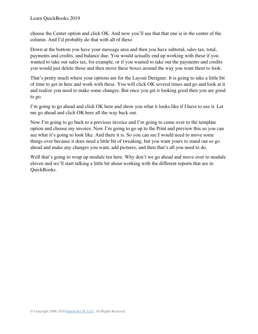choose the Center option and click OK. And now you'll see that that one is in the center of the column. And I'd probably do that with all of these.

Down at the bottom you have your message area and then you have subtotal, sales tax, total, payments and credits, and balance due. You would actually end up working with these if you wanted to take out sales tax, for example, or if you wanted to take out the payments and credits you would just delete those and then move these boxes around the way you want them to look.

That's pretty much where your options are for the Layout Designer. It is going to take a little bit of time to get in here and work with these. You will click OK several times and go and look at it and realize you need to make some changes. But once you get it looking good then you are good to go.

I'm going to go ahead and click OK here and show you what it looks like if I have to use it. Let me go ahead and click OK here all the way back out.

Now I'm going to go back to a previous invoice and I'm going to come over to the template option and choose my invoice. Now I'm going to go up to the Print and preview this so you can see what it's going to look like. And there it is. So you can see I would need to move some things over because it does need a little bit of tweaking, but you want yours to stand out so go ahead and make any changes you want, add pictures, and then that's all you need to do.

Well that's going to wrap up module ten here. Why don't we go ahead and move over to module eleven and we'll start talking a little bit about working with the different reports that are in QuickBooks.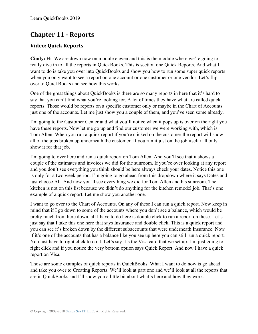## **Chapter 11 - Reports**

## **Video: Quick Reports**

**Cindy:** Hi. We are down now on module eleven and this is the module where we're going to really dive in to all the reports in QuickBooks. This is section one Quick Reports. And what I want to do is take you over into QuickBooks and show you how to run some super quick reports when you only want to see a report on one account or one customer or one vendor. Let's flip over to QuickBooks and see how this works.

One of the great things about QuickBooks is there are so many reports in here that it's hard to say that you can't find what you're looking for. A lot of times they have what are called quick reports. Those would be reports on a specific customer only or maybe in the Chart of Accounts just one of the accounts. Let me just show you a couple of them, and you've seen some already.

I'm going to the Customer Center and what you'll notice when it pops up is over on the right you have these reports. Now let me go up and find our customer we were working with, which is Tom Allen. When you run a quick report if you're clicked on the customer the report will show all of the jobs broken up underneath the customer. If you run it just on the job itself it'll only show it for that job.

I'm going to over here and run a quick report on Tom Allen. And you'll see that it shows a couple of the estimates and invoices we did for the sunroom. If you're over looking at any report and you don't see everything you think should be here always check your dates. Notice this one is only for a two week period. I'm going to go ahead from this dropdown where it says Dates and just choose All. And now you'll see everything we did for Tom Allen and his sunroom. The kitchen is not on this list because we didn't do anything for the kitchen remodel job. That's one example of a quick report. Let me show you another one.

I want to go over to the Chart of Accounts. On any of these I can run a quick report. Now keep in mind that if I go down to some of the accounts where you don't see a balance, which would be pretty much from here down, all I have to do here is double click to run a report on these. Let's just say that I take this one here that says Insurance and double click. This is a quick report and you can see it's broken down by the different subaccounts that were underneath Insurance. Now if it's one of the accounts that has a balance like you see up here you can still run a quick report. You just have to right click to do it. Let's say it's the Visa card that we set up. I'm just going to right click and if you notice the very bottom option says Quick Report. And now I have a quick report on Visa.

Those are some examples of quick reports in QuickBooks. What I want to do now is go ahead and take you over to Creating Reports. We'll look at part one and we'll look at all the reports that are in QuickBooks and I'll show you a little bit about what's here and how they work.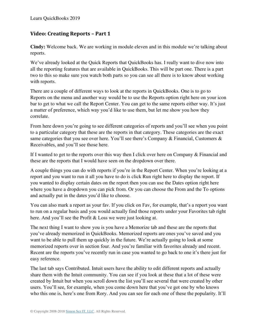## **Video: Creating Reports – Part 1**

**Cindy:** Welcome back. We are working in module eleven and in this module we're talking about reports.

We've already looked at the Quick Reports that QuickBooks has. I really want to dive now into all the reporting features that are available in QuickBooks. This will be part one. There is a part two to this so make sure you watch both parts so you can see all there is to know about working with reports.

There are a couple of different ways to look at the reports in QuickBooks. One is to go to Reports on the menu and another way would be to use the Reports option right here on your icon bar to get to what we call the Report Center. You can get to the same reports either way. It's just a matter of preference, which way you'd like to use them, but let me show you how they correlate.

From here down you're going to see different categories of reports and you'll see when you point to a particular category that these are the reports in that category. These categories are the exact same categories that you see over here. You'll see there's Company & Financial, Customers & Receivables, and you'll see those here.

If I wanted to get to the reports over this way then I click over here on Company  $\&$  Financial and these are the reports that I would have seen on the dropdown over there.

A couple things you can do with reports if you're in the Report Center. When you're looking at a report and you want to run it all you have to do is click Run right here to display the report. If you wanted to display certain dates on the report then you can use the Dates option right here where you have a dropdown you can pick from. Or you can choose the From and the To options and actually put in the dates you'd like to choose.

You can also mark a report as your fav. If you click on Fav, for example, that's a report you want to run on a regular basis and you would actually find those reports under your Favorites tab right here. And you'll see the Profit & Loss we were just looking at.

The next thing I want to show you is you have a Memorize tab and these are the reports that you've already memorized in QuickBooks. Memorized reports are ones you've saved and you want to be able to pull them up quickly in the future. We're actually going to look at some memorized reports over in section four. And you're familiar with favorites already and recent. Recent are the reports you've recently run in case you wanted to go back to one it's there just for easy reference.

The last tab says Contributed. Intuit users have the ability to edit different reports and actually share them with the Intuit community. You can see if you look at these that a lot of these were created by Intuit but when you scroll down the list you'll see several that were created by other users. You'll see, for example, when you come down here that you've got one by who knows who this one is, here's one from Rory. And you can see for each one of these the popularity. It'll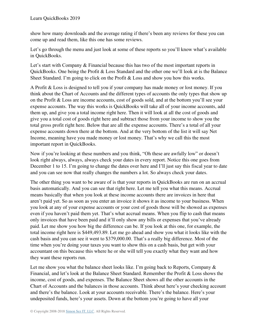show how many downloads and the average rating if there's been any reviews for these you can come up and read them, like this one has some reviews.

Let's go through the menu and just look at some of these reports so you'll know what's available in QuickBooks.

Let's start with Company & Financial because this has two of the most important reports in QuickBooks. One being the Profit & Loss Standard and the other one we'll look at is the Balance Sheet Standard. I'm going to click on the Profit & Loss and show you how this works.

A Profit & Loss is designed to tell you if your company has made money or lost money. If you think about the Chart of Accounts and the different types of accounts the only types that show up on the Profit & Loss are income accounts, cost of goods sold, and at the bottom you'll see your expense accounts. The way this works is QuickBooks will take all of your income accounts, add them up, and give you a total income right here. Then it will look at all the cost of goods and give you a total cost of goods right here and subtract those from your income to show you the total gross profit right here. Below that are all the expense accounts. There's a total of all your expense accounts down there at the bottom. And at the very bottom of the list it will say Net Income, meaning have you made money or lost money. That's why we call this the most important report in QuickBooks.

Now if you're looking at these numbers and you think, "Oh these are awfully low" or doesn't look right always, always, always check your dates in every report. Notice this one goes from December 1 to 15. I'm going to change the dates over here and I'll just say this fiscal year to date and you can see now that really changes the numbers a lot. So always check your dates.

The other thing you want to be aware of is that your reports in QuickBooks are run on an accrual basis automatically. And you can see that right here. Let me tell you what this means. Accrual means basically that when you look at these income accounts there are invoices in here that aren't paid yet. So as soon as you enter an invoice it shows it as income to your business. When you look at any of your expense accounts or your cost of goods those will be showed as expenses even if you haven't paid them yet. That's what accrual means. When you flip to cash that means only invoices that have been paid and it'll only show any bills or expenses that you've already paid. Let me show you how big the difference can be. If you look at this one, for example, the total income right here is \$449,493.89. Let me go ahead and show you what it looks like with the cash basis and you can see it went to \$379,000.00. That's a really big difference. Most of the time when you're doing your taxes you want to show this on a cash basis, but get with your accountant on this because this where he or she will tell you exactly what they want and how they want these reports run.

Let me show you what the balance sheet looks like. I'm going back to Reports, Company  $\&$ Financial, and let's look at the Balance Sheet Standard. Remember the Profit & Loss shows the income, cost of goods, and expenses. The Balance Sheet shows all the other accounts in the Chart of Accounts and the balances in those accounts. Think about here's your checking account and there's the balance. Look at your accounts receivable. There's the balance. Here's your undeposited funds, here's your assets. Down at the bottom you're going to have all your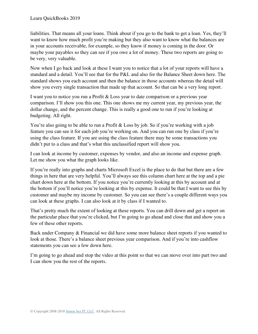liabilities. That means all your loans. Think about if you go to the bank to get a loan. Yes, they'll want to know how much profit you're making but they also want to know what the balances are in your accounts receivable, for example, so they know if money is coming in the door. Or maybe your payables so they can see if you owe a lot of money. These two reports are going to be very, very valuable.

Now when I go back and look at these I want you to notice that a lot of your reports will have a standard and a detail. You'll see that for the P&L and also for the Balance Sheet down here. The standard shows you each account and then the balance in those accounts whereas the detail will show you every single transaction that made up that account. So that can be a very long report.

I want you to notice you run a Profit & Loss year to date comparison or a previous year comparison. I'll show you this one. This one shows me my current year, my previous year, the dollar change, and the percent change. This is really a good one to run if you're looking at budgeting. All right.

You're also going to be able to run a Profit & Loss by job. So if you're working with a job feature you can see it for each job you're working on. And you can run one by class if you're using the class feature. If you are using the class feature there may be some transactions you didn't put to a class and that's what this unclassified report will show you.

I can look at income by customer, expenses by vendor, and also an income and expense graph. Let me show you what the graph looks like.

If you're really into graphs and charts Microsoft Excel is the place to do that but there are a few things in here that are very helpful. You'll always see this column chart here at the top and a pie chart down here at the bottom. If you notice you're currently looking at this by account and at the bottom if you'll notice you're looking at this by expense. It could be that I want to see this by customer and maybe my income by customer. So you can see there's a couple different ways you can look at these graphs. I can also look at it by class if I wanted to.

That's pretty much the extent of looking at these reports. You can drill down and get a report on the particular place that you're clicked, but I'm going to go ahead and close that and show you a few of these other reports.

Back under Company & Financial we did have some more balance sheet reports if you wanted to look at those. There's a balance sheet previous year comparison. And if you're into cashflow statements you can see a few down here.

I'm going to go ahead and stop the video at this point so that we can move over into part two and I can show you the rest of the reports.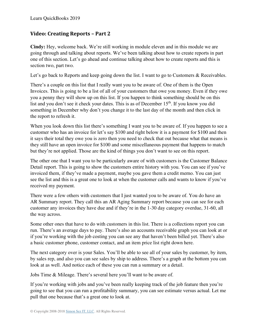### **Video: Creating Reports – Part 2**

**Cindy:** Hey, welcome back. We're still working in module eleven and in this module we are going through and talking about reports. We've been talking about how to create reports in part one of this section. Let's go ahead and continue talking about how to create reports and this is section two, part two.

Let's go back to Reports and keep going down the list. I want to go to Customers & Receivables.

There's a couple on this list that I really want you to be aware of. One of them is the Open Invoices. This is going to be a list of all of your customers that owe you money. Even if they owe you a penny they will show up on this list. If you happen to think something should be on this list and you don't see it check your dates. This is as of December 15<sup>th</sup>. If you know you did something in December why don't you change it to the last day of the month and then click in the report to refresh it.

When you look down this list there's something I want you to be aware of. If you happen to see a customer who has an invoice for let's say \$100 and right below it is a payment for \$100 and then it says their total they owe you is zero then you need to check that out because what that means is they still have an open invoice for \$100 and some miscellaneous payment that happens to match but they're not applied. Those are the kind of things you don't want to see on this report.

The other one that I want you to be particularly aware of with customers is the Customer Balance Detail report. This is going to show the customers entire history with you. You can see if you've invoiced them, if they've made a payment, maybe you gave them a credit memo. You can just see the list and this is a great one to look at when the customer calls and wants to know if you've received my payment.

There were a few others with customers that I just wanted you to be aware of. You do have an AR Summary report. They call this an AR Aging Summary report because you can see for each customer any invoices they have due and if they're in the 1-30 day category overdue, 31-60, all the way across.

Some other ones that have to do with customers in this list. There is a collections report you can run. There's an average days to pay. There's also an accounts receivable graph you can look at or if you're working with the job costing you can see any that haven't been billed yet. There's also a basic customer phone, customer contact, and an item price list right down here.

The next category over is your Sales. You'll be able to see all of your sales by customer, by item, by sales rep, and also you can see sales by ship to address. There's a graph at the bottom you can look at as well. And notice each of these you can run a summary or a detail.

Jobs Time & Mileage. There's several here you'll want to be aware of.

If you're working with jobs and you've been really keeping track of the job feature then you're going to see that you can run a profitability summary, you can see estimate versus actual. Let me pull that one because that's a great one to look at.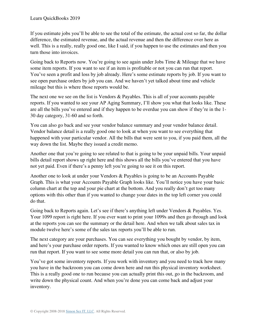If you estimate jobs you'll be able to see the total of the estimate, the actual cost so far, the dollar difference, the estimated revenue, and the actual revenue and then the difference over here as well. This is a really, really good one, like I said, if you happen to use the estimates and then you turn those into invoices.

Going back to Reports now. You're going to see again under Jobs Time & Mileage that we have some item reports. If you want to see if an item is profitable or not you can run that report. You've seen a profit and loss by job already. Here's some estimate reports by job. If you want to see open purchase orders by job you can. And we haven't yet talked about time and vehicle mileage but this is where those reports would be.

The next one we see on the list is Vendors & Payables. This is all of your accounts payable reports. If you wanted to see your AP Aging Summary, I'll show you what that looks like. These are all the bills you've entered and if they happen to be overdue you can show if they're in the 1- 30 day category, 31-60 and so forth.

You can also go back and see your vendor balance summary and your vendor balance detail. Vendor balance detail is a really good one to look at when you want to see everything that happened with your particular vendor. All the bills that were sent to you, if you paid them, all the way down the list. Maybe they issued a credit memo.

Another one that you're going to see related to that is going to be your unpaid bills. Your unpaid bills detail report shows up right here and this shows all the bills you've entered that you have not yet paid. Even if there's a penny left you're going to see it on this report.

Another one to look at under your Vendors & Payables is going to be an Accounts Payable Graph. This is what your Accounts Payable Graph looks like. You'll notice you have your basic column chart at the top and your pie chart at the bottom. And you really don't get too many options with this other than if you wanted to change your dates in the top left corner you could do that.

Going back to Reports again. Let's see if there's anything left under Vendors & Payables. Yes. Your 1099 report is right here. If you ever want to print your 1099s and then go through and look at the reports you can see the summary or the detail here. And when we talk about sales tax in module twelve here's some of the sales tax reports you'll be able to run.

The next category are your purchases. You can see everything you bought by vendor, by item, and here's your purchase order reports. If you wanted to know which ones are still open you can run that report. If you want to see some more detail you can run that, or also by job.

You've got some inventory reports. If you work with inventory and you need to track how many you have in the backroom you can come down here and run this physical inventory worksheet. This is a really good one to run because you can actually print this out, go in the backroom, and write down the physical count. And when you're done you can come back and adjust your inventory.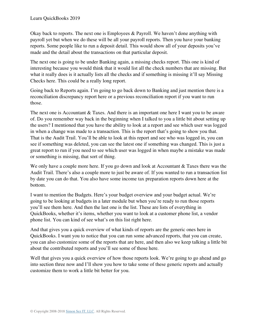Okay back to reports. The next one is Employees & Payroll. We haven't done anything with payroll yet but when we do these will be all your payroll reports. Then you have your banking reports. Some people like to run a deposit detail. This would show all of your deposits you've made and the detail about the transactions on that particular deposit.

The next one is going to be under Banking again, a missing checks report. This one is kind of interesting because you would think that it would list all the check numbers that are missing. But what it really does is it actually lists all the checks and if something is missing it'll say Missing Checks here. This could be a really long report.

Going back to Reports again. I'm going to go back down to Banking and just mention there is a reconciliation discrepancy report here or a previous reconciliation report if you want to run those.

The next one is Accountant & Taxes. And there is an important one here I want you to be aware of. Do you remember way back in the beginning when I talked to you a little bit about setting up the users? I mentioned that you have the ability to look at a report and see which user was logged in when a change was made to a transaction. This is the report that's going to show you that. That is the Audit Trail. You'll be able to look at this report and see who was logged in, you can see if something was deleted, you can see the latest one if something was changed. This is just a great report to run if you need to see which user was logged in when maybe a mistake was made or something is missing, that sort of thing.

We only have a couple more here. If you go down and look at Accountant & Taxes there was the Audit Trail. There's also a couple more to just be aware of. If you wanted to run a transaction list by date you can do that. You also have some income tax preparation reports down here at the bottom.

I want to mention the Budgets. Here's your budget overview and your budget actual. We're going to be looking at budgets in a later module but when you're ready to run those reports you'll see them here. And then the last one is the list. These are lists of everything in QuickBooks, whether it's items, whether you want to look at a customer phone list, a vendor phone list. You can kind of see what's on this list right here.

And that gives you a quick overview of what kinds of reports are the generic ones here in QuickBooks. I want you to notice that you can run some advanced reports, that you can create, you can also customize some of the reports that are here, and then also we keep talking a little bit about the contributed reports and you'll see some of those here.

Well that gives you a quick overview of how those reports look. We're going to go ahead and go into section three now and I'll show you how to take some of these generic reports and actually customize them to work a little bit better for you.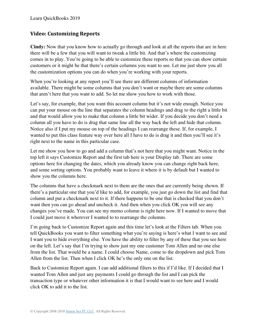## **Video: Customizing Reports**

**Cindy:** Now that you know how to actually go through and look at all the reports that are in here there will be a few that you will want to tweak a little bit. And that's where the customizing comes in to play. You're going to be able to customize these reports so that you can show certain customers or it might be that there's certain columns you want to see. Let me just show you all the customization options you can do when you're working with your reports.

When you're looking at any report you'll see there are different columns of information available. There might be some columns that you don't want or maybe there are some columns that aren't here that you want to add. So let me show you how to work with those.

Let's say, for example, that you want this account column but it's not wide enough. Notice you can put your mouse on the line that separates the column headings and drag to the right a little bit and that would allow you to make that column a little bit wider. If you decide you don't need a column all you have to do is drag that same line all the way back the left and hide that column. Notice also if I put my mouse on top of the headings I can rearrange these. If, for example, I wanted to put this class feature way over here all I have to do is drag it and then you'll see it's right next to the name in this particular case.

Let me show you how to go and add a column that's not here that you might want. Notice in the top left it says Customize Report and the first tab here is your Display tab. There are some options here for changing the dates, which you already know you can change right back here, and some sorting options. You probably want to leave it where it is by default but I wanted to show you the columns here.

The columns that have a checkmark next to them are the ones that are currently being shown. If there's a particular one that you'd like to add, for example, you just go down the list and find that column and put a checkmark next to it. If there happens to be one that is checked that you don't want then you can go ahead and uncheck it. And then when you click OK you will see any changes you've made. You can see my memo column is right here now. If I wanted to move that I could just move it wherever I wanted to to rearrange the columns.

I'm going back to Customize Report again and this time let's look at the Filters tab. When you tell QuickBooks you want to filter something what you're saying is here's what I want to see and I want you to hide everything else. You have the ability to filter by any of these that you see here on the left. Let's say that I'm trying to show just my one customer Tom Allen and no one else from the list. That would be a name. I could choose Name, come to the dropdown and pick Tom Allen from the list. Then when I click OK he's the only one on the list.

Back to Customize Report again. I can add additional filters to this if I'd like. If I decided that I wanted Tom Allen and just any payments I could go through the list and I can pick the transaction type or whatever other information it is that I would want to see here and I would click OK to add it to the list.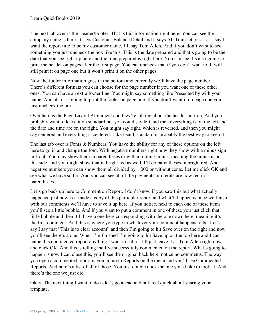The next tab over is the Header/Footer. That is this information right here. You can see the company name is here. It says Customer Balance Detail and it says All Transactions. Let's say I want the report title to be my customer name. I'll say Tom Allen. And if you don't want to see something you just uncheck the box like this. This is the date prepared and that's going to be the date that you see right up here and the time prepared is right here. You can see it's also going to print the header on pages after the first page. You can uncheck that if you don't want to. It will still print it on page one but it won't print it on the other pages.

Now the footer information goes in the bottom and currently we'll have the page number. There's different formats you can choose for the page number if you want one of these other ones. You can have an extra footer line. You might say something like Presented by with your name. And also it's going to print the footer on page one. If you don't want it on page one you just uncheck the box.

Over here is the Page Layout Alignment and they're talking about the header portion. And you probably want to leave it on standard but you could say left and then everything is on the left and the date and time are on the right. You might say right, which is reversed, and then you might say centered and everything is centered. Like I said, standard is probably the best way to keep it.

The last tab over is Fonts & Numbers. You have the ability for any of these options on the left here to go in and change the font. With negative numbers right now they show with a minus sign in front. You may show them in parentheses or with a trailing minus, meaning the minus is on this side, and you might show that in bright red as well. I'll do parentheses in bright red. And negative numbers you can show them all divided by 1,000 or without cents. Let me click OK and see what we have so far. And you can see all of the payments or credits are now red in parentheses.

Let's go back up here to Comment on Report. I don't know if you saw this but what actually happened just now is it made a copy of this particular report and what'll happen is once we finish with our comments we'll have to save it up here. If you notice, next to each one of these items you'll see a little bubble. And if you want to put a comment in one of these you just click that little bubble and then it'll have a one here corresponding with the one down here, meaning it's the first comment. And this is where you type in whatever your comment happens to be. Let's say I say that "This is to clear account" and then I'm going to hit Save over on the right and now you'll see there's a one. When I'm finished I'm going to hit Save up on the top here and I can name this commented report anything I want to call it. I'll just leave it as Tom Allen right now and click OK. And this is telling me I've successfully commented on the report. What's going to happen is now I can close this, you'll see the original back here, notice no comments. The way you open a commented report is you go up to Reports on the menu and you'll see Commented Reports. And here's a list of all of those. You just double click the one you'd like to look at. And there's the one we just did.

Okay. The next thing I want to do is let's go ahead and talk real quick about sharing your template.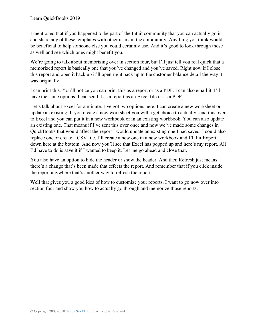I mentioned that if you happened to be part of the Intuit community that you can actually go in and share any of these templates with other users in the community. Anything you think would be beneficial to help someone else you could certainly use. And it's good to look through those as well and see which ones might benefit you.

We're going to talk about memorizing over in section four, but I'll just tell you real quick that a memorized report is basically one that you've changed and you've saved. Right now if I close this report and open it back up it'll open right back up to the customer balance detail the way it was originally.

I can print this. You'll notice you can print this as a report or as a PDF. I can also email it. I'll have the same options. I can send it as a report as an Excel file or as a PDF.

Let's talk about Excel for a minute. I've got two options here. I can create a new worksheet or update an existing. If you create a new worksheet you will a get choice to actually send this over to Excel and you can put it in a new workbook or in an existing workbook. You can also update an existing one. That means if I've sent this over once and now we've made some changes in QuickBooks that would affect the report I would update an existing one I had saved. I could also replace one or create a CSV file. I'll create a new one in a new workbook and I'll hit Export down here at the bottom. And now you'll see that Excel has popped up and here's my report. All I'd have to do is save it if I wanted to keep it. Let me go ahead and close that.

You also have an option to hide the header or show the header. And then Refresh just means there's a change that's been made that effects the report. And remember that if you click inside the report anywhere that's another way to refresh the report.

Well that gives you a good idea of how to customize your reports. I want to go now over into section four and show you how to actually go through and memorize those reports.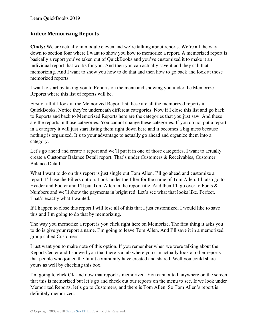#### **Video: Memorizing Reports**

**Cindy:** We are actually in module eleven and we're talking about reports. We're all the way down to section four where I want to show you how to memorize a report. A memorized report is basically a report you've taken out of QuickBooks and you've customized it to make it an individual report that works for you. And then you can actually save it and they call that memorizing. And I want to show you how to do that and then how to go back and look at those memorized reports.

I want to start by taking you to Reports on the menu and showing you under the Memorize Reports where this list of reports will be.

First of all if I look at the Memorized Report list these are all the memorized reports in QuickBooks. Notice they're underneath different categories. Now if I close this list and go back to Reports and back to Memorized Reports here are the categories that you just saw. And these are the reports in those categories. You cannot change these categories. If you do not put a report in a category it will just start listing them right down here and it becomes a big mess because nothing is organized. It's to your advantage to actually go ahead and organize them into a category.

Let's go ahead and create a report and we'll put it in one of those categories. I want to actually create a Customer Balance Detail report. That's under Customers & Receivables, Customer Balance Detail.

What I want to do on this report is just single out Tom Allen. I'll go ahead and customize a report. I'll use the Filters option. Look under the filter for the name of Tom Allen. I'll also go to Header and Footer and I'll put Tom Allen in the report title. And then I'll go over to Fonts  $\&$ Numbers and we'll show the payments in bright red. Let's see what that looks like. Perfect. That's exactly what I wanted.

If I happen to close this report I will lose all of this that I just customized. I would like to save this and I'm going to do that by memorizing.

The way you memorize a report is you click right here on Memorize. The first thing it asks you to do is give your report a name. I'm going to leave Tom Allen. And I'll save it in a memorized group called Customers.

I just want you to make note of this option. If you remember when we were talking about the Report Center and I showed you that there's a tab where you can actually look at other reports that people who joined the Intuit community have created and shared. Well you could share yours as well by checking this box.

I'm going to click OK and now that report is memorized. You cannot tell anywhere on the screen that this is memorized but let's go and check out our reports on the menu to see. If we look under Memorized Reports, let's go to Customers, and there is Tom Allen. So Tom Allen's report is definitely memorized.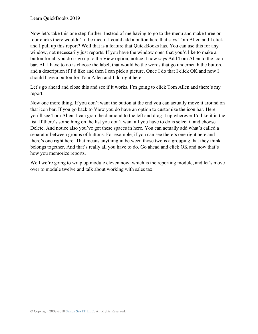Now let's take this one step further. Instead of me having to go to the menu and make three or four clicks there wouldn't it be nice if I could add a button here that says Tom Allen and I click and I pull up this report? Well that is a feature that QuickBooks has. You can use this for any window, not necessarily just reports. If you have the window open that you'd like to make a button for all you do is go up to the View option, notice it now says Add Tom Allen to the icon bar. All I have to do is choose the label, that would be the words that go underneath the button, and a description if I'd like and then I can pick a picture. Once I do that I click OK and now I should have a button for Tom Allen and I do right here.

Let's go ahead and close this and see if it works. I'm going to click Tom Allen and there's my report.

Now one more thing. If you don't want the button at the end you can actually move it around on that icon bar. If you go back to View you do have an option to customize the icon bar. Here you'll see Tom Allen. I can grab the diamond to the left and drag it up wherever I'd like it in the list. If there's something on the list you don't want all you have to do is select it and choose Delete. And notice also you've got these spaces in here. You can actually add what's called a separator between groups of buttons. For example, if you can see there's one right here and there's one right here. That means anything in between those two is a grouping that they think belongs together. And that's really all you have to do. Go ahead and click OK and now that's how you memorize reports.

Well we're going to wrap up module eleven now, which is the reporting module, and let's move over to module twelve and talk about working with sales tax.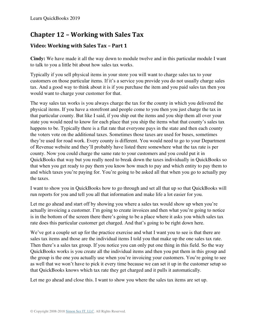# **Chapter 12 – Working with Sales Tax**

## **Video: Working with Sales Tax – Part 1**

**Cindy:** We have made it all the way down to module twelve and in this particular module I want to talk to you a little bit about how sales tax works.

Typically if you sell physical items in your store you will want to charge sales tax to your customers on those particular items. If it's a service you provide you do not usually charge sales tax. And a good way to think about it is if you purchase the item and you paid sales tax then you would want to charge your customer for that.

The way sales tax works is you always charge the tax for the county in which you delivered the physical items. If you have a storefront and people come to you then you just charge the tax in that particular county. But like I said, if you ship out the items and you ship them all over your state you would need to know for each place that you ship the items what that county's sales tax happens to be. Typically there is a flat rate that everyone pays in the state and then each county the voters vote on the additional taxes. Sometimes those taxes are used for buses, sometimes they're used for road work. Every county is different. You would need to go to your Department of Revenue website and they'll probably have listed there somewhere what the tax rate is per county. Now you could charge the same rate to your customers and you could put it in QuickBooks that way but you really need to break down the taxes individually in QuickBooks so that when you get ready to pay them you know how much to pay and which entity to pay them to and which taxes you're paying for. You're going to be asked all that when you go to actually pay the taxes.

I want to show you in QuickBooks how to go through and set all that up so that QuickBooks will run reports for you and tell you all that information and make life a lot easier for you.

Let me go ahead and start off by showing you where a sales tax would show up when you're actually invoicing a customer. I'm going to create invoices and then what you're going to notice is in the bottom of the screen there there's going to be a place where it asks you which sales tax rate does this particular customer get charged. And that's going to be right down here.

We've got a couple set up for the practice exercise and what I want you to see is that there are sales tax items and those are the individual items I told you that make up the one sales tax rate. Then there's a sales tax group. If you notice you can only put one thing in this field. So the way QuickBooks works is you create all the individual items and then you put them in this group and the group is the one you actually use when you're invoicing your customers. You're going to see as well that we won't have to pick it every time because we can set it up in the customer setup so that QuickBooks knows which tax rate they get charged and it pulls it automatically.

Let me go ahead and close this. I want to show you where the sales tax items are set up.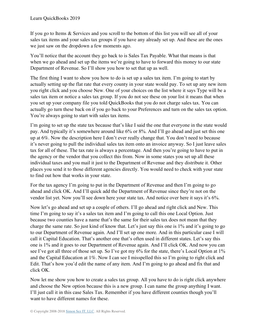If you go to Items & Services and you scroll to the bottom of this list you will see all of your sales tax items and your sales tax groups if you have any already set up. And these are the ones we just saw on the dropdown a few moments ago.

You'll notice that the account they go back to is Sales Tax Payable. What that means is that when we go ahead and set up the items we're going to have to forward this money to our state Department of Revenue. So I'll show you how to set that up as well.

The first thing I want to show you how to do is set up a sales tax item. I'm going to start by actually setting up the flat rate that every county in your state would pay. To set up any new item you right click and you choose New. One of your choices on the list where it says Type will be a sales tax item or notice a sales tax group. If you do not see these on your list it means that when you set up your company file you told QuickBooks that you do not charge sales tax. You can actually go turn these back on if you go back to your Preferences and turn on the sales tax option. You're always going to start with sales tax items.

I'm going to set up the state tax because that's like I said the one that everyone in the state would pay. And typically it's somewhere around like 6% or 8%. And I'll go ahead and just set this one up at 6%. Now the description here I don't ever really change that. You don't need to because it's never going to pull the individual sales tax item onto an invoice anyway. So I just leave sales tax for all of these. The tax rate is always a percentage. And then you're going to have to put in the agency or the vendor that you collect this from. Now in some states you set up all these individual taxes and you mail it just to the Department of Revenue and they distribute it. Other places you send it to those different agencies directly. You would need to check with your state to find out how that works in your state.

For the tax agency I'm going to put in the Department of Revenue and then I'm going to go ahead and click OK. And I'll quick add the Department of Revenue since they're not on the vendor list yet. Now you'll see down here your state tax. And notice over here it says it's 6%.

Now let's go ahead and set up a couple of others. I'll go ahead and right click and New. This time I'm going to say it's a sales tax item and I'm going to call this one Local Option. Just because two counties have a name that's the same for their sales tax does not mean that they charge the same rate. So just kind of know that. Let's just say this one is 1% and it's going to go to our Department of Revenue again. And I'll set up one more. And in this particular case I will call it Capital Education. That's another one that's often used in different states. Let's say this one is 1% and it goes to our Department of Revenue again. And I'll click OK. And now you can see I've got all three of those set up. So I've got my 6% for the state, there's Local Option at 1% and the Capital Education at 1%. Now I can see I misspelled this so I'm going to right click and Edit. That's how you'd edit the name of any item. And I'm going to go ahead and fix that and click OK.

Now let me show you how to create a sales tax group. All you have to do is right click anywhere and choose the New option because this is a new group. I can name the group anything I want. I'll just call it in this case Sales Tax. Remember if you have different counties though you'll want to have different names for these.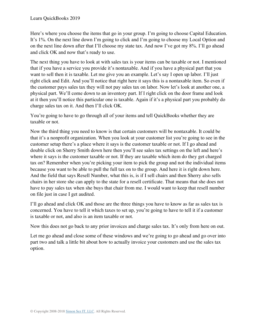Here's where you choose the items that go in your group. I'm going to choose Capital Education. It's 1%. On the next line down I'm going to click and I'm going to choose my Local Option and on the next line down after that I'll choose my state tax. And now I've got my 8%. I'll go ahead and click OK and now that's ready to use.

The next thing you have to look at with sales tax is your items can be taxable or not. I mentioned that if you have a service you provide it's nontaxable. And if you have a physical part that you want to sell then it is taxable. Let me give you an example. Let's say I open up labor. I'll just right click and Edit. And you'll notice that right here it says this is a nontaxable item. So even if the customer pays sales tax they will not pay sales tax on labor. Now let's look at another one, a physical part. We'll come down to an inventory part. If I right click on the door frame and look at it then you'll notice this particular one is taxable. Again if it's a physical part you probably do charge sales tax on it. And then I'll click OK.

You're going to have to go through all of your items and tell QuickBooks whether they are taxable or not.

Now the third thing you need to know is that certain customers will be nontaxable. It could be that it's a nonprofit organization. When you look at your customer list you're going to see in the customer setup there's a place where it says is the customer taxable or not. If I go ahead and double click on Sherry Smith down here then you'll see sales tax settings on the left and here's where it says is the customer taxable or not. If they are taxable which item do they get charged tax on? Remember when you're picking your item to pick the group and not the individual items because you want to be able to pull the full tax on to the group. And here it is right down here. And the field that says Resell Number, what this is, is if I sell chairs and then Sherry also sells chairs in her store she can apply to the state for a resell certificate. That means that she does not have to pay sales tax when she buys that chair from me. I would want to keep that resell number on file just in case I get audited.

I'll go ahead and click OK and those are the three things you have to know as far as sales tax is concerned. You have to tell it which taxes to set up, you're going to have to tell it if a customer is taxable or not, and also is an item taxable or not.

Now this does not go back to any prior invoices and charge sales tax. It's only from here on out.

Let me go ahead and close some of these windows and we're going to go ahead and go over into part two and talk a little bit about how to actually invoice your customers and use the sales tax option.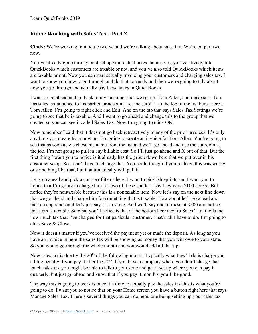#### **Video: Working with Sales Tax – Part 2**

**Cindy:** We're working in module twelve and we're talking about sales tax. We're on part two now.

You've already gone through and set up your actual taxes themselves, you've already told QuickBooks which customers are taxable or not, and you've also told QuickBooks which items are taxable or not. Now you can start actually invoicing your customers and charging sales tax. I want to show you how to go through and do that correctly and then we're going to talk about how you go through and actually pay those taxes in QuickBooks.

I want to go ahead and go back to my customer that we set up, Tom Allen, and make sure Tom has sales tax attached to his particular account. Let me scroll it to the top of the list here. Here's Tom Allen. I'm going to right click and Edit. And on the tab that says Sales Tax Settings we're going to see that he is taxable. And I want to go ahead and change this to the group that we created so you can see it called Sales Tax. Now I'm going to click OK.

Now remember I said that it does not go back retroactively to any of the prior invoices. It's only anything you create from now on. I'm going to create an invoice for Tom Allen. You're going to see that as soon as we chose his name from the list and we'll go ahead and use the sunroom as the job. I'm not going to pull in any billable cost. So I'll just go ahead and X out of that. But the first thing I want you to notice is it already has the group down here that we put over in his customer setup. So I don't have to change that. You could though if you realized this was wrong or something like that, but it automatically will pull it.

Let's go ahead and pick a couple of items here. I want to pick Blueprints and I want you to notice that I'm going to charge him for two of these and let's say they were \$100 apiece. But notice they're nontaxable because this is a nontaxable item. Now let's say on the next line down that we go ahead and charge him for something that is taxable. How about let's go ahead and pick an appliance and let's just say it is a stove. And we'll say one of these at \$500 and notice that item is taxable. So what you'll notice is that at the bottom here next to Sales Tax it tells me how much tax that I've charged for that particular customer. That's all I have to do. I'm going to click Save & Close.

Now it doesn't matter if you've received the payment yet or made the deposit. As long as you have an invoice in here the sales tax will be showing as money that you will owe to your state. So you would go through the whole month and you would add all that up.

Now sales tax is due by the  $20<sup>th</sup>$  of the following month. Typically what they'll do is charge you a little penalty if you pay it after the 20<sup>th</sup>. If you have a company where you don't charge that much sales tax you might be able to talk to your state and get it set up where you can pay it quarterly, but just go ahead and know that if you pay it monthly you'll be good.

The way this is going to work is once it's time to actually pay the sales tax this is what you're going to do. I want you to notice that on your Home screen you have a button right here that says Manage Sales Tax. There's several things you can do here, one being setting up your sales tax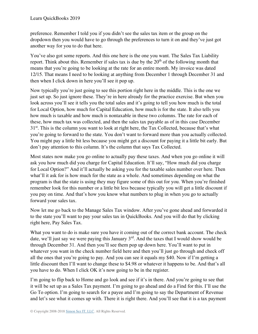preference. Remember I told you if you didn't see the sales tax item or the group on the dropdown then you would have to go through the preferences to turn it on and they've just got another way for you to do that here.

You've also got some reports. And this one here is the one you want. The Sales Tax Liability report. Think about this. Remember if sales tax is due by the  $20<sup>th</sup>$  of the following month that means that you're going to be looking at the rate for an entire month. My invoice was dated 12/15. That means I need to be looking at anything from December 1 through December 31 and then when I click down in here you'll see it pop up.

Now typically you're just going to see this portion right here in the middle. This is the one we just set up. So just ignore these. They're in here already for the practice exercise. But when you look across you'll see it tells you the total sales and it's going to tell you how much is the total for Local Option, how much for Capital Education, how much is for the state. It also tells you how much is taxable and how much is nontaxable in these two columns. The rate for each of these, how much tax was collected, and then the sales tax payable as of in this case December  $31<sup>st</sup>$ . This is the column you want to look at right here, the Tax Collected, because that's what you're going to forward to the state. You don't want to forward more than you actually collected. You might pay a little bit less because you might get a discount for paying it a little bit early. But don't pay attention to this column. It's the column that says Tax Collected.

Most states now make you go online to actually pay these taxes. And when you go online it will ask you how much did you charge for Capital Education. It'll say, "How much did you charge for Local Option?" And it'll actually be asking you for the taxable sales number over here. Then what'll it ask for is how much for the state as a whole. And sometimes depending on what the program is that the state is using they may figure some of this out for you. When you're finished remember look for this number or a little bit less because typically you will get a little discount if you pay on time. And that's how you know what numbers to plug in when you go to actually forward your sales tax.

Now let me go back to the Manage Sales Tax window. After you've gone ahead and forwarded it to the state you'll want to pay your sales tax in QuickBooks. And you will do that by clicking right here, Pay Sales Tax.

What you want to do is make sure you have it coming out of the correct bank account. The check date, we'll just say we were paying this January 3<sup>rd</sup>. And the taxes that I would show would be through December 31. And then you'll see them pop up down here. You'll want to put in whatever you want in the check number field here and then you'll just go through and check off all the ones that you're going to pay. And you can see it equals my \$40. Now if I'm getting a little discount then I'll want to change these to \$4.98 or whatever it happens to be. And that's all you have to do. When I click OK it's now going to be in the register.

I'm going to flip back to Home and go look and see if it's in there. And you're going to see that it will be set up as a Sales Tax payment. I'm going to go ahead and do a Find for this. I'll use the Go To option. I'm going to search for a payee and I'm going to say the Department of Revenue and let's see what it comes up with. There it is right there. And you'll see that it is a tax payment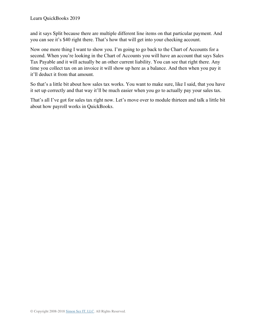and it says Split because there are multiple different line items on that particular payment. And you can see it's \$40 right there. That's how that will get into your checking account.

Now one more thing I want to show you. I'm going to go back to the Chart of Accounts for a second. When you're looking in the Chart of Accounts you will have an account that says Sales Tax Payable and it will actually be an other current liability. You can see that right there. Any time you collect tax on an invoice it will show up here as a balance. And then when you pay it it'll deduct it from that amount.

So that's a little bit about how sales tax works. You want to make sure, like I said, that you have it set up correctly and that way it'll be much easier when you go to actually pay your sales tax.

That's all I've got for sales tax right now. Let's move over to module thirteen and talk a little bit about how payroll works in QuickBooks.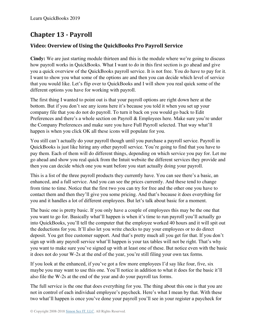# **Chapter 13 - Payroll**

### **Video: Overview of Using the QuickBooks Pro Payroll Service**

**Cindy:** We are just starting module thirteen and this is the module where we're going to discuss how payroll works in QuickBooks. What I want to do in this first section is go ahead and give you a quick overview of the QuickBooks payroll service. It is not free. You do have to pay for it. I want to show you what some of the options are and then you can decide which level of service that you would like. Let's flip over to QuickBooks and I will show you real quick some of the different options you have for working with payroll.

The first thing I wanted to point out is that your payroll options are right down here at the bottom. But if you don't see any icons here it's because you told it when you set up your company file that you do not do payroll. To turn it back on you would go back to Edit Preferences and there's a whole section on Payroll & Employees here. Make sure you're under the Company Preferences and make sure you have Full Payroll selected. That way what'll happen is when you click OK all these icons will populate for you.

You still can't actually do your payroll though until you purchase a payroll service. Payroll in QuickBooks is just like hiring any other payroll service. You're going to find that you have to pay them. Each of them will do different things, depending on which service you pay for. Let me go ahead and show you real quick from the Intuit website the different services they provide and then you can decide which one you want before you start actually doing your payroll.

This is a list of the three payroll products they currently have. You can see there's a basic, an enhanced, and a full service. And you can see the prices currently. And these tend to change from time to time. Notice that the first two you can try for free and the other one you have to contact them and then they'll give you some pricing. And that's because it does everything for you and it handles a lot of different employees. But let's talk about basic for a moment.

The basic one is pretty basic. If you only have a couple of employees this may be the one that you want to go for. Basically what'll happen is when it's time to run payroll you'll actually go into QuickBooks, you'll tell the computer that the employee worked 40 hours and it will spit out the deductions for you. It'll also let you write checks to pay your employees or to do direct deposit. You get free customer support. And that's pretty much all you get for that. If you don't sign up with any payroll service what'll happen is your tax tables will not be right. That's why you want to make sure you've signed up with at least one of these. But notice even with the basic it does not do your W-2s at the end of the year, you're still filing your own tax forms.

If you look at the enhanced, if you've got a few more employees I'd say like four, five, six maybe you may want to use this one. You'll notice in addition to what it does for the basic it'll also file the W-2s at the end of the year and do your payroll tax forms.

The full service is the one that does everything for you. The thing about this one is that you are not in control of each individual employee's paycheck. Here's what I mean by that. With these two what'll happen is once you've done your payroll you'll see in your register a paycheck for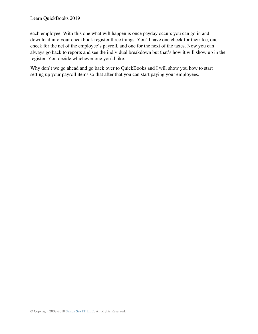each employee. With this one what will happen is once payday occurs you can go in and download into your checkbook register three things. You'll have one check for their fee, one check for the net of the employee's payroll, and one for the next of the taxes. Now you can always go back to reports and see the individual breakdown but that's how it will show up in the register. You decide whichever one you'd like.

Why don't we go ahead and go back over to QuickBooks and I will show you how to start setting up your payroll items so that after that you can start paying your employees.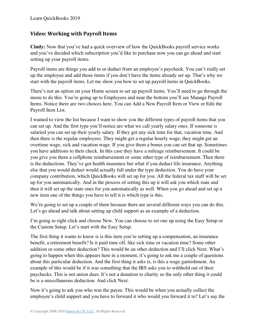#### **Video: Working with Payroll Items**

**Cindy:** Now that you've had a quick overview of how the QuickBooks payroll service works and you've decided which subscription you'd like to purchase now you can go ahead and start setting up your payroll items.

Payroll items are things you add to or deduct from an employee's paycheck. You can't really set up the employee and add those items if you don't have the items already set up. That's why we start with the payroll items. Let me show you how to set up payroll items in QuickBooks.

There's not an option on your Home screen to set up payroll items. You'll need to go through the menu to do this. You're going up to Employees and near the bottom you'll see Manage Payroll Items. Notice there are two choices here. You can Add a New Payroll Item or View or Edit the Payroll Item List.

I wanted to view the list because I want to show you the different types of payroll items that you can set up. And the first type you'll notice are what we call yearly salary ones. If someone is salaried you can set up their yearly salary. If they get any sick time for that, vacation time. And then there is the regular employees. They might get a regular hourly wage, they might get an overtime wage, sick and vacation wage. If you give them a bonus you can set that up. Sometimes you have additions to their check. In this case they have a mileage reimbursement. It could be you give you them a cellphone reimbursement or some other type of reimbursement. Then there is the deductions. They've got health insurance but what if you deduct life insurance. Anything else that you would deduct would actually fall under the type deduction. You do have your company contribution, which QuickBooks will set up for you. All the federal tax stuff will be set up for you automatically. And in the process of setting this up it will ask you which state and then it will set up the state ones for you automatically as well. When you go ahead and set up a new item one of the things you have to tell it is which type is this.

We're going to set up a couple of them because there are several different ways you can do this. Let's go ahead and talk about setting up child support as an example of a deduction.

I'm going to right click and choose New. You can choose to set one up using the Easy Setup or the Custom Setup. Let's start with the Easy Setup.

The first thing it wants to know is is this item you're setting up a compensation, an insurance benefit, a retirement benefit? Is it paid time off, like sick time or vacation time? Some other addition or some other deduction? This would be an other deduction and I'll click Next. What's going to happen when this appears here in a moment, it's going to ask me a couple of questions about this particular deduction. And the first thing it asks is, is this a wage garnishment. An example of this would be if it was something that the IRS asks you to withhold out of their paychecks. This is not union dues. It's not a donation to charity so the only other thing it could be is a miscellaneous deduction. And click Next.

Now it's going to ask you who was the payee. This would be when you actually collect the employee's child support and you have to forward it who would you forward it to? Let's say the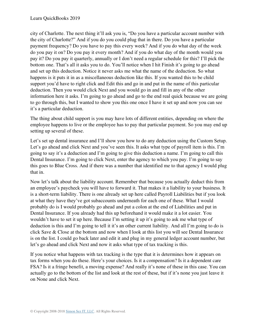city of Charlotte. The next thing it'll ask you is, "Do you have a particular account number with the city of Charlotte?" And if you do you could plug that in there. Do you have a particular payment frequency? Do you have to pay this every week? And if you do what day of the week do you pay it on? Do you pay it every month? And if you do what day of the month would you pay it? Do you pay it quarterly, annually or I don't need a regular schedule for this? I'll pick the bottom one. That's all it asks you to do. You'll notice when I hit Finish it's going to go ahead and set up this deduction. Notice it never asks me what the name of the deduction. So what happens is it puts it in as a miscellaneous deduction like this. If you wanted this to be child support you'd have to right click and Edit this and go in and put in the name of this particular deduction. Then you would click Next and you would go in and fill in any of the other information here it asks. I'm going to go ahead and go to the end real quick because we are going to go through this, but I wanted to show you this one once I have it set up and now you can see it's a particular deduction.

The thing about child support is you may have lots of different entities, depending on where the employee happens to live or the employee has to pay that particular payment. So you may end up setting up several of these.

Let's set up dental insurance and I'll show you how to do any deduction using the Custom Setup. Let's go ahead and click Next and you've seen this. It asks what type of payroll item is this. I'm going to say it's a deduction and I'm going to give this deduction a name. I'm going to call this Dental Insurance. I'm going to click Next, enter the agency to which you pay. I'm going to say this goes to Blue Cross. And if there was a number that identified me to that agency I would plug that in.

Now let's talk about the liability account. Remember that because you actually deduct this from an employee's paycheck you will have to forward it. That makes it a liability to your business. It is a short-term liability. There is one already set up here called Payroll Liabilities but if you look at what they have they've got subaccounts underneath for each one of these. What I would probably do is I would probably go ahead and put a colon at the end of Liabilities and put in Dental Insurance. If you already had this up beforehand it would make it a lot easier. You wouldn't have to set it up here. Because I'm setting it up it's going to ask me what type of deduction is this and I'm going to tell it it's an other current liability. And all I'm going to do is click Save & Close at the bottom and now when I look at this list you will see Dental Insurance is on the list. I could go back later and edit it and plug in my general ledger account number, but let's go ahead and click Next and now it asks what type of tax tracking is this.

If you notice what happens with tax tracking is the type that it is determines how it appears on tax forms when you do these. Here's your choices. Is it a compensation? Is it a dependent care FSA? Is it a fringe benefit, a moving expense? And really it's none of these in this case. You can actually go to the bottom of the list and look at the rest of these, but if it's none you just leave it on None and click Next.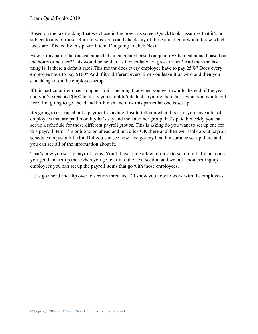Based on the tax tracking that we chose in the previous screen QuickBooks assumes that it's not subject to any of these. But if it was you could check any of these and then it would know which taxes are affected by this payroll item. I'm going to click Next.

How is this particular one calculated? Is it calculated based on quantity? Is it calculated based on the hours or neither? This would be neither. Is it calculated on gross or net? And then the last thing is, is there a default rate? This means does every employee have to pay 25%? Does every employee have to pay \$100? And if it's different every time you leave it on zero and then you can change it on the employee setup.

If this particular item has an upper limit, meaning that when you get towards the end of the year and you've reached \$600 let's say you shouldn't deduct anymore then that's what you would put here. I'm going to go ahead and hit Finish and now this particular one is set up.

It's going to ask me about a payment schedule. Just to tell you what this is, if you have a lot of employees that are paid monthly let's say and then another group that's paid biweekly you can set up a schedule for those different payroll groups. This is asking do you want to set up one for this payroll item. I'm going to go ahead and just click OK there and then we'll talk about payroll schedules in just a little bit. But you can see now I've got my health insurance set up there and you can see all of the information about it.

That's how you set up payroll items. You'll have quite a few of those to set up initially but once you get them set up then when you go over into the next section and we talk about setting up employees you can set up the payroll items that go with those employees.

Let's go ahead and flip over to section three and I'll show you how to work with the employees.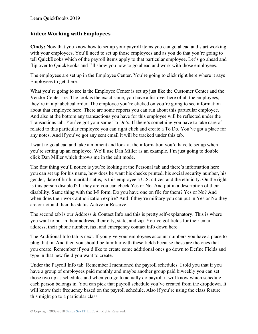#### **Video: Working with Employees**

**Cindy:** Now that you know how to set up your payroll items you can go ahead and start working with your employees. You'll need to set up those employees and as you do that you're going to tell QuickBooks which of the payroll items apply to that particular employee. Let's go ahead and flip over to QuickBooks and I'll show you how to go ahead and work with those employees.

The employees are set up in the Employee Center. You're going to click right here where it says Employees to get there.

What you're going to see is the Employee Center is set up just like the Customer Center and the Vendor Center are. The look is the exact same, you have a list over here of all the employees, they're in alphabetical order. The employee you're clicked on you're going to see information about that employee here. There are some reports you can run about this particular employee. And also at the bottom any transactions you have for this employee will be reflected under the Transactions tab. You've got your same To Do's. If there's something you have to take care of related to this particular employee you can right click and create a To Do. You've got a place for any notes. And if you've got any sent email it will be tracked under this tab.

I want to go ahead and take a moment and look at the information you'd have to set up when you're setting up an employee. We'll use Dan Miller as an example. I'm just going to double click Dan Miller which throws me in the edit mode.

The first thing you'll notice is you're looking at the Personal tab and there's information here you can set up for his name, how does he want his checks printed, his social security number, his gender, date of birth, marital status, is this employee a U.S. citizen and the ethnicity. On the right is this person disabled? If they are you can check Yes or No. And put in a description of their disability. Same thing with the I-9 form. Do you have one on file for them? Yes or No? And when does their work authorization expire? And if they're military you can put in Yes or No they are or not and then the status Active or Reserve.

The second tab is our Address & Contact Info and this is pretty self-explanatory. This is where you want to put in their address, their city, state, and zip. You've got fields for their email address, their phone number, fax, and emergency contact info down here.

The Additional Info tab is next. If you give your employees account numbers you have a place to plug that in. And then you should be familiar with these fields because these are the ones that you create. Remember if you'd like to create some additional ones go down to Define Fields and type in that new field you want to create.

Under the Payroll Info tab. Remember I mentioned the payroll schedules. I told you that if you have a group of employees paid monthly and maybe another group paid biweekly you can set those two up as schedules and when you go to actually do payroll it will know which schedule each person belongs in. You can pick that payroll schedule you've created from the dropdown. It will know their frequency based on the payroll schedule. Also if you're using the class feature this might go to a particular class.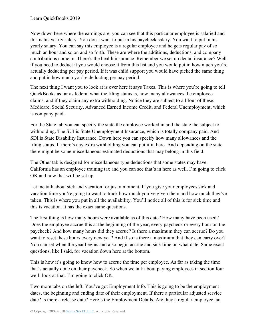Now down here where the earnings are, you can see that this particular employee is salaried and this is his yearly salary. You don't want to put in his paycheck salary. You want to put in his yearly salary. You can say this employee is a regular employee and he gets regular pay of so much an hour and so on and so forth. These are where the additions, deductions, and company contributions come in. There's the health insurance. Remember we set up dental insurance? Well if you need to deduct it you would choose it from this list and you would put in how much you're actually deducting per pay period. If it was child support you would have picked the same thing and put in how much you're deducting per pay period.

The next thing I want you to look at is over here it says Taxes. This is where you're going to tell QuickBooks as far as federal what the filing status is, how many allowances the employee claims, and if they claim any extra withholding. Notice they are subject to all four of these: Medicare, Social Security, Advanced Earned Income Credit, and Federal Unemployment, which is company paid.

For the State tab you can specify the state the employee worked in and the state the subject to withholding. The SUI is State Unemployment Insurance, which is totally company paid. And SDI is State Disability Insurance. Down here you can specify how many allowances and the filing status. If there's any extra withholding you can put it in here. And depending on the state there might be some miscellaneous estimated deductions that may belong in this field.

The Other tab is designed for miscellaneous type deductions that some states may have. California has an employee training tax and you can see that's in here as well. I'm going to click OK and now that will be set up.

Let me talk about sick and vacation for just a moment. If you give your employees sick and vacation time you're going to want to track how much you've given them and how much they've taken. This is where you put in all the availability. You'll notice all of this is for sick time and this is vacation. It has the exact same questions.

The first thing is how many hours were available as of this date? How many have been used? Does the employee accrue this at the beginning of the year, every paycheck or every hour on the paycheck? And how many hours did they accrue? Is there a maximum they can accrue? Do you want to reset these hours every new yea? And if so is there a maximum that they can carry over? You can set when the year begins and also begin accrue and sick time on what date. Same exact questions, like I said, for vacation down here at the bottom.

This is how it's going to know how to accrue the time per employee. As far as taking the time that's actually done on their paycheck. So when we talk about paying employees in section four we'll look at that. I'm going to click OK.

Two more tabs on the left. You've got Employment Info. This is going to be the employment dates, the beginning and ending date of their employment. If there a particular adjusted service date? Is there a release date? Here's the Employment Details. Are they a regular employee, an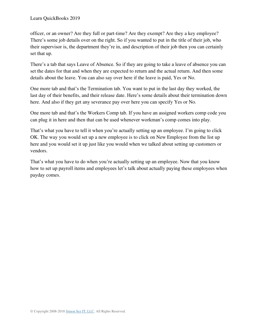officer, or an owner? Are they full or part-time? Are they exempt? Are they a key employee? There's some job details over on the right. So if you wanted to put in the title of their job, who their supervisor is, the department they're in, and description of their job then you can certainly set that up.

There's a tab that says Leave of Absence. So if they are going to take a leave of absence you can set the dates for that and when they are expected to return and the actual return. And then some details about the leave. You can also say over here if the leave is paid, Yes or No.

One more tab and that's the Termination tab. You want to put in the last day they worked, the last day of their benefits, and their release date. Here's some details about their termination down here. And also if they get any severance pay over here you can specify Yes or No.

One more tab and that's the Workers Comp tab. If you have an assigned workers comp code you can plug it in here and then that can be used whenever workman's comp comes into play.

That's what you have to tell it when you're actually setting up an employee. I'm going to click OK. The way you would set up a new employee is to click on New Employee from the list up here and you would set it up just like you would when we talked about setting up customers or vendors.

That's what you have to do when you're actually setting up an employee. Now that you know how to set up payroll items and employees let's talk about actually paying these employees when payday comes.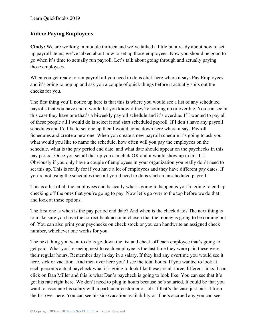### **Video: Paying Employees**

**Cindy:** We are working in module thirteen and we've talked a little bit already about how to set up payroll items, we've talked about how to set up those employees. Now you should be good to go when it's time to actually run payroll. Let's talk about going through and actually paying those employees.

When you get ready to run payroll all you need to do is click here where it says Pay Employees and it's going to pop up and ask you a couple of quick things before it actually spits out the checks for you.

The first thing you'll notice up here is that this is where you would see a list of any scheduled payrolls that you have and it would let you know if they're coming up or overdue. You can see in this case they have one that's a biweekly payroll schedule and it's overdue. If I wanted to pay all of these people all I would do is select it and start scheduled payroll. If I don't have any payroll schedules and I'd like to set one up then I would come down here where it says Payroll Schedules and create a new one. When you create a new payroll schedule it's going to ask you what would you like to name the schedule, how often will you pay the employees on the schedule, what is the pay period end date, and what date should appear on the paychecks in this pay period. Once you set all that up you can click OK and it would show up in this list. Obviously if you only have a couple of employees in your organization you really don't need to set this up. This is really for if you have a lot of employees and they have different pay dates. If you're not using the schedules then all you'd need to do is start an unscheduled payroll.

This is a list of all the employees and basically what's going to happen is you're going to end up checking off the ones that you're going to pay. Now let's go over to the top before we do that and look at these options.

The first one is when is the pay period end date? And when is the check date? The next thing is to make sure you have the correct bank account chosen that the money is going to be coming out of. You can also print your paychecks on check stock or you can handwrite an assigned check number, whichever one works for you.

The next thing you want to do is go down the list and check off each employee that's going to get paid. What you're seeing next to each employee is the last time they were paid these were their regular hours. Remember day in day in a salary. If they had any overtime you would see it here, sick or vacation. And then over here you'll see the total hours. If you wanted to look at each person's actual paycheck what it's going to look like these are all three different links. I can click on Dan Miller and this is what Dan's paycheck is going to look like. You can see that it's got his rate right here. We don't need to plug in hours because he's salaried. It could be that you want to associate his salary with a particular customer or job. If that's the case just pick it from the list over here. You can see his sick/vacation availability or if he's accrued any you can see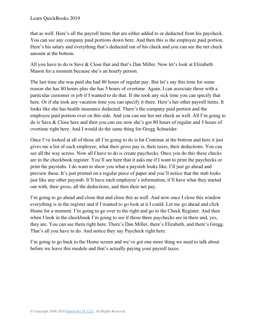that as well. Here's all the payroll items that are either added to or deducted from his paycheck. You can see any company paid portions down here. And then this is the employee paid portion. Here's his salary and everything that's deducted out of his check and you can see the net check amount at the bottom.

All you have to do is Save & Close that and that's Dan Miller. Now let's look at Elizabeth Mason for a moment because she's an hourly person.

The last time she was paid she had 80 hours of regular pay. But let's say this time for some reason she has 80 hours plus she has 5 hours of overtime. Again, I can associate those with a particular customer or job if I wanted to do that. If she took any sick time you can specify that here. Or if she took any vacation time you can specify it there. Here's her other payroll items. It looks like she has health insurance deducted. There's the company paid portion and the employee paid portion over on this side. And you can see her net check as well. All I'm going to do is Save & Close here and then you can see now she's got 80 hours of regular and 5 hours of overtime right here. And I would do the same thing for Gregg Schneider.

Once I've looked at all of those all I'm going to do is hit Continue at the bottom and here it just gives me a list of each employee, what their gross pay is, their taxes, their deductions. You can see all the way across. Now all I have to do is create paychecks. Once you do this these checks are in the checkbook register. You'll see here that it asks me if I want to print the paychecks or print the paystubs. I do want to show you what a paystub looks like. I'll just go ahead and preview these. It's just printed on a regular piece of paper and you'll notice that the stub looks just like any other paystub. It'll have each employee's information, it'll have what they started out with, their gross, all the deductions, and then their net pay.

I'm going to go ahead and close that and close this as well. And now once I close this window everything is in the register and if I wanted to go look at it I could. Let me go ahead and click Home for a moment. I'm going to go over to the right and go to the Check Register. And then when I look in the checkbook I'm going to see if those three paychecks are in there and, yes, they are. You can see them right here. There's Dan Miller, there's Elizabeth, and there's Gregg. That's all you have to do. And notice they say Paycheck right here.

I'm going to go back to the Home screen and we've got one more thing we need to talk about before we leave this module and that's actually paying your payroll taxes.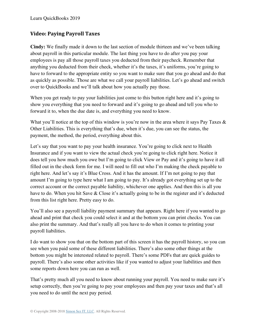### **Video: Paying Payroll Taxes**

**Cindy:** We finally made it down to the last section of module thirteen and we've been talking about payroll in this particular module. The last thing you have to do after you pay your employees is pay all those payroll taxes you deducted from their paycheck. Remember that anything you deducted from their check, whether it's the taxes, it's uniforms, you're going to have to forward to the appropriate entity so you want to make sure that you go ahead and do that as quickly as possible. Those are what we call your payroll liabilities. Let's go ahead and switch over to QuickBooks and we'll talk about how you actually pay those.

When you get ready to pay your liabilities just come to this button right here and it's going to show you everything that you need to forward and it's going to go ahead and tell you who to forward it to, when the due date is, and everything you need to know.

What you'll notice at the top of this window is you're now in the area where it says Pay Taxes & Other Liabilities. This is everything that's due, when it's due, you can see the status, the payment, the method, the period, everything about this.

Let's say that you want to pay your health insurance. You're going to click next to Health Insurance and if you want to view the actual check you're going to click right here. Notice it does tell you how much you owe but I'm going to click View or Pay and it's going to have it all filled out in the check form for me. I will need to fill out who I'm making the check payable to right here. And let's say it's Blue Cross. And it has the amount. If I'm not going to pay that amount I'm going to type here what I am going to pay. It's already got everything set up to the correct account or the correct payable liability, whichever one applies. And then this is all you have to do. When you hit Save & Close it's actually going to be in the register and it's deducted from this list right here. Pretty easy to do.

You'll also see a payroll liability payment summary that appears. Right here if you wanted to go ahead and print that check you could select it and at the bottom you can print checks. You can also print the summary. And that's really all you have to do when it comes to printing your payroll liabilities.

I do want to show you that on the bottom part of this screen it has the payroll history, so you can see when you paid some of these different liabilities. There's also some other things at the bottom you might be interested related to payroll. There's some PDFs that are quick guides to payroll. There's also some other activities like if you wanted to adjust your liabilities and then some reports down here you can run as well.

That's pretty much all you need to know about running your payroll. You need to make sure it's setup correctly, then you're going to pay your employees and then pay your taxes and that's all you need to do until the next pay period.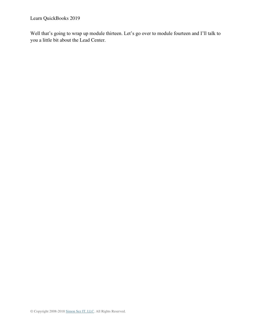Learn QuickBooks 2019

Well that's going to wrap up module thirteen. Let's go over to module fourteen and I'll talk to you a little bit about the Lead Center.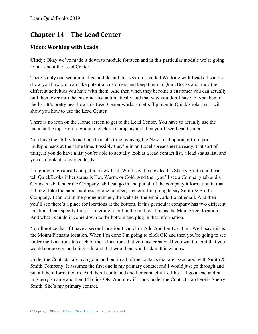# **Chapter 14 – The Lead Center**

### **Video: Working with Leads**

**Cindy:** Okay we've made it down to module fourteen and in this particular module we're going to talk about the Lead Center.

There's only one section in this module and this section is called Working with Leads. I want to show you how you can take potential customers and keep them in QuickBooks and track the different activities you have with them. And then when they become a customer you can actually pull them over into the customer list automatically and that way you don't have to type them in the list. It's pretty neat how this Lead Center works so let's flip over to QuickBooks and I will show you how to use the Lead Center.

There is no icon on the Home screen to get to the Lead Center. You have to actually use the menu at the top. You're going to click on Company and then you'll see Lead Center.

You have the ability to add one lead at a time by using the New Lead option or to import multiple leads at the same time. Possibly they're in an Excel spreadsheet already, that sort of thing. If you do have a list you're able to actually look at a lead contact list, a lead status list, and you can look at converted leads.

I'm going to go ahead and put in a new lead. We'll say the new lead is Sherry Smith and I can tell QuickBooks if her status is Hot, Warm, or Cold. And then you'll see a Company tab and a Contacts tab. Under the Company tab I can go in and put all of the company information in that I'd like. Like the name, address, phone number, etcetera. I'm going to say Smith & Smith Company. I can put in the phone number, the website, the email, additional email. And then you'll see there's a place for locations at the bottom. If this particular company has two different locations I can specify those. I'm going to put in the first location as the Main Street location. And what I can do is come down to the bottom and plug in that information.

You'll notice that if I have a second location I can click Add Another Location. We'll say this is the Mount Pleasant location. When I'm done I'm going to click OK and then you're going to see under the Locations tab each of those locations that you just created. If you want to edit that you would come over and click Edit and that would put you back in this window.

Under the Contacts tab I can go in and put in all of the contacts that are associated with Smith  $\&$ Smith Company. It assumes the first one is my primary contact and I would just go through and put all the information in. And then I could add another contact if I'd like. I'll go ahead and put in Sherry's name and then I'll click OK. And now if I look under the Contacts tab here is Sherry Smith. She's my primary contact.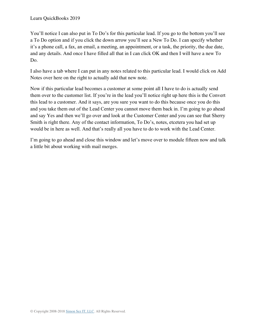You'll notice I can also put in To Do's for this particular lead. If you go to the bottom you'll see a To Do option and if you click the down arrow you'll see a New To Do. I can specify whether it's a phone call, a fax, an email, a meeting, an appointment, or a task, the priority, the due date, and any details. And once I have filled all that in I can click OK and then I will have a new To Do.

I also have a tab where I can put in any notes related to this particular lead. I would click on Add Notes over here on the right to actually add that new note.

Now if this particular lead becomes a customer at some point all I have to do is actually send them over to the customer list. If you're in the lead you'll notice right up here this is the Convert this lead to a customer. And it says, are you sure you want to do this because once you do this and you take them out of the Lead Center you cannot move them back in. I'm going to go ahead and say Yes and then we'll go over and look at the Customer Center and you can see that Sherry Smith is right there. Any of the contact information, To Do's, notes, etcetera you had set up would be in here as well. And that's really all you have to do to work with the Lead Center.

I'm going to go ahead and close this window and let's move over to module fifteen now and talk a little bit about working with mail merges.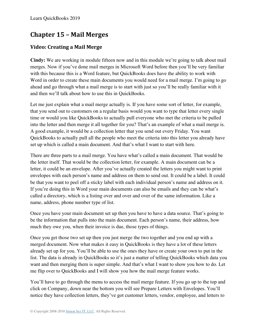# **Chapter 15 – Mail Merges**

## **Video: Creating a Mail Merge**

**Cindy:** We are working in module fifteen now and in this module we're going to talk about mail merges. Now if you've done mail merges in Microsoft Word before then you'll be very familiar with this because this is a Word feature, but QuickBooks does have the ability to work with Word in order to create these main documents you would need for a mail merge. I'm going to go ahead and go through what a mail merge is to start with just so you'll be really familiar with it and then we'll talk about how to use this in QuickBooks.

Let me just explain what a mail merge actually is. If you have some sort of letter, for example, that you send out to customers on a regular basis would you want to type that letter every single time or would you like QuickBooks to actually pull everyone who met the criteria to be pulled into the letter and then merge it all together for you? That's an example of what a mail merge is. A good example, it would be a collection letter that you send out every Friday. You want QuickBooks to actually pull all the people who meet the criteria into this letter you already have set up which is called a main document. And that's what I want to start with here.

There are three parts to a mail merge. You have what's called a main document. That would be the letter itself. That would be the collection letter, for example. A main document can be a letter, it could be an envelope. After you've actually created the letters you might want to print envelopes with each person's name and address on them to send out. It could be a label. It could be that you want to peel off a sticky label with each individual person's name and address on it. If you're doing this in Word your main documents can also be emails and they can be what's called a directory, which is a listing over and over and over of the same information. Like a name, address, phone number type of list.

Once you have your main document set up then you have to have a data source. That's going to be the information that pulls into the main document. Each person's name, their address, how much they owe you, when their invoice is due, those types of things.

Once you get those two set up then you just merge the two together and you end up with a merged document. Now what makes it easy in QuickBooks is they have a lot of these letters already set up for you. You'll be able to use the ones they have or create your own to put in the list. The data is already in QuickBooks so it's just a matter of telling QuickBooks which data you want and then merging them is super simple. And that's what I want to show you how to do. Let me flip over to QuickBooks and I will show you how the mail merge feature works.

You'll have to go through the menu to access the mail merge feature. If you go up to the top and click on Company, down near the bottom you will see Prepare Letters with Envelopes. You'll notice they have collection letters, they've got customer letters, vendor, employee, and letters to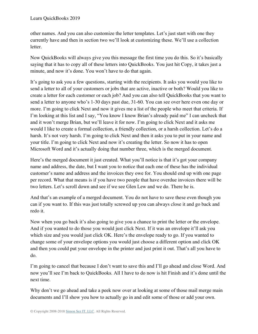other names. And you can also customize the letter templates. Let's just start with one they currently have and then in section two we'll look at customizing these. We'll use a collection letter.

Now QuickBooks will always give you this message the first time you do this. So it's basically saying that it has to copy all of these letters into QuickBooks. You just hit Copy, it takes just a minute, and now it's done. You won't have to do that again.

It's going to ask you a few questions, starting with the recipients. It asks you would you like to send a letter to all of your customers or jobs that are active, inactive or both? Would you like to create a letter for each customer or each job? And you can also tell QuickBooks that you want to send a letter to anyone who's 1-30 days past due, 31-60. You can see over here even one day or more. I'm going to click Next and now it gives me a list of the people who meet that criteria. If I'm looking at this list and I say, "You know I know Brian's already paid me" I can uncheck that and it won't merge Brian, but we'll leave it for now. I'm going to click Next and it asks me would I like to create a formal collection, a friendly collection, or a harsh collection. Let's do a harsh. It's not very harsh. I'm going to click Next and then it asks you to put in your name and your title. I'm going to click Next and now it's creating the letter. So now it has to open Microsoft Word and it's actually doing that number three, which is the merged document.

Here's the merged document it just created. What you'll notice is that it's got your company name and address, the date, but I want you to notice that each one of these has the individual customer's name and address and the invoices they owe for. You should end up with one page per record. What that means is if you have two people that have overdue invoices there will be two letters. Let's scroll down and see if we see Glen Lew and we do. There he is.

And that's an example of a merged document. You do not have to save these even though you can if you want to. If this was just totally screwed up you can always close it and go back and redo it.

Now when you go back it's also going to give you a chance to print the letter or the envelope. And if you wanted to do those you would just click Next. If it was an envelope it'll ask you which size and you would just click OK. Here's the envelope ready to go. If you wanted to change some of your envelope options you would just choose a different option and click OK and then you could put your envelope in the printer and just print it out. That's all you have to do.

I'm going to cancel that because I don't want to save this and I'll go ahead and close Word. And now you'll see I'm back to QuickBooks. All I have to do now is hit Finish and it's done until the next time.

Why don't we go ahead and take a peek now over at looking at some of those mail merge main documents and I'll show you how to actually go in and edit some of those or add your own.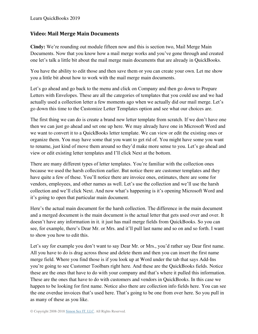#### **Video: Mail Merge Main Documents**

**Cindy:** We're rounding out module fifteen now and this is section two, Mail Merge Main Documents. Now that you know how a mail merge works and you've gone through and created one let's talk a little bit about the mail merge main documents that are already in QuickBooks.

You have the ability to edit those and then save them or you can create your own. Let me show you a little bit about how to work with the mail merge main documents.

Let's go ahead and go back to the menu and click on Company and then go down to Prepare Letters with Envelopes. These are all the categories of templates that you could use and we had actually used a collection letter a few moments ago when we actually did our mail merge. Let's go down this time to the Customize Letter Templates option and see what our choices are.

The first thing we can do is create a brand new letter template from scratch. If we don't have one then we can just go ahead and set one up here. We may already have one in Microsoft Word and we want to convert it to a QuickBooks letter template. We can view or edit the existing ones or organize them. You may have some that you want to get rid of. You might have some you want to rename, just kind of move them around so they'd make more sense to you. Let's go ahead and view or edit existing letter templates and I'll click Next at the bottom.

There are many different types of letter templates. You're familiar with the collection ones because we used the harsh collection earlier. But notice there are customer templates and they have quite a few of these. You'll notice there are invoice ones, estimates, there are some for vendors, employees, and other names as well. Let's use the collection and we'll use the harsh collection and we'll click Next. And now what's happening is it's opening Microsoft Word and it's going to open that particular main document.

Here's the actual main document for the harsh collection. The difference in the main document and a merged document is the main document is the actual letter that gets used over and over. It doesn't have any information in it. it just has mail merge fields from QuickBooks. So you can see, for example, there's Dear Mr. or Mrs. and it'll pull last name and so on and so forth. I want to show you how to edit this.

Let's say for example you don't want to say Dear Mr. or Mrs., you'd rather say Dear first name. All you have to do is drag across those and delete them and then you can insert the first name merge field. Where you find those is if you look up at Word under the tab that says Add-Ins you're going to see Customer Toolbars right here. And these are the QuickBooks fields. Notice these are the ones that have to do with your company and that's where it pulled this information. These are the ones that have to do with customers and vendors in QuickBooks. In this case we happen to be looking for first name. Notice also there are collection info fields here. You can see the one overdue invoices that's used here. That's going to be one from over here. So you pull in as many of these as you like.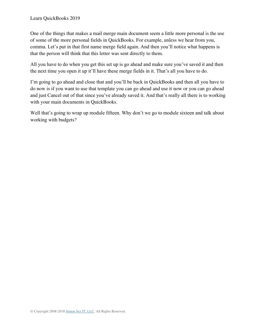One of the things that makes a mail merge main document seem a little more personal is the use of some of the more personal fields in QuickBooks. For example, unless we hear from you, comma. Let's put in that first name merge field again. And then you'll notice what happens is that the person will think that this letter was sent directly to them.

All you have to do when you get this set up is go ahead and make sure you've saved it and then the next time you open it up it'll have these merge fields in it. That's all you have to do.

I'm going to go ahead and close that and you'll be back in QuickBooks and then all you have to do now is if you want to use that template you can go ahead and use it now or you can go ahead and just Cancel out of that since you've already saved it. And that's really all there is to working with your main documents in QuickBooks.

Well that's going to wrap up module fifteen. Why don't we go to module sixteen and talk about working with budgets?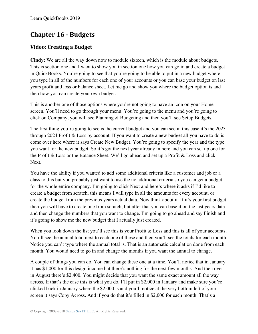# **Chapter 16 - Budgets**

## **Video: Creating a Budget**

**Cindy:** We are all the way down now to module sixteen, which is the module about budgets. This is section one and I want to show you in section one how you can go in and create a budget in QuickBooks. You're going to see that you're going to be able to put in a new budget where you type in all of the numbers for each one of your accounts or you can base your budget on last years profit and loss or balance sheet. Let me go and show you where the budget option is and then how you can create your own budget.

This is another one of those options where you're not going to have an icon on your Home screen. You'll need to go through your menu. You're going to the menu and you're going to click on Company, you will see Planning & Budgeting and then you'll see Setup Budgets.

The first thing you're going to see is the current budget and you can see in this case it's the 2023 through 2024 Profit & Loss by account. If you want to create a new budget all you have to do is come over here where it says Create New Budget. You're going to specify the year and the type you want for the new budget. So it's got the next year already in here and you can set up one for the Profit & Loss or the Balance Sheet. We'll go ahead and set up a Profit & Loss and click Next.

You have the ability if you wanted to add some additional criteria like a customer and job or a class to this but you probably just want to use the no additional criteria so you can get a budget for the whole entire company. I'm going to click Next and here's where it asks if I'd like to create a budget from scratch. this means I will type in all the amounts for every account, or create the budget from the previous years actual data. Now think about it. If it's your first budget then you will have to create one from scratch, but after that you can base it on the last years data and then change the numbers that you want to change. I'm going to go ahead and say Finish and it's going to show me the new budget that I actually just created.

When you look down the list you'll see this is your Profit & Loss and this is all of your accounts. You'll see the annual total next to each one of these and then you'll see the totals for each month. Notice you can't type where the annual total is. That is an automatic calculation done from each month. You would need to go in and change the months if you want the annual to change.

A couple of things you can do. You can change these one at a time. You'll notice that in January it has \$1,000 for this design income but there's nothing for the next few months. And then over in August there's \$2,400. You might decide that you want the same exact amount all the way across. If that's the case this is what you do. I'll put in \$2,000 in January and make sure you're clicked back in January where the \$2,000 is and you'll notice at the very bottom left of your screen it says Copy Across. And if you do that it's filled in \$2,000 for each month. That's a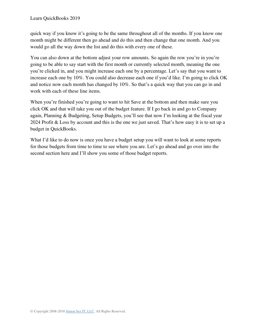quick way if you know it's going to be the same throughout all of the months. If you know one month might be different then go ahead and do this and then change that one month. And you would go all the way down the list and do this with every one of these.

You can also down at the bottom adjust your row amounts. So again the row you're in you're going to be able to say start with the first month or currently selected month, meaning the one you're clicked in, and you might increase each one by a percentage. Let's say that you want to increase each one by 10%. You could also decrease each one if you'd like. I'm going to click OK and notice now each month has changed by 10%. So that's a quick way that you can go in and work with each of these line items.

When you're finished you're going to want to hit Save at the bottom and then make sure you click OK and that will take you out of the budget feature. If I go back in and go to Company again, Planning & Budgeting, Setup Budgets, you'll see that now I'm looking at the fiscal year 2024 Profit & Loss by account and this is the one we just saved. That's how easy it is to set up a budget in QuickBooks.

What I'd like to do now is once you have a budget setup you will want to look at some reports for those budgets from time to time to see where you are. Let's go ahead and go over into the second section here and I'll show you some of those budget reports.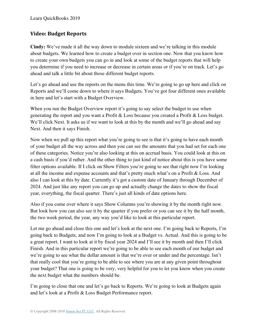### **Video: Budget Reports**

**Cindy:** We've made it all the way down to module sixteen and we're talking in this module about budgets. We learned how to create a budget over in section one. Now that you know how to create your own budgets you can go in and look at some of the budget reports that will help you determine if you need to increase or decrease in certain areas or if you're on track. Let's go ahead and talk a little bit about those different budget reports.

Let's go ahead and use the reports on the menu this time. We're going to go up here and click on Reports and we'll come down to where it says Budgets. You've got four different ones available in here and let's start with a Budget Overview.

When you run the Budget Overview report it's going to say select the budget to use when generating the report and you want a Profit & Loss because you created a Profit & Loss budget. We'll click Next. It asks us if we want to look at this by the month and we'll go ahead and say Next. And then it says Finish.

Now when we pull up this report what you're going to see is that it's going to have each month of your budget all the way across and then you can see the amounts that you had set for each one of these categories. Notice you're also looking at this on accrual basis. You could look at this on a cash basis if you'd rather. And the other thing to just kind of notice about this is you have some filter options available. If I click on Show Filters you're going to see that right now I'm looking at all the income and expense accounts and that's pretty much what's on a Profit & Loss. And also I can look at this by date. Currently it's got a custom date of January through December of 2024. And just like any report you can go up and actually change the dates to show the fiscal year, everything, the fiscal quarter. There's just all kinds of date options here.

Also if you come over where it says Show Columns you're showing it by the month right now. But look how you can also see it by the quarter if you prefer or you can see it by the half month, the two week period, the year, any way you'd like to look at this particular report.

Let me go ahead and close this one and let's look at the next one. I'm going back to Reports, I'm going back to Budgets, and now I'm going to look at a Budget vs. Actual. And this is going to be a great report. I want to look at it by fiscal year 2024 and I'll see it by month and then I'll click Finish. And in this particular report we're going to be able to see each month of our budget and we're going to see what the dollar amount is that we're over or under and the percentage. Isn't that really cool that you're going to be able to see where you are at any given point throughout your budget? That one is going to be very, very helpful for you to let you know when you create the next budget what the numbers should be.

I'm going to close that one and let's go back to Reports. We're going to look at Budgets again and let's look at a Profit & Loss Budget Performance report.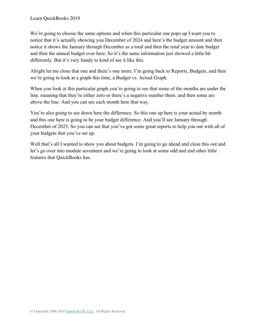We're going to choose the same options and when this particular one pops up I want you to notice that it's actually showing you December of 2024 and here's the budget amount and then notice it shows the January through December as a total and then the total year to date budget and then the annual budget over here. So it's the same information just showed a little bit differently. But it's very handy to kind of see it like this.

Alright let me close that one and there's one more. I'm going back to Reports, Budgets, and then we're going to look at a graph this time, a Budget vs. Actual Graph.

When you look at this particular graph you're going to see that some of the months are under the line, meaning that they're either zero or there's a negative number there, and then some are above the line. And you can see each month here that way.

You're also going to see down here the difference. So this one up here is your actual by month and this one here is going to be your budget difference. And you'll see January through December of 2023. So you can see that you've got some great reports to help you out with all of your budgets that you've set up.

Well that's all I wanted to show you about budgets. I'm going to go ahead and close this out and let's go over into module seventeen and we're going to look at some odd and end other little features that QuickBooks has.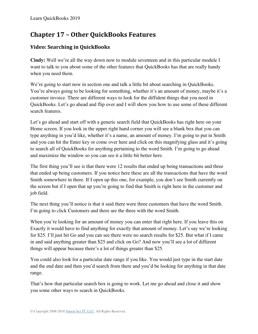# **Chapter 17 – Other QuickBooks Features**

## **Video: Searching in QuickBooks**

**Cindy:** Well we're all the way down now to module seventeen and in this particular module I want to talk to you about some of the other features that QuickBooks has that are really handy when you need them.

We're going to start now in section one and talk a little bit about searching in QuickBooks. You're always going to be looking for something, whether it's an amount of money, maybe it's a customer invoice. There are different ways to look for the diffident things that you need in QuickBooks. Let's go ahead and flip over and I will show you how to use some of these different search features.

Let's go ahead and start off with a generic search field that QuickBooks has right here on your Home screen. If you look in the upper right hand corner you will see a blank box that you can type anything in you'd like, whether it's a name, an amount of money. I'm going to put in Smith and you can hit the Enter key or come over here and click on this magnifying glass and it's going to search all of QuickBooks for anything pertaining to the word Smith. I'm going to go ahead and maximize the window so you can see it a little bit better here.

The first thing you'll see is that there were 12 results that ended up being transactions and three that ended up being customers. If you notice here these are all the transactions that have the word Smith somewhere in there. If I open up this one, for example, you don't see Smith currently on the screen but if I open that up you're going to find that Smith is right here in the customer and job field.

The next thing you'll notice is that it said there were three customers that have the word Smith. I'm going to click Customers and there are the three with the word Smith.

When you're looking for an amount of money you can enter that right here. If you leave this on Exactly it would have to find anything for exactly that amount of money. Let's say we're looking for \$25. I'll just hit Go and you can see there were no search results for \$25. But what if I came in and said anything greater than \$25 and click on Go? And now you'll see a lot of different things will appear because there's a lot of things greater than \$25.

You could also look for a particular date range if you like. You would just type in the start date and the end date and then you'd search from there and you'd be looking for anything in that date range.

That's how that particular search box is going to work. Let me go ahead and close it and show you some other ways to search in QuickBooks.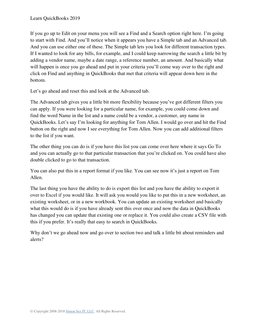If you go up to Edit on your menu you will see a Find and a Search option right here. I'm going to start with Find. And you'll notice when it appears you have a Simple tab and an Advanced tab. And you can use either one of these. The Simple tab lets you look for different transaction types. If I wanted to look for any bills, for example, and I could keep narrowing the search a little bit by adding a vendor name, maybe a date range, a reference number, an amount. And basically what will happen is once you go ahead and put in your criteria you'll come way over to the right and click on Find and anything in QuickBooks that met that criteria will appear down here in the bottom.

Let's go ahead and reset this and look at the Advanced tab.

The Advanced tab gives you a little bit more flexibility because you've got different filters you can apply. If you were looking for a particular name, for example, you could come down and find the word Name in the list and a name could be a vendor, a customer, any name in QuickBooks. Let's say I'm looking for anything for Tom Allen. I would go over and hit the Find button on the right and now I see everything for Tom Allen. Now you can add additional filters to the list if you want.

The other thing you can do is if you have this list you can come over here where it says Go To and you can actually go to that particular transaction that you're clicked on. You could have also double clicked to go to that transaction.

You can also put this in a report format if you like. You can see now it's just a report on Tom Allen.

The last thing you have the ability to do is export this list and you have the ability to export it over to Excel if you would like. It will ask you would you like to put this in a new worksheet, an existing worksheet, or in a new workbook. You can update an existing worksheet and basically what this would do is if you have already sent this over once and now the data in QuickBooks has changed you can update that existing one or replace it. You could also create a CSV file with this if you prefer. It's really that easy to search in QuickBooks.

Why don't we go ahead now and go over to section two and talk a little bit about reminders and alerts?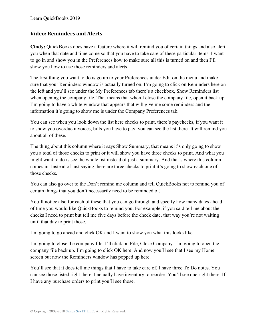#### **Video: Reminders and Alerts**

**Cindy:** QuickBooks does have a feature where it will remind you of certain things and also alert you when that date and time come so that you have to take care of these particular items. I want to go in and show you in the Preferences how to make sure all this is turned on and then I'll show you how to use those reminders and alerts.

The first thing you want to do is go up to your Preferences under Edit on the menu and make sure that your Reminders window is actually turned on. I'm going to click on Reminders here on the left and you'll see under the My Preferences tab there's a checkbox, Show Reminders list when opening the company file. That means that when I close the company file, open it back up I'm going to have a white window that appears that will give me some reminders and the information it's going to show me is under the Company Preferences tab.

You can see when you look down the list here checks to print, there's paychecks, if you want it to show you overdue invoices, bills you have to pay, you can see the list there. It will remind you about all of these.

The thing about this column where it says Show Summary, that means it's only going to show you a total of those checks to print or it will show you have three checks to print. And what you might want to do is see the whole list instead of just a summary. And that's where this column comes in. Instead of just saying there are three checks to print it's going to show each one of those checks.

You can also go over to the Don't remind me column and tell QuickBooks not to remind you of certain things that you don't necessarily need to be reminded of.

You'll notice also for each of these that you can go through and specify how many dates ahead of time you would like QuickBooks to remind you. For example, if you said tell me about the checks I need to print but tell me five days before the check date, that way you're not waiting until that day to print those.

I'm going to go ahead and click OK and I want to show you what this looks like.

I'm going to close the company file. I'll click on File, Close Company. I'm going to open the company file back up. I'm going to click OK here. And now you'll see that I see my Home screen but now the Reminders window has popped up here.

You'll see that it does tell me things that I have to take care of. I have three To Do notes. You can see those listed right there. I actually have inventory to reorder. You'll see one right there. If I have any purchase orders to print you'll see those.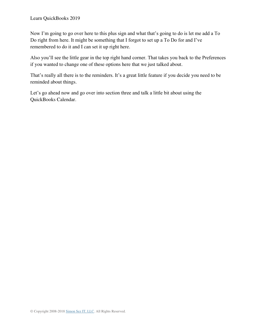Now I'm going to go over here to this plus sign and what that's going to do is let me add a To Do right from here. It might be something that I forgot to set up a To Do for and I've remembered to do it and I can set it up right here.

Also you'll see the little gear in the top right hand corner. That takes you back to the Preferences if you wanted to change one of these options here that we just talked about.

That's really all there is to the reminders. It's a great little feature if you decide you need to be reminded about things.

Let's go ahead now and go over into section three and talk a little bit about using the QuickBooks Calendar.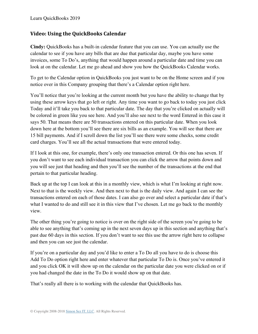#### **Video: Using the QuickBooks Calendar**

**Cindy:** QuickBooks has a built-in calendar feature that you can use. You can actually use the calendar to see if you have any bills that are due that particular day, maybe you have some invoices, some To Do's, anything that would happen around a particular date and time you can look at on the calendar. Let me go ahead and show you how the QuickBooks Calendar works.

To get to the Calendar option in QuickBooks you just want to be on the Home screen and if you notice over in this Company grouping that there's a Calendar option right here.

You'll notice that you're looking at the current month but you have the ability to change that by using these arrow keys that go left or right. Any time you want to go back to today you just click Today and it'll take you back to that particular date. The day that you're clicked on actually will be colored in green like you see here. And you'll also see next to the word Entered in this case it says 50. That means there are 50 transactions entered on this particular date. When you look down here at the bottom you'll see there are six bills as an example. You will see that there are 15 bill payments. And if I scroll down the list you'll see there were some checks, some credit card charges. You'll see all the actual transactions that were entered today.

If I look at this one, for example, there's only one transaction entered. Or this one has seven. If you don't want to see each individual transaction you can click the arrow that points down and you will see just that heading and then you'll see the number of the transactions at the end that pertain to that particular heading.

Back up at the top I can look at this in a monthly view, which is what I'm looking at right now. Next to that is the weekly view. And then next to that is the daily view. And again I can see the transactions entered on each of those dates. I can also go over and select a particular date if that's what I wanted to do and still see it in this view that I've chosen. Let me go back to the monthly view.

The other thing you're going to notice is over on the right side of the screen you're going to be able to see anything that's coming up in the next seven days up in this section and anything that's past due 60 days in this section. If you don't want to see this use the arrow right here to collapse and then you can see just the calendar.

If you're on a particular day and you'd like to enter a To Do all you have to do is choose this Add To Do option right here and enter whatever that particular To Do is. Once you've entered it and you click OK it will show up on the calendar on the particular date you were clicked on or if you had changed the date in the To Do it would show up on that date.

That's really all there is to working with the calendar that QuickBooks has.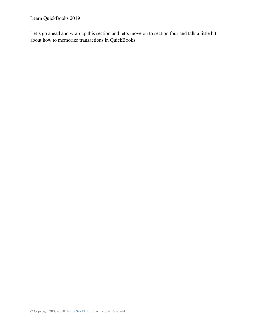Learn QuickBooks 2019

Let's go ahead and wrap up this section and let's move on to section four and talk a little bit about how to memorize transactions in QuickBooks.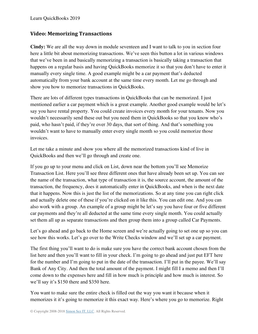#### **Video: Memorizing Transactions**

**Cindy:** We are all the way down in module seventeen and I want to talk to you in section four here a little bit about memorizing transactions. We've seen this button a lot in various windows that we've been in and basically memorizing a transaction is basically taking a transaction that happens on a regular basis and having QuickBooks memorize it so that you don't have to enter it manually every single time. A good example might be a car payment that's deducted automatically from your bank account at the same time every month. Let me go through and show you how to memorize transactions in QuickBooks.

There are lots of different types transactions in QuickBooks that can be memorized. I just mentioned earlier a car payment which is a great example. Another good example would be let's say you have rental property. You could create invoices every month for your tenants. Now you wouldn't necessarily send these out but you need them in QuickBooks so that you know who's paid, who hasn't paid, if they're over 30 days, that sort of thing. And that's something you wouldn't want to have to manually enter every single month so you could memorize those invoices.

Let me take a minute and show you where all the memorized transactions kind of live in QuickBooks and then we'll go through and create one.

If you go up to your menu and click on List, down near the bottom you'll see Memorize Transaction List. Here you'll see three different ones that have already been set up. You can see the name of the transaction, what type of transaction it is, the source account, the amount of the transaction, the frequency, does it automatically enter in QuickBooks, and when is the next date that it happens. Now this is just the list of the memorizations. So at any time you can right click and actually delete one of these if you're clicked on it like this. You can edit one. And you can also work with a group. An example of a group might be let's say you have four or five different car payments and they're all deducted at the same time every single month. You could actually set them all up as separate transactions and then group them into a group called Car Payments.

Let's go ahead and go back to the Home screen and we're actually going to set one up so you can see how this works. Let's go over to the Write Checks window and we'll set up a car payment.

The first thing you'll want to do is make sure you have the correct bank account chosen from the list here and then you'll want to fill in your check. I'm going to go ahead and just put EFT here for the number and I'm going to put in the date of the transaction. I'll put in the payee. We'll say Bank of Any City. And then the total amount of the payment. I might fill I a memo and then I'll come down to the expenses here and fill in how much is principle and how much is interest. So we'll say it's \$150 there and \$350 here.

You want to make sure the entire check is filled out the way you want it because when it memorizes it it's going to memorize it this exact way. Here's where you go to memorize. Right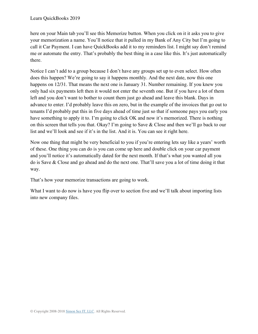here on your Main tab you'll see this Memorize button. When you click on it it asks you to give your memorization a name. You'll notice that it pulled in my Bank of Any City but I'm going to call it Car Payment. I can have QuickBooks add it to my reminders list. I might say don't remind me or automate the entry. That's probably the best thing in a case like this. It's just automatically there.

Notice I can't add to a group because I don't have any groups set up to even select. How often does this happen? We're going to say it happens monthly. And the next date, now this one happens on 12/31. That means the next one is January 31. Number remaining. If you knew you only had six payments left then it would not enter the seventh one. But if you have a lot of them left and you don't want to bother to count them just go ahead and leave this blank. Days in advance to enter. I'd probably leave this on zero, but in the example of the invoices that go out to tenants I'd probably put this in five days ahead of time just so that if someone pays you early you have something to apply it to. I'm going to click OK and now it's memorized. There is nothing on this screen that tells you that. Okay? I'm going to Save & Close and then we'll go back to our list and we'll look and see if it's in the list. And it is. You can see it right here.

Now one thing that might be very beneficial to you if you're entering lets say like a years' worth of these. One thing you can do is you can come up here and double click on your car payment and you'll notice it's automatically dated for the next month. If that's what you wanted all you do is Save & Close and go ahead and do the next one. That'll save you a lot of time doing it that way.

That's how your memorize transactions are going to work.

What I want to do now is have you flip over to section five and we'll talk about importing lists into new company files.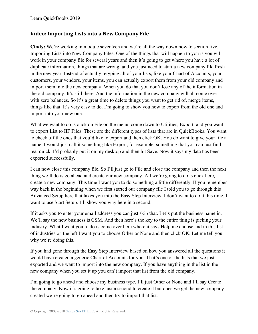#### **Video: Importing Lists into a New Company File**

**Cindy:** We're working in module seventeen and we're all the way down now to section five, Importing Lists into New Company Files. One of the things that will happen to you is you will work in your company file for several years and then it's going to get where you have a lot of duplicate information, things that are wrong, and you just need to start a new company file fresh in the new year. Instead of actually retyping all of your lists, like your Chart of Accounts, your customers, your vendors, your items, you can actually export them from your old company and import them into the new company. When you do that you don't lose any of the information in the old company. It's still there. And the information in the new company will all come over with zero balances. So it's a great time to delete things you want to get rid of, merge items, things like that. It's very easy to do. I'm going to show you how to export from the old one and import into your new one.

What we want to do is click on File on the menu, come down to Utilities, Export, and you want to export List to IIF Files. These are the different types of lists that are in QuickBooks. You want to check off the ones that you'd like to export and then click OK. You do want to give your file a name. I would just call it something like Export, for example, something that you can just find real quick. I'd probably put it on my desktop and then hit Save. Now it says my data has been exported successfully.

I can now close this company file. So I'll just go to File and close the company and then the next thing we'll do is go ahead and create our new company. All we're going to do is click here, create a new company. This time I want you to do something a little differently. If you remember way back in the beginning when we first started our company file I told you to go through this Advanced Setup here that takes you into the Easy Step Interview. I don't want to do it this time. I want to use Start Setup. I'll show you why here in a second.

If it asks you to enter your email address you can just skip that. Let's put the business name in. We'll say the new business is CSM. And then here's the key to the entire thing is picking your industry. What I want you to do is come over here where it says Help me choose and in this list of industries on the left I want you to choose Other or None and then click OK. Let me tell you why we're doing this.

If you had gone through the Easy Step Interview based on how you answered all the questions it would have created a generic Chart of Accounts for you. That's one of the lists that we just exported and we want to import into the new company. If you have anything in the list in the new company when you set it up you can't import that list from the old company.

I'm going to go ahead and choose my business type. I'll just Other or None and I'll say Create the company. Now it's going to take just a second to create it but once we get the new company created we're going to go ahead and then try to import that list.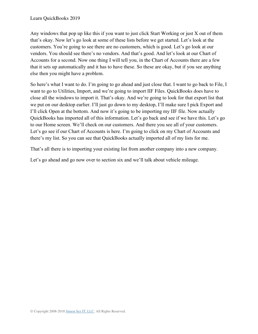Any windows that pop up like this if you want to just click Start Working or just X out of them that's okay. Now let's go look at some of these lists before we get started. Let's look at the customers. You're going to see there are no customers, which is good. Let's go look at our vendors. You should see there's no vendors. And that's good. And let's look at our Chart of Accounts for a second. Now one thing I will tell you, in the Chart of Accounts there are a few that it sets up automatically and it has to have these. So these are okay, but if you see anything else then you might have a problem.

So here's what I want to do. I'm going to go ahead and just close that. I want to go back to File, I want to go to Utilities, Import, and we're going to import IIF Files. QuickBooks does have to close all the windows to import it. That's okay. And we're going to look for that export list that we put on our desktop earlier. I'll just go down to my desktop, I'll make sure I pick Export and I'll click Open at the bottom. And now it's going to be importing my IIF file. Now actually QuickBooks has imported all of this information. Let's go back and see if we have this. Let's go to our Home screen. We'll check on our customers. And there you see all of your customers. Let's go see if our Chart of Accounts is here. I'm going to click on my Chart of Accounts and there's my list. So you can see that QuickBooks actually imported all of my lists for me.

That's all there is to importing your existing list from another company into a new company.

Let's go ahead and go now over to section six and we'll talk about vehicle mileage.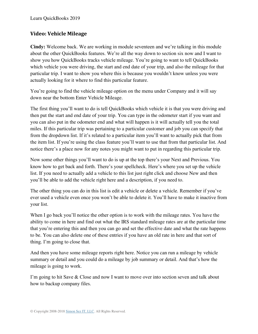## **Video: Vehicle Mileage**

**Cindy:** Welcome back. We are working in module seventeen and we're talking in this module about the other QuickBooks features. We're all the way down to section six now and I want to show you how QuickBooks tracks vehicle mileage. You're going to want to tell QuickBooks which vehicle you were driving, the start and end date of your trip, and also the mileage for that particular trip. I want to show you where this is because you wouldn't know unless you were actually looking for it where to find this particular feature.

You're going to find the vehicle mileage option on the menu under Company and it will say down near the bottom Enter Vehicle Mileage.

The first thing you'll want to do is tell QuickBooks which vehicle it is that you were driving and then put the start and end date of your trip. You can type in the odometer start if you want and you can also put in the odometer end and what will happen is it will actually tell you the total miles. If this particular trip was pertaining to a particular customer and job you can specify that from the dropdown list. If it's related to a particular item you'll want to actually pick that from the item list. If you're using the class feature you'll want to use that from that particular list. And notice there's a place now for any notes you might want to put in regarding this particular trip.

Now some other things you'll want to do is up at the top there's your Next and Previous. You know how to get back and forth. There's your spellcheck. Here's where you set up the vehicle list. If you need to actually add a vehicle to this list just right click and choose New and then you'll be able to add the vehicle right here and a description, if you need to.

The other thing you can do in this list is edit a vehicle or delete a vehicle. Remember if you've ever used a vehicle even once you won't be able to delete it. You'll have to make it inactive from your list.

When I go back you'll notice the other option is to work with the mileage rates. You have the ability to come in here and find out what the IRS standard mileage rates are at the particular time that you're entering this and then you can go and set the effective date and what the rate happens to be. You can also delete one of these entries if you have an old rate in here and that sort of thing. I'm going to close that.

And then you have some mileage reports right here. Notice you can run a mileage by vehicle summary or detail and you could do a mileage by job summary or detail. And that's how the mileage is going to work.

I'm going to hit Save & Close and now I want to move over into section seven and talk about how to backup company files.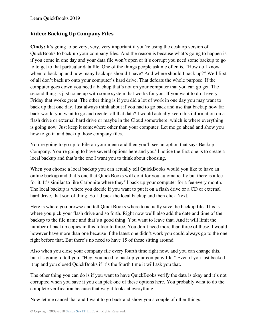# **Video: Backing Up Company Files**

**Cindy:** It's going to be very, very, very important if you're using the desktop version of QuickBooks to back up your company files. And the reason is because what's going to happen is if you come in one day and your data file won't open or it's corrupt you need some backup to go to to get to that particular data file. One of the things people ask me often is, "How do I know when to back up and how many backups should I have? And where should I back up?" Well first of all don't back up onto your computer's hard drive. That defeats the whole purpose. If the computer goes down you need a backup that's not on your computer that you can go get. The second thing is just come up with some system that works for you. If you want to do it every Friday that works great. The other thing is if you did a lot of work in one day you may want to back up that one day. Just always think about if you had to go back and use that backup how far back would you want to go and reenter all that data? I would actually keep this information on a flash drive or external hard drive or maybe in the Cloud somewhere, which is where everything is going now. Just keep it somewhere other than your computer. Let me go ahead and show you how to go in and backup those company files.

You're going to go up to File on your menu and then you'll see an option that says Backup Company. You're going to have several options here and you'll notice the first one is to create a local backup and that's the one I want you to think about choosing.

When you choose a local backup you can actually tell QuickBooks would you like to have an online backup and that's one that QuickBooks will do it for you automatically but there is a fee for it. It's similar to like Carbonite where they'll back up your computer for a fee every month. The local backup is where you decide if you want to put it on a flash drive or a CD or external hard drive, that sort of thing. So I'd pick the local backup and then click Next.

Here is where you browse and tell QuickBooks where to actually save the backup file. This is where you pick your flash drive and so forth. Right now we'll also add the date and time of the backup to the file name and that's a good thing. You want to leave that. And it will limit the number of backup copies in this folder to three. You don't need more than three of these. I would however have more than one because if the latest one didn't work you could always go to the one right before that. But there's no need to have 15 of these sitting around.

Also when you close your company file every fourth time right now, and you can change this, but it's going to tell you, "Hey, you need to backup your company file." Even if you just backed it up and you closed QuickBooks if it's the fourth time it will ask you that.

The other thing you can do is if you want to have QuickBooks verify the data is okay and it's not corrupted when you save it you can pick one of these options here. You probably want to do the complete verification because that way it looks at everything.

Now let me cancel that and I want to go back and show you a couple of other things.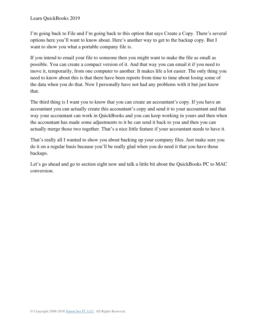I'm going back to File and I'm going back to this option that says Create a Copy. There's several options here you'll want to know about. Here's another way to get to the backup copy. But I want to show you what a portable company file is.

If you intend to email your file to someone then you might want to make the file as small as possible. You can create a compact version of it. And that way you can email it if you need to move it, temporarily, from one computer to another. It makes life a lot easier. The only thing you need to know about this is that there have been reports from time to time about losing some of the data when you do that. Now I personally have not had any problems with it but just know that.

The third thing is I want you to know that you can create an accountant's copy. If you have an accountant you can actually create this accountant's copy and send it to your accountant and that way your accountant can work in QuickBooks and you can keep working in yours and then when the accountant has made some adjustments to it he can send it back to you and then you can actually merge those two together. That's a nice little feature if your accountant needs to have it.

That's really all I wanted to show you about backing up your company files. Just make sure you do it on a regular basis because you'll be really glad when you do need it that you have those backups.

Let's go ahead and go to section eight now and talk a little bit about the QuickBooks PC to MAC conversion.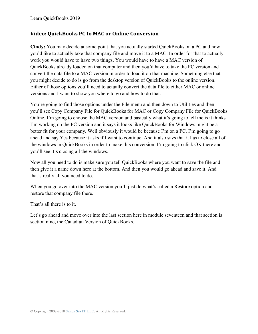#### Learn QuickBooks 2019

### **Video: QuickBooks PC to MAC or Online Conversion**

**Cindy:** You may decide at some point that you actually started QuickBooks on a PC and now you'd like to actually take that company file and move it to a MAC. In order for that to actually work you would have to have two things. You would have to have a MAC version of QuickBooks already loaded on that computer and then you'd have to take the PC version and convert the data file to a MAC version in order to load it on that machine. Something else that you might decide to do is go from the desktop version of QuickBooks to the online version. Either of those options you'll need to actually convert the data file to either MAC or online versions and I want to show you where to go and how to do that.

You're going to find those options under the File menu and then down to Utilities and then you'll see Copy Company File for QuickBooks for MAC or Copy Company File for QuickBooks Online. I'm going to choose the MAC version and basically what it's going to tell me is it thinks I'm working on the PC version and it says it looks like QuickBooks for Windows might be a better fit for your company. Well obviously it would be because I'm on a PC. I'm going to go ahead and say Yes because it asks if I want to continue. And it also says that it has to close all of the windows in QuickBooks in order to make this conversion. I'm going to click OK there and you'll see it's closing all the windows.

Now all you need to do is make sure you tell QuickBooks where you want to save the file and then give it a name down here at the bottom. And then you would go ahead and save it. And that's really all you need to do.

When you go over into the MAC version you'll just do what's called a Restore option and restore that company file there.

That's all there is to it.

Let's go ahead and move over into the last section here in module seventeen and that section is section nine, the Canadian Version of QuickBooks.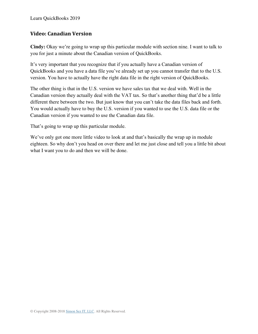Learn QuickBooks 2019

### **Video: Canadian Version**

**Cindy:** Okay we're going to wrap up this particular module with section nine. I want to talk to you for just a minute about the Canadian version of QuickBooks.

It's very important that you recognize that if you actually have a Canadian version of QuickBooks and you have a data file you've already set up you cannot transfer that to the U.S. version. You have to actually have the right data file in the right version of QuickBooks.

The other thing is that in the U.S. version we have sales tax that we deal with. Well in the Canadian version they actually deal with the VAT tax. So that's another thing that'd be a little different there between the two. But just know that you can't take the data files back and forth. You would actually have to buy the U.S. version if you wanted to use the U.S. data file or the Canadian version if you wanted to use the Canadian data file.

That's going to wrap up this particular module.

We've only got one more little video to look at and that's basically the wrap up in module eighteen. So why don't you head on over there and let me just close and tell you a little bit about what I want you to do and then we will be done.